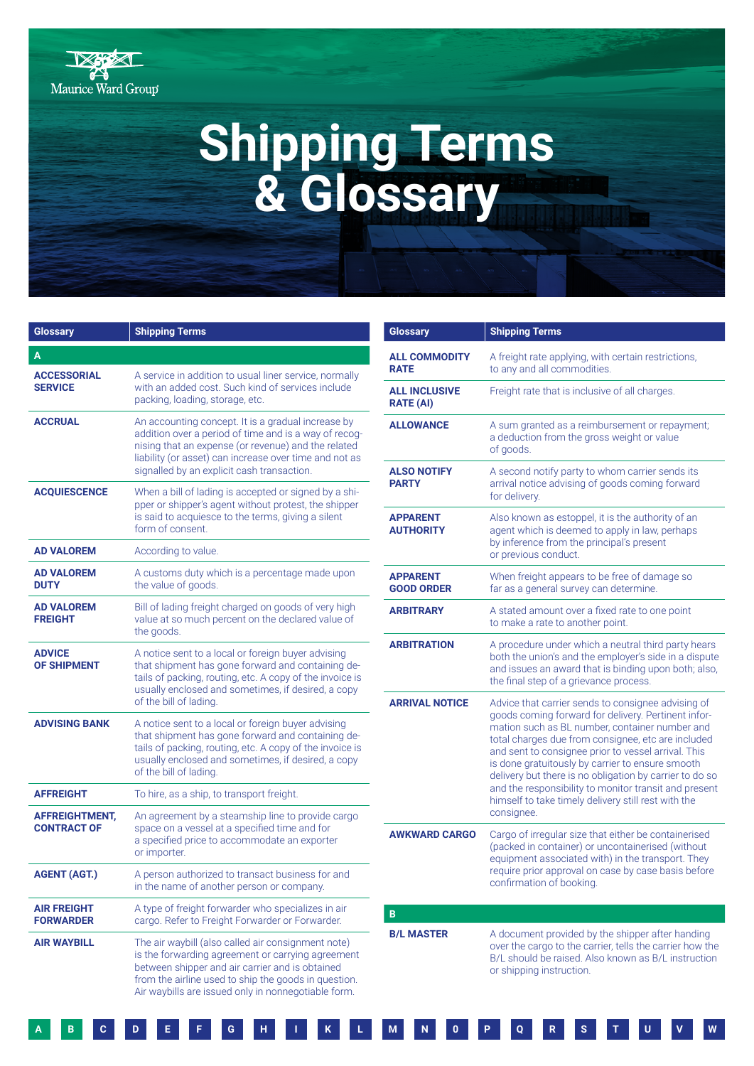<span id="page-0-0"></span>

### **Glossary Shipping Terms Glossary Shipping Terms Shipping Terms & Glossary**

A BI[C](#page-2-0) [D](#page-5-0)[E](#page-6-0) F[I](#page-9-0)GHII[K](#page-10-0) LIMI[N](#page-12-0) OPQ[R](#page-15-0)ISI[T](#page-17-0) [U](#page-18-0)IVIW

| <b>Glossary</b>                             | <b>Shipping Terms</b>                                                                                                                                                                                                                                                     | <b>Glossary</b>                          | <b>Shipping Terms</b>                                                                                                                    |
|---------------------------------------------|---------------------------------------------------------------------------------------------------------------------------------------------------------------------------------------------------------------------------------------------------------------------------|------------------------------------------|------------------------------------------------------------------------------------------------------------------------------------------|
| A                                           |                                                                                                                                                                                                                                                                           | <b>ALL COMMODITY</b><br><b>RATE</b>      | A freight rate ap                                                                                                                        |
| <b>ACCESSORIAL</b><br><b>SERVICE</b>        | A service in addition to usual liner service, normally<br>with an added cost. Such kind of services include<br>packing, loading, storage, etc.                                                                                                                            | <b>ALL INCLUSIVE</b><br><b>RATE (AI)</b> | to any and all co<br>Freight rate that                                                                                                   |
| <b>ACCRUAL</b>                              | An accounting concept. It is a gradual increase by<br>addition over a period of time and is a way of recog-<br>nising that an expense (or revenue) and the related<br>liability (or asset) can increase over time and not as                                              | <b>ALLOWANCE</b>                         | A sum granted a<br>a deduction fron<br>of goods.                                                                                         |
| <b>ACQUIESCENCE</b>                         | signalled by an explicit cash transaction.<br>When a bill of lading is accepted or signed by a shi-                                                                                                                                                                       | <b>ALSO NOTIFY</b><br><b>PARTY</b>       | A second notify<br>arrival notice ad<br>for delivery.                                                                                    |
|                                             | pper or shipper's agent without protest, the shipper<br>is said to acquiesce to the terms, giving a silent<br>form of consent.                                                                                                                                            | <b>APPARENT</b><br><b>AUTHORITY</b>      | Also known as e<br>agent which is d<br>by inference fror<br>or previous cond                                                             |
| <b>AD VALOREM</b>                           | According to value.                                                                                                                                                                                                                                                       |                                          |                                                                                                                                          |
| <b>AD VALOREM</b><br><b>DUTY</b>            | A customs duty which is a percentage made upon<br>the value of goods.                                                                                                                                                                                                     | <b>APPARENT</b><br><b>GOOD ORDER</b>     | When freight ap<br>far as a general                                                                                                      |
| <b>AD VALOREM</b><br><b>FREIGHT</b>         | Bill of lading freight charged on goods of very high<br>value at so much percent on the declared value of<br>the goods.                                                                                                                                                   | <b>ARBITRARY</b>                         | A stated amoun<br>to make a rate to                                                                                                      |
| <b>ADVICE</b><br><b>OF SHIPMENT</b>         | A notice sent to a local or foreign buyer advising<br>that shipment has gone forward and containing de-<br>tails of packing, routing, etc. A copy of the invoice is<br>usually enclosed and sometimes, if desired, a copy                                                 | <b>ARBITRATION</b>                       | A procedure und<br>both the union's<br>and issues an ay<br>the final step of                                                             |
|                                             | of the bill of lading.                                                                                                                                                                                                                                                    | <b>ARRIVAL NOTICE</b>                    | Advice that carri<br>goods coming fo                                                                                                     |
| <b>ADVISING BANK</b>                        | A notice sent to a local or foreign buyer advising<br>that shipment has gone forward and containing de-<br>tails of packing, routing, etc. A copy of the invoice is<br>usually enclosed and sometimes, if desired, a copy<br>of the bill of lading.                       |                                          | mation such as<br>total charges du<br>and sent to cons<br>is done gratuitor<br>delivery but ther<br>and the respons<br>himself to take t |
| <b>AFFREIGHT</b>                            | To hire, as a ship, to transport freight.                                                                                                                                                                                                                                 |                                          |                                                                                                                                          |
| <b>AFFREIGHTMENT.</b><br><b>CONTRACT OF</b> | An agreement by a steamship line to provide cargo<br>space on a vessel at a specified time and for<br>a specified price to accommodate an exporter<br>or importer.                                                                                                        | <b>AWKWARD CARGO</b>                     | consignee.<br>Cargo of irregula<br>(packed in conta<br>equipment asso<br>require prior app<br>confirmation of                            |
| <b>AGENT (AGT.)</b>                         | A person authorized to transact business for and<br>in the name of another person or company.                                                                                                                                                                             |                                          |                                                                                                                                          |
| <b>AIR FREIGHT</b><br><b>FORWARDER</b>      | A type of freight forwarder who specializes in air<br>cargo. Refer to Freight Forwarder or Forwarder.                                                                                                                                                                     | $\mathbf B$                              |                                                                                                                                          |
| <b>AIR WAYBILL</b>                          | The air waybill (also called air consignment note)<br>is the forwarding agreement or carrying agreement<br>between shipper and air carrier and is obtained<br>from the airline used to ship the goods in question.<br>Air waybills are issued only in nonnegotiable form. | <b>B/L MASTER</b>                        | A document pro<br>over the cargo to<br>B/L should be ra<br>or shipping instr                                                             |

| <b>Glossary</b>                          | <b>Shipping Terms</b>                                                                                                                                                                                                                                                                                                                                                                                                                                                                                                 |
|------------------------------------------|-----------------------------------------------------------------------------------------------------------------------------------------------------------------------------------------------------------------------------------------------------------------------------------------------------------------------------------------------------------------------------------------------------------------------------------------------------------------------------------------------------------------------|
| <b>ALL COMMODITY</b><br><b>RATE</b>      | A freight rate applying, with certain restrictions,<br>to any and all commodities.                                                                                                                                                                                                                                                                                                                                                                                                                                    |
| <b>ALL INCLUSIVE</b><br><b>RATE (AI)</b> | Freight rate that is inclusive of all charges.                                                                                                                                                                                                                                                                                                                                                                                                                                                                        |
| <b>ALLOWANCE</b>                         | A sum granted as a reimbursement or repayment;<br>a deduction from the gross weight or value<br>of goods.                                                                                                                                                                                                                                                                                                                                                                                                             |
| <b>ALSO NOTIFY</b><br><b>PARTY</b>       | A second notify party to whom carrier sends its<br>arrival notice advising of goods coming forward<br>for delivery.                                                                                                                                                                                                                                                                                                                                                                                                   |
| <b>APPARENT</b><br><b>AUTHORITY</b>      | Also known as estoppel, it is the authority of an<br>agent which is deemed to apply in law, perhaps<br>by inference from the principal's present<br>or previous conduct.                                                                                                                                                                                                                                                                                                                                              |
| <b>APPARENT</b><br><b>GOOD ORDER</b>     | When freight appears to be free of damage so<br>far as a general survey can determine.                                                                                                                                                                                                                                                                                                                                                                                                                                |
| <b>ARBITRARY</b>                         | A stated amount over a fixed rate to one point<br>to make a rate to another point.                                                                                                                                                                                                                                                                                                                                                                                                                                    |
| <b>ARBITRATION</b>                       | A procedure under which a neutral third party hears<br>both the union's and the employer's side in a dispute<br>and issues an award that is binding upon both; also,<br>the final step of a grievance process.                                                                                                                                                                                                                                                                                                        |
| <b>ARRIVAL NOTICE</b>                    | Advice that carrier sends to consignee advising of<br>goods coming forward for delivery. Pertinent infor-<br>mation such as BL number, container number and<br>total charges due from consignee, etc are included<br>and sent to consignee prior to vessel arrival. This<br>is done gratuitously by carrier to ensure smooth<br>delivery but there is no obligation by carrier to do so<br>and the responsibility to monitor transit and present<br>himself to take timely delivery still rest with the<br>consignee. |
| <b>AWKWARD CARGO</b>                     | Cargo of irregular size that either be containerised<br>(packed in container) or uncontainerised (without<br>equipment associated with) in the transport. They<br>require prior approval on case by case basis before<br>confirmation of booking.                                                                                                                                                                                                                                                                     |
| B                                        |                                                                                                                                                                                                                                                                                                                                                                                                                                                                                                                       |
| <b>B/L MASTER</b>                        | A document provided by the shipper after handing<br>over the cargo to the carrier, tells the carrier how the<br>B/L should be raised. Also known as B/L instruction                                                                                                                                                                                                                                                                                                                                                   |

or shipping instruction.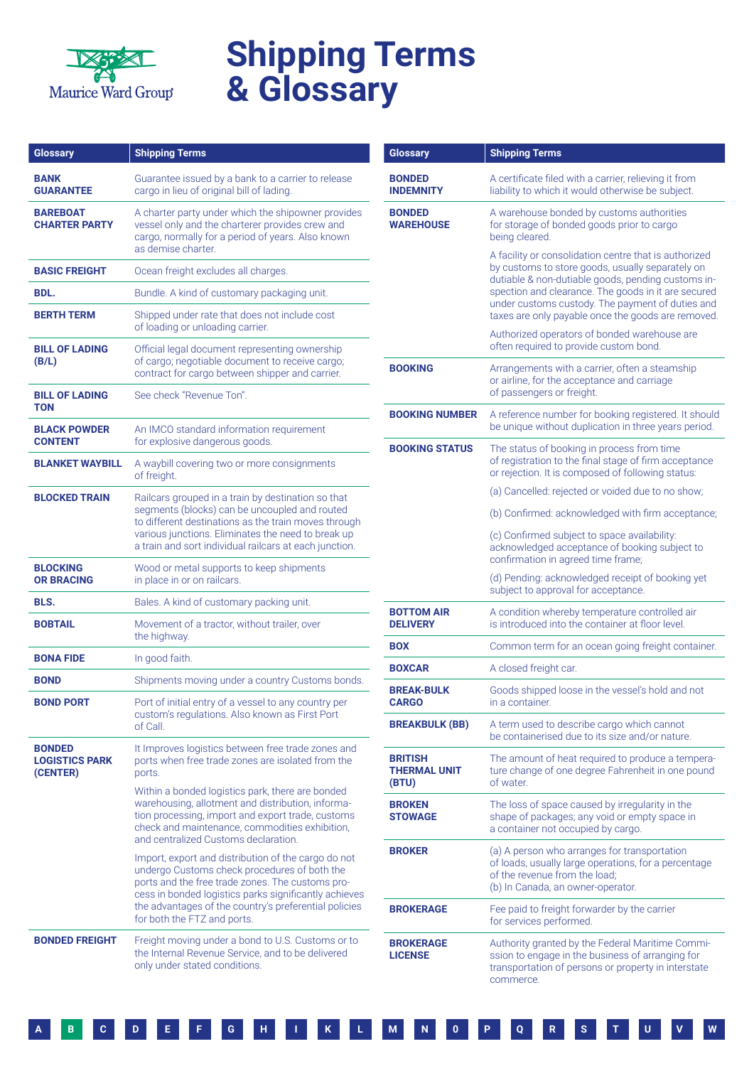

| <b>Glossary</b>                                    | <b>Shipping Terms</b>                                                                                                                                                                                                                                | <b>Glossary</b>                                | <b>Shipping Terms</b>                                                                                               |
|----------------------------------------------------|------------------------------------------------------------------------------------------------------------------------------------------------------------------------------------------------------------------------------------------------------|------------------------------------------------|---------------------------------------------------------------------------------------------------------------------|
| <b>BANK</b><br><b>GUARANTEE</b>                    | Guarantee issued by a bank to a carrier to release<br>cargo in lieu of original bill of lading.                                                                                                                                                      | <b>BONDED</b><br><b>INDEMNITY</b>              | A certificate filed<br>liability to which                                                                           |
| <b>BAREBOAT</b><br><b>CHARTER PARTY</b>            | A charter party under which the shipowner provides<br>vessel only and the charterer provides crew and<br>cargo, normally for a period of years. Also known<br>as demise charter.                                                                     | <b>BONDED</b><br><b>WAREHOUSE</b>              | A warehouse bo<br>for storage of bo<br>being cleared.                                                               |
| <b>BASIC FREIGHT</b>                               | Ocean freight excludes all charges.                                                                                                                                                                                                                  |                                                | A facility or cons<br>by customs to s<br>dutiable & non-d<br>spection and cle<br>under customs<br>taxes are only pa |
| BDL.                                               | Bundle. A kind of customary packaging unit.                                                                                                                                                                                                          |                                                |                                                                                                                     |
| <b>BERTH TERM</b>                                  | Shipped under rate that does not include cost<br>of loading or unloading carrier.                                                                                                                                                                    |                                                |                                                                                                                     |
| <b>BILL OF LADING</b>                              | Official legal document representing ownership                                                                                                                                                                                                       |                                                | Authorized oper<br>often required to                                                                                |
| (B/L)                                              | of cargo; negotiable document to receive cargo;<br>contract for cargo between shipper and carrier.                                                                                                                                                   | <b>BOOKING</b>                                 | Arrangements w<br>or airline, for the                                                                               |
| <b>BILL OF LADING</b><br><b>TON</b>                | See check "Revenue Ton".                                                                                                                                                                                                                             | <b>BOOKING NUMBER</b>                          | of passengers o<br>A reference num                                                                                  |
| <b>BLACK POWDER</b><br><b>CONTENT</b>              | An IMCO standard information requirement<br>for explosive dangerous goods.                                                                                                                                                                           | <b>BOOKING STATUS</b>                          | be unique witho<br>The status of bo                                                                                 |
| <b>BLANKET WAYBILL</b>                             | A waybill covering two or more consignments<br>of freight.                                                                                                                                                                                           |                                                | of registration to<br>or rejection. It is                                                                           |
| <b>BLOCKED TRAIN</b>                               | Railcars grouped in a train by destination so that                                                                                                                                                                                                   |                                                | (a) Cancelled: re                                                                                                   |
|                                                    | segments (blocks) can be uncoupled and routed<br>to different destinations as the train moves through                                                                                                                                                |                                                | (b) Confirmed: a                                                                                                    |
|                                                    | various junctions. Eliminates the need to break up<br>a train and sort individual railcars at each junction.                                                                                                                                         |                                                | (c) Confirmed su<br>acknowledged a<br>confirmation in a                                                             |
| <b>BLOCKING</b><br><b>OR BRACING</b>               | Wood or metal supports to keep shipments<br>in place in or on railcars.                                                                                                                                                                              |                                                | (d) Pending: ack<br>subject to appro                                                                                |
| BLS.                                               | Bales. A kind of customary packing unit.                                                                                                                                                                                                             | <b>BOTTOM AIR</b>                              | A condition whe                                                                                                     |
| <b>BOBTAIL</b>                                     | Movement of a tractor, without trailer, over<br>the highway.                                                                                                                                                                                         | <b>DELIVERY</b><br><b>BOX</b>                  | is introduced int<br>Common term f                                                                                  |
| <b>BONA FIDE</b>                                   | In good faith.                                                                                                                                                                                                                                       |                                                |                                                                                                                     |
| <b>BOND</b>                                        | Shipments moving under a country Customs bonds.                                                                                                                                                                                                      | <b>BOXCAR</b><br><b>BREAK-BULK</b>             | A closed freight                                                                                                    |
| <b>BOND PORT</b>                                   | Port of initial entry of a vessel to any country per<br>custom's regulations. Also known as First Port                                                                                                                                               | <b>CARGO</b>                                   | Goods shipped I<br>in a container.                                                                                  |
|                                                    | of Call.<br>It Improves logistics between free trade zones and                                                                                                                                                                                       | <b>BREAKBULK (BB)</b>                          | A term used to o<br>be containerised                                                                                |
| <b>BONDED</b><br><b>LOGISTICS PARK</b><br>(CENTER) | ports when free trade zones are isolated from the<br>ports.                                                                                                                                                                                          | <b>BRITISH</b><br><b>THERMAL UNIT</b><br>(BTU) | The amount of h<br>ture change of c<br>of water.                                                                    |
|                                                    | Within a bonded logistics park, there are bonded<br>warehousing, allotment and distribution, informa-<br>tion processing, import and export trade, customs<br>check and maintenance, commodities exhibition,<br>and centralized Customs declaration. | <b>BROKEN</b><br><b>STOWAGE</b>                | The loss of spac<br>shape of packao<br>a container not                                                              |
|                                                    | Import, export and distribution of the cargo do not<br>undergo Customs check procedures of both the<br>ports and the free trade zones. The customs pro-<br>cess in bonded logistics parks significantly achieves                                     | <b>BROKER</b>                                  | (a) A person who<br>of loads, usually<br>of the revenue fr<br>(b) In Canada, ar                                     |
|                                                    | the advantages of the country's preferential policies<br>for both the FTZ and ports.                                                                                                                                                                 | <b>BROKERAGE</b>                               | Fee paid to freig<br>for services perf                                                                              |
| <b>BONDED FREIGHT</b>                              | Freight moving under a bond to U.S. Customs or to<br>the Internal Revenue Service, and to be delivered<br>only under stated conditions.                                                                                                              | <b>BROKERAGE</b><br><b>LICENSE</b>             | Authority grante<br>ssion to engage<br>transportation o<br>commerce.                                                |

| Glossary                                | <b>Shipping Terms</b>                                                                                                                                                                                                                                                                                                            |
|-----------------------------------------|----------------------------------------------------------------------------------------------------------------------------------------------------------------------------------------------------------------------------------------------------------------------------------------------------------------------------------|
| <b>BONDED</b>                           | A certificate filed with a carrier, relieving it from                                                                                                                                                                                                                                                                            |
| <b>INDEMNITY</b>                        | liability to which it would otherwise be subject.                                                                                                                                                                                                                                                                                |
| <b>BONDED</b><br><b>WAREHOUSE</b>       | A warehouse bonded by customs authorities<br>for storage of bonded goods prior to cargo<br>being cleared.                                                                                                                                                                                                                        |
|                                         | A facility or consolidation centre that is authorized<br>by customs to store goods, usually separately on<br>dutiable & non-dutiable goods, pending customs in-<br>spection and clearance. The goods in it are secured<br>under customs custody. The payment of duties and<br>taxes are only payable once the goods are removed. |
|                                         | Authorized operators of bonded warehouse are<br>often required to provide custom bond.                                                                                                                                                                                                                                           |
| <b>BOOKING</b>                          | Arrangements with a carrier, often a steamship<br>or airline, for the acceptance and carriage<br>of passengers or freight.                                                                                                                                                                                                       |
| <b>BOOKING NUMBER</b>                   | A reference number for booking registered. It should<br>be unique without duplication in three years period.                                                                                                                                                                                                                     |
| <b>BOOKING STATUS</b>                   | The status of booking in process from time<br>of registration to the final stage of firm acceptance<br>or rejection. It is composed of following status:                                                                                                                                                                         |
|                                         | (a) Cancelled: rejected or voided due to no show;                                                                                                                                                                                                                                                                                |
|                                         | (b) Confirmed: acknowledged with firm acceptance;                                                                                                                                                                                                                                                                                |
|                                         | (c) Confirmed subject to space availability:<br>acknowledged acceptance of booking subject to<br>confirmation in agreed time frame;                                                                                                                                                                                              |
|                                         | (d) Pending: acknowledged receipt of booking yet<br>subject to approval for acceptance.                                                                                                                                                                                                                                          |
| <b>BOTTOM AIR</b><br><b>DELIVERY</b>    | A condition whereby temperature controlled air<br>is introduced into the container at floor level.                                                                                                                                                                                                                               |
| <b>BOX</b>                              | Common term for an ocean going freight container.                                                                                                                                                                                                                                                                                |
| <b>BOXCAR</b>                           | A closed freight car.                                                                                                                                                                                                                                                                                                            |
| <b>BREAK-BULK</b><br><b>CARGO</b>       | Goods shipped loose in the vessel's hold and not<br>in a container l                                                                                                                                                                                                                                                             |
| <b>BREAKBULK (BB)</b>                   | A term used to describe cargo which cannot<br>be containerised due to its size and/or nature.                                                                                                                                                                                                                                    |
| BRITISH<br><b>THERMAL UNIT</b><br>(BTU) | The amount of heat required to produce a tempera-<br>ture change of one degree Fahrenheit in one pound<br>of water.                                                                                                                                                                                                              |
| <b>BROKEN</b><br><b>STOWAGE</b>         | The loss of space caused by irregularity in the<br>shape of packages; any void or empty space in<br>a container not occupied by cargo.                                                                                                                                                                                           |
| <b>BROKER</b>                           | (a) A person who arranges for transportation<br>of loads, usually large operations, for a percentage<br>of the revenue from the load;<br>(b) In Canada, an owner-operator.                                                                                                                                                       |
| <b>BROKERAGE</b>                        | Fee paid to freight forwarder by the carrier<br>for services performed.                                                                                                                                                                                                                                                          |
| <b>BROKERAGE</b><br><b>LICENSE</b>      | Authority granted by the Federal Maritime Commi-<br>ssion to engage in the business of arranging for<br>transportation of persons or property in interstate<br>commerce.                                                                                                                                                         |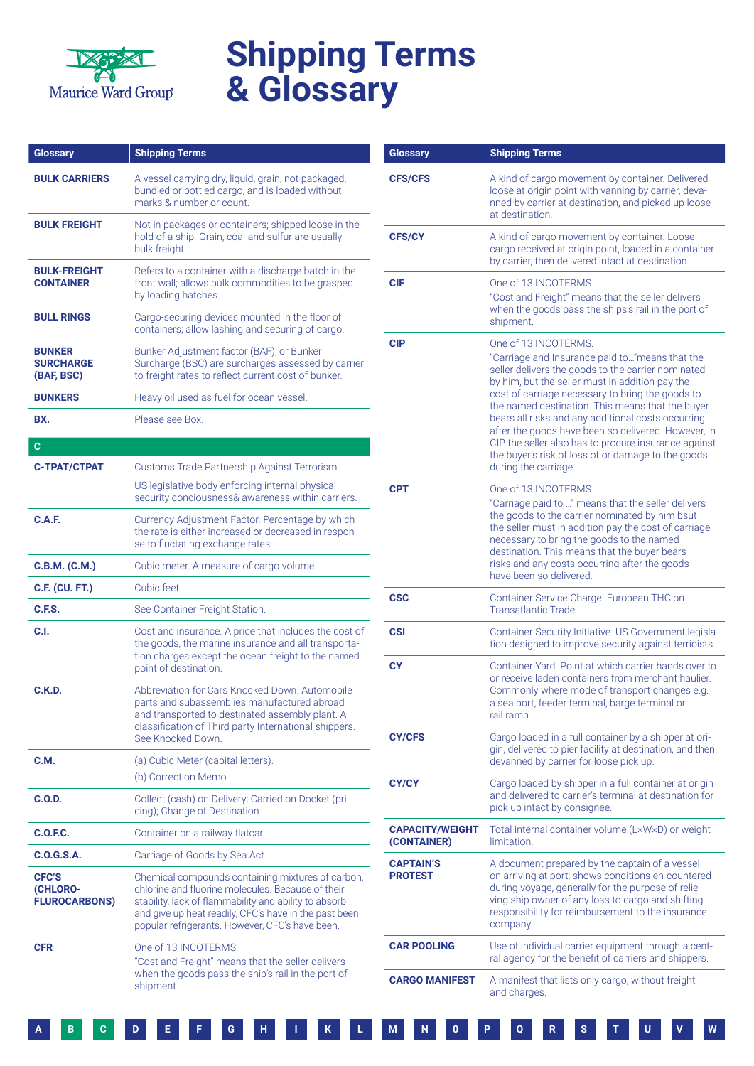<span id="page-2-0"></span>

| <b>Glossary</b>                                         | <b>Shipping Terms</b>                                                                                                                                                                                                                                                       | Glossary                              | <b>Shipping Terms</b>                                                                                                                                                                   |
|---------------------------------------------------------|-----------------------------------------------------------------------------------------------------------------------------------------------------------------------------------------------------------------------------------------------------------------------------|---------------------------------------|-----------------------------------------------------------------------------------------------------------------------------------------------------------------------------------------|
| <b>BULK CARRIERS</b>                                    | A vessel carrying dry, liquid, grain, not packaged,<br>bundled or bottled cargo, and is loaded without<br>marks & number or count.                                                                                                                                          | <b>CFS/CFS</b>                        | A kind of cargo r<br>loose at origin p<br>nned by carrier a<br>at destination.                                                                                                          |
| <b>BULK FREIGHT</b>                                     | Not in packages or containers; shipped loose in the<br>hold of a ship. Grain, coal and sulfur are usually<br>bulk freight.                                                                                                                                                  | <b>CFS/CY</b>                         | A kind of cargo r<br>cargo received a<br>by carrier, then o                                                                                                                             |
| <b>BULK-FREIGHT</b><br><b>CONTAINER</b>                 | Refers to a container with a discharge batch in the<br>front wall; allows bulk commodities to be grasped<br>by loading hatches.                                                                                                                                             | <b>CIF</b>                            | One of 13 INCO<br>"Cost and Freigh                                                                                                                                                      |
| <b>BULL RINGS</b>                                       | Cargo-securing devices mounted in the floor of<br>containers; allow lashing and securing of cargo.                                                                                                                                                                          |                                       | when the goods<br>shipment.                                                                                                                                                             |
| <b>BUNKER</b><br><b>SURCHARGE</b><br>(BAF, BSC)         | Bunker Adjustment factor (BAF), or Bunker<br>Surcharge (BSC) are surcharges assessed by carrier<br>to freight rates to reflect current cost of bunker.                                                                                                                      | <b>CIP</b>                            | One of 13 INCO<br>"Carriage and In<br>seller delivers th<br>by him, but the s                                                                                                           |
| <b>BUNKERS</b>                                          | Heavy oil used as fuel for ocean vessel.                                                                                                                                                                                                                                    |                                       | cost of carriage                                                                                                                                                                        |
| BX.                                                     | Please see Box.                                                                                                                                                                                                                                                             |                                       | the named desti<br>bears all risks ar                                                                                                                                                   |
| c                                                       |                                                                                                                                                                                                                                                                             |                                       | after the goods<br>CIP the seller als                                                                                                                                                   |
| <b>C-TPAT/CTPAT</b>                                     | Customs Trade Partnership Against Terrorism.                                                                                                                                                                                                                                |                                       | the buyer's risk o<br>during the carria                                                                                                                                                 |
|                                                         | US legislative body enforcing internal physical<br>security conciousness& awareness within carriers.                                                                                                                                                                        | <b>CPT</b>                            | One of 13 INCO<br>"Carriage paid to<br>the goods to the<br>the seller must i<br>necessary to bri<br>destination. This<br>risks and any co<br>have been so de<br><b>Container Servic</b> |
| <b>C.A.F.</b>                                           | Currency Adjustment Factor. Percentage by which<br>the rate is either increased or decreased in respon-<br>se to fluctating exchange rates.                                                                                                                                 |                                       |                                                                                                                                                                                         |
| C.B.M. (C.M.)                                           | Cubic meter. A measure of cargo volume.                                                                                                                                                                                                                                     |                                       |                                                                                                                                                                                         |
| <b>C.F. (CU. FT.)</b>                                   | Cubic feet.                                                                                                                                                                                                                                                                 |                                       |                                                                                                                                                                                         |
| C.F.S.                                                  | See Container Freight Station.                                                                                                                                                                                                                                              | <b>CSC</b>                            | <b>Transatlantic Tra</b>                                                                                                                                                                |
| C.I.                                                    | Cost and insurance. A price that includes the cost of<br>the goods, the marine insurance and all transporta-<br>tion charges except the ocean freight to the named                                                                                                          | <b>CSI</b>                            | <b>Container Secur</b><br>tion designed to                                                                                                                                              |
| <b>C.K.D.</b>                                           | point of destination.<br>Abbreviation for Cars Knocked Down, Automobile<br>parts and subassemblies manufactured abroad<br>and transported to destinated assembly plant. A                                                                                                   | <b>CY</b>                             | Container Yard.<br>or receive laden<br>Commonly wher<br>a sea port, feede<br>rail ramp.                                                                                                 |
|                                                         | classification of Third party International shippers.<br>See Knocked Down.                                                                                                                                                                                                  | <b>CY/CFS</b>                         | Cargo loaded in                                                                                                                                                                         |
| C.M.                                                    | (a) Cubic Meter (capital letters).                                                                                                                                                                                                                                          |                                       | gin, delivered to<br>devanned by car                                                                                                                                                    |
|                                                         | (b) Correction Memo.                                                                                                                                                                                                                                                        | CY/CY                                 | Cargo loaded by                                                                                                                                                                         |
| C.0.0.                                                  | Collect (cash) on Delivery; Carried on Docket (pri-<br>cing); Change of Destination.                                                                                                                                                                                        |                                       | and delivered to<br>pick up intact by                                                                                                                                                   |
| <b>C.O.F.C.</b>                                         | Container on a railway flatcar.                                                                                                                                                                                                                                             | <b>CAPACITY/WEIGHT</b><br>(CONTAINER) | Total internal co<br>limitation.                                                                                                                                                        |
| C.0.G.S.A.                                              | Carriage of Goods by Sea Act.                                                                                                                                                                                                                                               | <b>CAPTAIN'S</b>                      | A document pre                                                                                                                                                                          |
| <b>CFC'S</b><br><b>(CHLORO-</b><br><b>FLUROCARBONS)</b> | Chemical compounds containing mixtures of carbon,<br>chlorine and fluorine molecules. Because of their<br>stability, lack of flammability and ability to absorb<br>and give up heat readily, CFC's have in the past been<br>popular refrigerants. However, CFC's have been. | <b>PROTEST</b>                        | on arriving at po<br>during voyage, g<br>ving ship owner<br>responsibility fo<br>company.                                                                                               |
| <b>CFR</b>                                              | One of 13 INCOTERMS.<br>"Cost and Freight" means that the seller delivers                                                                                                                                                                                                   | <b>CAR POOLING</b>                    | Use of individua<br>ral agency for th                                                                                                                                                   |
|                                                         | when the goods pass the ship's rail in the port of<br>shipment.                                                                                                                                                                                                             | <b>CARGO MANIFEST</b>                 | A manifest that<br>and charges.                                                                                                                                                         |

| <b>Glossary</b>                       | <b>Shipping Terms</b>                                                                                                                                                                                                                                                                                                                                                                                                                                                                                                                      |
|---------------------------------------|--------------------------------------------------------------------------------------------------------------------------------------------------------------------------------------------------------------------------------------------------------------------------------------------------------------------------------------------------------------------------------------------------------------------------------------------------------------------------------------------------------------------------------------------|
| <b>CFS/CFS</b>                        | A kind of cargo movement by container. Delivered<br>loose at origin point with vanning by carrier, deva-<br>nned by carrier at destination, and picked up loose<br>at destination.                                                                                                                                                                                                                                                                                                                                                         |
| <b>CFS/CY</b>                         | A kind of cargo movement by container. Loose<br>cargo received at origin point, loaded in a container<br>by carrier, then delivered intact at destination.                                                                                                                                                                                                                                                                                                                                                                                 |
| <b>CIF</b>                            | One of 13 INCOTERMS.<br>"Cost and Freight" means that the seller delivers<br>when the goods pass the ships's rail in the port of<br>shipment.                                                                                                                                                                                                                                                                                                                                                                                              |
| <b>CIP</b>                            | One of 13 INCOTERMS.<br>"Carriage and Insurance paid to"means that the<br>seller delivers the goods to the carrier nominated<br>by him, but the seller must in addition pay the<br>cost of carriage necessary to bring the goods to<br>the named destination. This means that the buyer<br>bears all risks and any additional costs occurring<br>after the goods have been so delivered. However, in<br>CIP the seller also has to procure insurance against<br>the buyer's risk of loss of or damage to the goods<br>during the carriage. |
| <b>CPT</b>                            | One of 13 INCOTERMS<br>"Carriage paid to " means that the seller delivers<br>the goods to the carrier nominated by him bsut<br>the seller must in addition pay the cost of carriage<br>necessary to bring the goods to the named<br>destination. This means that the buyer bears<br>risks and any costs occurring after the goods<br>have been so delivered.                                                                                                                                                                               |
| <b>CSC</b>                            | Container Service Charge. European THC on<br><b>Transatlantic Trade.</b>                                                                                                                                                                                                                                                                                                                                                                                                                                                                   |
| <b>CSI</b>                            | Container Security Initiative. US Government legisla-<br>tion designed to improve security against terrioists.                                                                                                                                                                                                                                                                                                                                                                                                                             |
| <b>CY</b>                             | Container Yard. Point at which carrier hands over to<br>or receive laden containers from merchant haulier.<br>Commonly where mode of transport changes e.g.<br>a sea port, feeder terminal, barge terminal or<br>rail ramp.                                                                                                                                                                                                                                                                                                                |
| <b>CY/CFS</b>                         | Cargo loaded in a full container by a shipper at ori-<br>gin, delivered to pier facility at destination, and then<br>devanned by carrier for loose pick up.                                                                                                                                                                                                                                                                                                                                                                                |
| CY/CY                                 | Cargo loaded by shipper in a full container at origin<br>and delivered to carrier's terminal at destination for<br>pick up intact by consignee.                                                                                                                                                                                                                                                                                                                                                                                            |
| <b>CAPACITY/WEIGHT</b><br>(CONTAINER) | Total internal container volume (LxWxD) or weight<br>limitation.                                                                                                                                                                                                                                                                                                                                                                                                                                                                           |
| <b>CAPTAIN'S</b><br><b>PROTEST</b>    | A document prepared by the captain of a vessel<br>on arriving at port; shows conditions en-countered<br>during voyage, generally for the purpose of relie-<br>ving ship owner of any loss to cargo and shifting<br>responsibility for reimbursement to the insurance<br>company.                                                                                                                                                                                                                                                           |
| <b>CAR POOLING</b>                    | Use of individual carrier equipment through a cent-<br>ral agency for the benefit of carriers and shippers.                                                                                                                                                                                                                                                                                                                                                                                                                                |
| <b>CARGO MANIFEST</b>                 | A manifest that lists only cargo, without freight<br>and charges.                                                                                                                                                                                                                                                                                                                                                                                                                                                                          |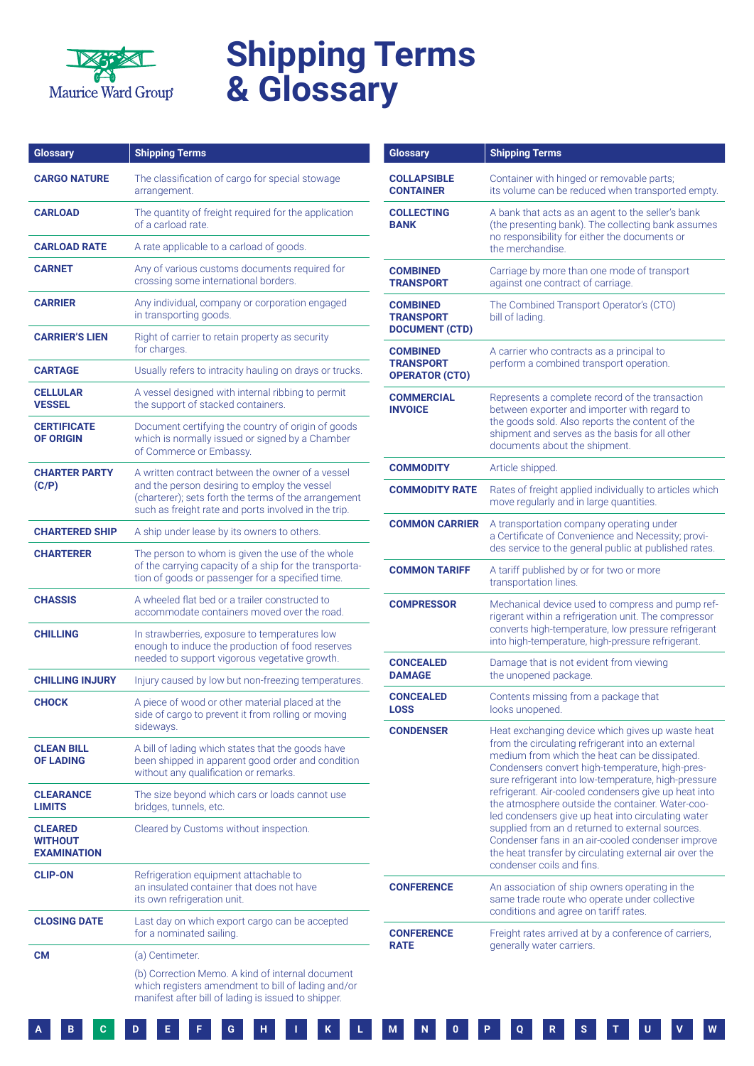

| <b>Glossary</b>                                 | <b>Shipping Terms</b>                                                                                                                                                            | <b>Glossary</b>                           | <b>Shipping Terms</b>                                                                                                                                                                                                               |
|-------------------------------------------------|----------------------------------------------------------------------------------------------------------------------------------------------------------------------------------|-------------------------------------------|-------------------------------------------------------------------------------------------------------------------------------------------------------------------------------------------------------------------------------------|
| <b>CARGO NATURE</b>                             | The classification of cargo for special stowage<br>arrangement.                                                                                                                  | <b>COLLAPSIBLE</b><br><b>CONTAINER</b>    | Container with h<br>its volume can b                                                                                                                                                                                                |
| <b>CARLOAD</b>                                  | The quantity of freight required for the application<br>of a carload rate.                                                                                                       | <b>COLLECTING</b><br><b>BANK</b>          | A bank that acts<br>(the presenting I<br>no responsibility<br>the merchandise                                                                                                                                                       |
| <b>CARLOAD RATE</b>                             | A rate applicable to a carload of goods.                                                                                                                                         |                                           |                                                                                                                                                                                                                                     |
| <b>CARNET</b>                                   | Any of various customs documents required for<br>crossing some international borders.                                                                                            | <b>COMBINED</b><br><b>TRANSPORT</b>       | Carriage by mor<br>against one con                                                                                                                                                                                                  |
| <b>CARRIER</b>                                  | Any individual, company or corporation engaged<br>in transporting goods.                                                                                                         | <b>COMBINED</b><br><b>TRANSPORT</b>       | The Combined T<br>bill of lading.                                                                                                                                                                                                   |
| <b>CARRIER'S LIEN</b>                           | Right of carrier to retain property as security<br>for charges.                                                                                                                  | <b>DOCUMENT (CTD)</b><br><b>COMBINED</b>  | A carrier who co                                                                                                                                                                                                                    |
| <b>CARTAGE</b>                                  | Usually refers to intracity hauling on drays or trucks.                                                                                                                          | <b>TRANSPORT</b><br><b>OPERATOR (CTO)</b> | perform a comb                                                                                                                                                                                                                      |
| <b>CELLULAR</b><br><b>VESSEL</b>                | A vessel designed with internal ribbing to permit<br>the support of stacked containers.                                                                                          | <b>COMMERCIAL</b><br><b>INVOICE</b>       | Represents a co<br>between exporte                                                                                                                                                                                                  |
| <b>CERTIFICATE</b><br><b>OF ORIGIN</b>          | Document certifying the country of origin of goods<br>which is normally issued or signed by a Chamber<br>of Commerce or Embassy.                                                 |                                           | the goods sold.<br>shipment and se<br>documents abor                                                                                                                                                                                |
| <b>CHARTER PARTY</b>                            | A written contract between the owner of a vessel                                                                                                                                 | <b>COMMODITY</b>                          | Article shipped.                                                                                                                                                                                                                    |
| (C/P)                                           | and the person desiring to employ the vessel<br>(charterer); sets forth the terms of the arrangement<br>such as freight rate and ports involved in the trip.                     | <b>COMMODITY RATE</b>                     | Rates of freight<br>move regularly a                                                                                                                                                                                                |
| <b>CHARTERED SHIP</b>                           | A ship under lease by its owners to others.                                                                                                                                      | <b>COMMON CARRIER</b>                     | A transportation<br>a Certificate of 0                                                                                                                                                                                              |
| <b>CHARTERER</b>                                | The person to whom is given the use of the whole<br>of the carrying capacity of a ship for the transporta-<br>tion of goods or passenger for a specified time.                   | <b>COMMON TARIFF</b>                      | des service to th<br>A tariff publisher<br>transportation li                                                                                                                                                                        |
| <b>CHASSIS</b>                                  | A wheeled flat bed or a trailer constructed to<br>accommodate containers moved over the road.                                                                                    | <b>COMPRESSOR</b>                         | Mechanical devi<br>rigerant within a<br>converts high-te<br>into high-temper<br>Damage that is a                                                                                                                                    |
| <b>CHILLING</b>                                 | In strawberries, exposure to temperatures low<br>enough to induce the production of food reserves<br>needed to support vigorous vegetative growth.                               |                                           |                                                                                                                                                                                                                                     |
| <b>CHILLING INJURY</b>                          | Injury caused by low but non-freezing temperatures.                                                                                                                              | <b>CONCEALED</b><br><b>DAMAGE</b>         | the unopened pa                                                                                                                                                                                                                     |
| <b>CHOCK</b>                                    | A piece of wood or other material placed at the<br>side of cargo to prevent it from rolling or moving                                                                            | <b>CONCEALED</b><br><b>LOSS</b>           | <b>Contents missin</b><br>looks unopened                                                                                                                                                                                            |
| <b>CLEAN BILL</b><br><b>OF LADING</b>           | sideways.<br>A bill of lading which states that the goods have<br>been shipped in apparent good order and condition<br>without any qualification or remarks.                     | <b>CONDENSER</b>                          | Heat exchanging<br>from the circulat<br>medium from w<br>Condensers con<br>sure refrigerant<br>refrigerant. Air-c<br>the atmosphere<br>led condensers<br>supplied from ar<br>Condenser fans<br>the heat transfer<br>condenser coils |
| <b>CLEARANCE</b><br><b>LIMITS</b>               | The size beyond which cars or loads cannot use<br>bridges, tunnels, etc.                                                                                                         |                                           |                                                                                                                                                                                                                                     |
| <b>CLEARED</b><br>WITHOUT<br><b>EXAMINATION</b> | Cleared by Customs without inspection.                                                                                                                                           |                                           |                                                                                                                                                                                                                                     |
| <b>CLIP-ON</b>                                  | Refrigeration equipment attachable to<br>an insulated container that does not have<br>its own refrigeration unit.                                                                | <b>CONFERENCE</b>                         | An association o<br>same trade rout<br>conditions and a                                                                                                                                                                             |
| <b>CLOSING DATE</b>                             | Last day on which export cargo can be accepted<br>for a nominated sailing.                                                                                                       | <b>CONFERENCE</b>                         | Freight rates arr                                                                                                                                                                                                                   |
| CМ                                              | (a) Centimeter.<br>(b) Correction Memo. A kind of internal document<br>which registers amendment to bill of lading and/or<br>manifest after bill of lading is issued to shipper. | <b>RATE</b>                               | generally water                                                                                                                                                                                                                     |

| <b>Glossary</b>                                              | <b>Shipping Terms</b>                                                                                                                                                                                                                                                                                                                                                                                                                                                                                                                                                                                                               |
|--------------------------------------------------------------|-------------------------------------------------------------------------------------------------------------------------------------------------------------------------------------------------------------------------------------------------------------------------------------------------------------------------------------------------------------------------------------------------------------------------------------------------------------------------------------------------------------------------------------------------------------------------------------------------------------------------------------|
|                                                              |                                                                                                                                                                                                                                                                                                                                                                                                                                                                                                                                                                                                                                     |
| <b>COLLAPSIBLE</b><br><b>CONTAINER</b>                       | Container with hinged or removable parts;<br>its volume can be reduced when transported empty.                                                                                                                                                                                                                                                                                                                                                                                                                                                                                                                                      |
| <b>COLLECTING</b><br><b>BANK</b>                             | A bank that acts as an agent to the seller's bank<br>(the presenting bank). The collecting bank assumes<br>no responsibility for either the documents or<br>the merchandise.                                                                                                                                                                                                                                                                                                                                                                                                                                                        |
| <b>COMBINED</b><br><b>TRANSPORT</b>                          | Carriage by more than one mode of transport<br>against one contract of carriage.                                                                                                                                                                                                                                                                                                                                                                                                                                                                                                                                                    |
| <b>COMBINED</b><br><b>TRANSPORT</b><br><b>DOCUMENT (CTD)</b> | The Combined Transport Operator's (CTO)<br>bill of lading.                                                                                                                                                                                                                                                                                                                                                                                                                                                                                                                                                                          |
| <b>COMBINED</b><br><b>TRANSPORT</b><br><b>OPERATOR (CTO)</b> | A carrier who contracts as a principal to<br>perform a combined transport operation.                                                                                                                                                                                                                                                                                                                                                                                                                                                                                                                                                |
| <b>COMMERCIAL</b><br><b>INVOICE</b>                          | Represents a complete record of the transaction<br>between exporter and importer with regard to<br>the goods sold. Also reports the content of the<br>shipment and serves as the basis for all other<br>documents about the shipment.                                                                                                                                                                                                                                                                                                                                                                                               |
| <b>COMMODITY</b>                                             | Article shipped.                                                                                                                                                                                                                                                                                                                                                                                                                                                                                                                                                                                                                    |
| <b>COMMODITY RATE</b>                                        | Rates of freight applied individually to articles which<br>move regularly and in large quantities.                                                                                                                                                                                                                                                                                                                                                                                                                                                                                                                                  |
| <b>COMMON CARRIER</b>                                        | A transportation company operating under<br>a Certificate of Convenience and Necessity; provi-<br>des service to the general public at published rates.                                                                                                                                                                                                                                                                                                                                                                                                                                                                             |
| <b>COMMON TARIFF</b>                                         | A tariff published by or for two or more<br>transportation lines.                                                                                                                                                                                                                                                                                                                                                                                                                                                                                                                                                                   |
| <b>COMPRESSOR</b>                                            | Mechanical device used to compress and pump ref-<br>rigerant within a refrigeration unit. The compressor<br>converts high-temperature, low pressure refrigerant<br>into high-temperature, high-pressure refrigerant.                                                                                                                                                                                                                                                                                                                                                                                                                |
| <b>CONCEALED</b><br><b>DAMAGE</b>                            | Damage that is not evident from viewing<br>the unopened package.                                                                                                                                                                                                                                                                                                                                                                                                                                                                                                                                                                    |
| <b>CONCEALED</b><br><b>LOSS</b>                              | Contents missing from a package that<br>looks unopened.                                                                                                                                                                                                                                                                                                                                                                                                                                                                                                                                                                             |
| <b>CONDENSER</b>                                             | Heat exchanging device which gives up waste heat<br>from the circulating refrigerant into an external<br>medium from which the heat can be dissipated.<br>Condensers convert high-temperature, high-pres-<br>sure refrigerant into low-temperature, high-pressure<br>refrigerant. Air-cooled condensers give up heat into<br>the atmosphere outside the container. Water-coo-<br>led condensers give up heat into circulating water<br>supplied from an d returned to external sources.<br>Condenser fans in an air-cooled condenser improve<br>the heat transfer by circulating external air over the<br>condenser coils and fins. |
| <b>CONFERENCE</b>                                            | An association of ship owners operating in the<br>same trade route who operate under collective<br>conditions and agree on tariff rates.                                                                                                                                                                                                                                                                                                                                                                                                                                                                                            |
| <b>CONFERENCE</b><br><b>RATE</b>                             | Freight rates arrived at by a conference of carriers,<br>generally water carriers.                                                                                                                                                                                                                                                                                                                                                                                                                                                                                                                                                  |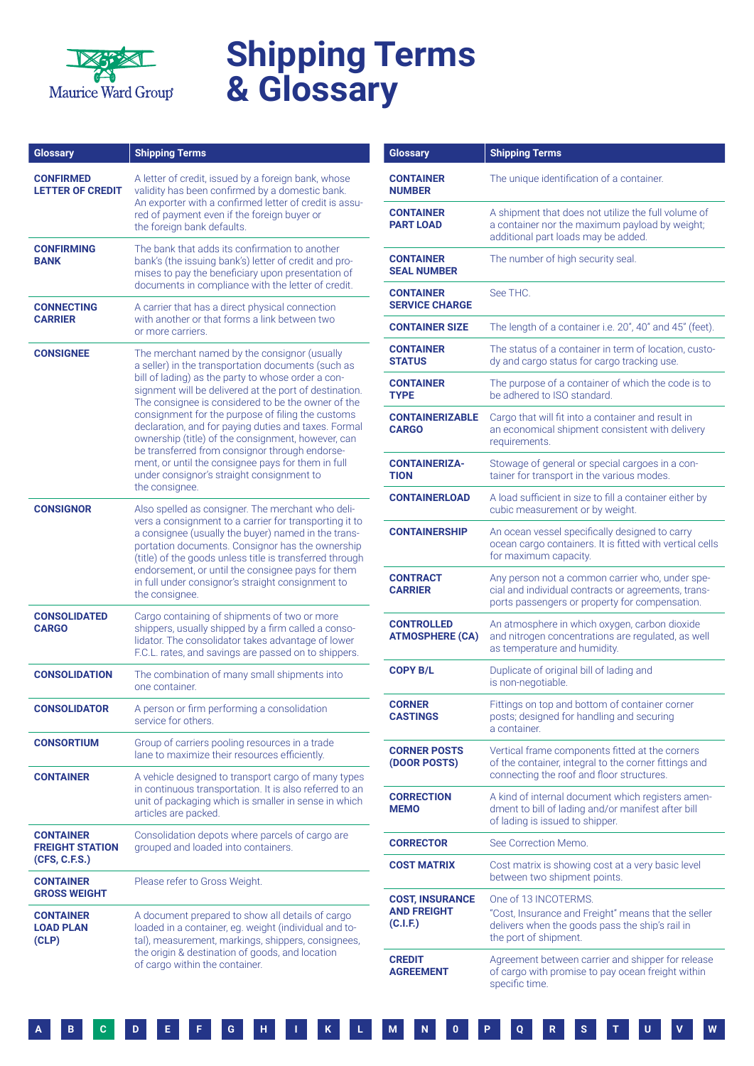

| <b>Glossary</b>                               | <b>Shipping Terms</b>                                                                                                                                                                                                         | <b>Glossary</b>                             | <b>Shipping Terms</b>                                                             |
|-----------------------------------------------|-------------------------------------------------------------------------------------------------------------------------------------------------------------------------------------------------------------------------------|---------------------------------------------|-----------------------------------------------------------------------------------|
| <b>CONFIRMED</b><br><b>LETTER OF CREDIT</b>   | A letter of credit, issued by a foreign bank, whose<br>validity has been confirmed by a domestic bank.<br>An exporter with a confirmed letter of credit is assu-                                                              | <b>CONTAINER</b><br><b>NUMBER</b>           | The unique ident                                                                  |
|                                               | red of payment even if the foreign buyer or<br>the foreign bank defaults.                                                                                                                                                     | <b>CONTAINER</b><br><b>PART LOAD</b>        | A shipment that<br>a container nor t<br>additional part k                         |
| <b>CONFIRMING</b><br><b>BANK</b>              | The bank that adds its confirmation to another<br>bank's (the issuing bank's) letter of credit and pro-<br>mises to pay the beneficiary upon presentation of                                                                  | <b>CONTAINER</b><br><b>SEAL NUMBER</b>      | The number of h                                                                   |
| <b>CONNECTING</b>                             | documents in compliance with the letter of credit.<br>A carrier that has a direct physical connection                                                                                                                         | <b>CONTAINER</b><br><b>SERVICE CHARGE</b>   | See THC.                                                                          |
| <b>CARRIER</b>                                | with another or that forms a link between two<br>or more carriers.                                                                                                                                                            | <b>CONTAINER SIZE</b>                       | The length of a                                                                   |
| <b>CONSIGNEE</b>                              | The merchant named by the consignor (usually<br>a seller) in the transportation documents (such as                                                                                                                            | <b>CONTAINER</b><br><b>STATUS</b>           | The status of a<br>dy and cargo sta                                               |
|                                               | bill of lading) as the party to whose order a con-<br>signment will be delivered at the port of destination.<br>The consignee is considered to be the owner of the                                                            | <b>CONTAINER</b><br><b>TYPE</b>             | The purpose of a<br>be adhered to IS                                              |
|                                               | consignment for the purpose of filing the customs<br>declaration, and for paying duties and taxes. Formal<br>ownership (title) of the consignment, however, can<br>be transferred from consignor through endorse-             | <b>CONTAINERIZABLE</b><br><b>CARGO</b>      | Cargo that will fi<br>an economical s<br>requirements.                            |
|                                               | ment, or until the consignee pays for them in full<br>under consignor's straight consignment to                                                                                                                               | <b>CONTAINERIZA-</b><br><b>TION</b>         | Stowage of gene<br>tainer for transp                                              |
| <b>CONSIGNOR</b>                              | the consignee.<br>Also spelled as consigner. The merchant who deli-                                                                                                                                                           | <b>CONTAINERLOAD</b>                        | A load sufficient<br>cubic measuren                                               |
|                                               | vers a consignment to a carrier for transporting it to<br>a consignee (usually the buyer) named in the trans-<br>portation documents. Consignor has the ownership<br>(title) of the goods unless title is transferred through | <b>CONTAINERSHIP</b>                        | An ocean vessel<br>ocean cargo cor<br>for maximum ca                              |
|                                               | endorsement, or until the consignee pays for them<br>in full under consignor's straight consignment to<br>the consignee.                                                                                                      | <b>CONTRACT</b><br><b>CARRIER</b>           | Any person not a<br>cial and individu<br>ports passenger                          |
| <b>CONSOLIDATED</b><br><b>CARGO</b>           | Cargo containing of shipments of two or more<br>shippers, usually shipped by a firm called a conso-<br>lidator. The consolidator takes advantage of lower<br>F.C.L. rates, and savings are passed on to shippers.             | <b>CONTROLLED</b><br><b>ATMOSPHERE (CA)</b> | An atmosphere<br>and nitrogen cor<br>as temperature                               |
| <b>CONSOLIDATION</b>                          | The combination of many small shipments into<br>one container.                                                                                                                                                                | <b>COPY B/L</b>                             | Duplicate of oric<br>is non-negotiabl                                             |
| <b>CONSOLIDATOR</b>                           | A person or firm performing a consolidation<br>service for others.                                                                                                                                                            | <b>CORNER</b><br><b>CASTINGS</b>            | Fittings on top a<br>posts; designed<br>a container.                              |
| <b>CONSORTIUM</b>                             | Group of carriers pooling resources in a trade<br>lane to maximize their resources efficiently.                                                                                                                               | <b>CORNER POSTS</b><br>(DOOR POSTS)         | Vertical frame c<br>of the container,                                             |
| <b>CONTAINER</b>                              | A vehicle designed to transport cargo of many types<br>in continuous transportation. It is also referred to an<br>unit of packaging which is smaller in sense in which<br>articles are packed.                                | <b>CORRECTION</b><br><b>MEMO</b>            | connecting the r<br>A kind of interna<br>dment to bill of I<br>of lading is issue |
| <b>CONTAINER</b><br><b>FREIGHT STATION</b>    | Consolidation depots where parcels of cargo are<br>grouped and loaded into containers.                                                                                                                                        | <b>CORRECTOR</b>                            | See Correction M                                                                  |
| (CFS, C.F.S.)                                 |                                                                                                                                                                                                                               | <b>COST MATRIX</b>                          | Cost matrix is sl                                                                 |
| <b>CONTAINER</b><br><b>GROSS WEIGHT</b>       | Please refer to Gross Weight.                                                                                                                                                                                                 | <b>COST, INSURANCE</b>                      | between two shi<br>One of 13 INCO                                                 |
| <b>CONTAINER</b><br><b>LOAD PLAN</b><br>(CLP) | A document prepared to show all details of cargo<br>loaded in a container, eg. weight (individual and to-<br>tal), measurement, markings, shippers, consignees,                                                               | <b>AND FREIGHT</b><br>(C.I.F.)              | "Cost, Insurance<br>delivers when th<br>the port of shipr                         |
|                                               | the origin & destination of goods, and location<br>of cargo within the container.                                                                                                                                             | <b>CREDIT</b><br><b>ACDEEMENT</b>           | Agreement betw<br>of cargo with pri                                               |

| <b>Glossary</b>                                          | <b>Shipping Terms</b>                                                                                                                                    |
|----------------------------------------------------------|----------------------------------------------------------------------------------------------------------------------------------------------------------|
| <b>CONTAINER</b><br><b>NUMBER</b>                        | The unique identification of a container.                                                                                                                |
| <b>CONTAINER</b><br><b>PART LOAD</b>                     | A shipment that does not utilize the full volume of<br>a container nor the maximum payload by weight;<br>additional part loads may be added.             |
| <b>CONTAINER</b><br><b>SEAL NUMBER</b>                   | The number of high security seal.                                                                                                                        |
| <b>CONTAINER</b><br><b>SERVICE CHARGE</b>                | See THC.                                                                                                                                                 |
| <b>CONTAINER SIZE</b>                                    | The length of a container i.e. 20", 40" and 45" (feet).                                                                                                  |
| <b>CONTAINER</b><br><b>STATUS</b>                        | The status of a container in term of location, custo-<br>dy and cargo status for cargo tracking use.                                                     |
| <b>CONTAINER</b><br><b>TYPE</b>                          | The purpose of a container of which the code is to<br>be adhered to ISO standard.                                                                        |
| <b>CONTAINERIZABLE</b><br><b>CARGO</b>                   | Cargo that will fit into a container and result in<br>an economical shipment consistent with delivery<br>requirements.                                   |
| <b>CONTAINERIZA-</b><br><b>TION</b>                      | Stowage of general or special cargoes in a con-<br>tainer for transport in the various modes.                                                            |
| <b>CONTAINERLOAD</b>                                     | A load sufficient in size to fill a container either by<br>cubic measurement or by weight.                                                               |
| <b>CONTAINERSHIP</b>                                     | An ocean vessel specifically designed to carry<br>ocean cargo containers. It is fitted with vertical cells<br>for maximum capacity.                      |
| <b>CONTRACT</b><br><b>CARRIER</b>                        | Any person not a common carrier who, under spe-<br>cial and individual contracts or agreements, trans-<br>ports passengers or property for compensation. |
| <b>CONTROLLED</b><br><b>ATMOSPHERE (CA)</b>              | An atmosphere in which oxygen, carbon dioxide<br>and nitrogen concentrations are regulated, as well<br>as temperature and humidity.                      |
| <b>COPY B/L</b>                                          | Duplicate of original bill of lading and<br>is non-negotiable.                                                                                           |
| <b>CORNER</b><br><b>CASTINGS</b>                         | Fittings on top and bottom of container corner<br>posts; designed for handling and securing<br>a container.                                              |
| <b>CORNER POSTS</b><br>(DOOR POSTS)                      | Vertical frame components fitted at the corners<br>of the container, integral to the corner fittings and<br>connecting the roof and floor structures.    |
| <b>CORRECTION</b><br><b>MEMO</b>                         | A kind of internal document which registers amen-<br>dment to bill of lading and/or manifest after bill<br>of lading is issued to shipper.               |
| <b>CORRECTOR</b>                                         | See Correction Memo.                                                                                                                                     |
| <b>COST MATRIX</b>                                       | Cost matrix is showing cost at a very basic level<br>between two shipment points.                                                                        |
| <b>COST, INSURANCE</b><br><b>AND FREIGHT</b><br>(C.I.F.) | One of 13 INCOTERMS.<br>"Cost, Insurance and Freight" means that the seller<br>delivers when the goods pass the ship's rail in<br>the port of shipment.  |
| <b>CREDIT</b><br><b>AGREEMENT</b>                        | Agreement between carrier and shipper for release<br>of cargo with promise to pay ocean freight within<br>specific time.                                 |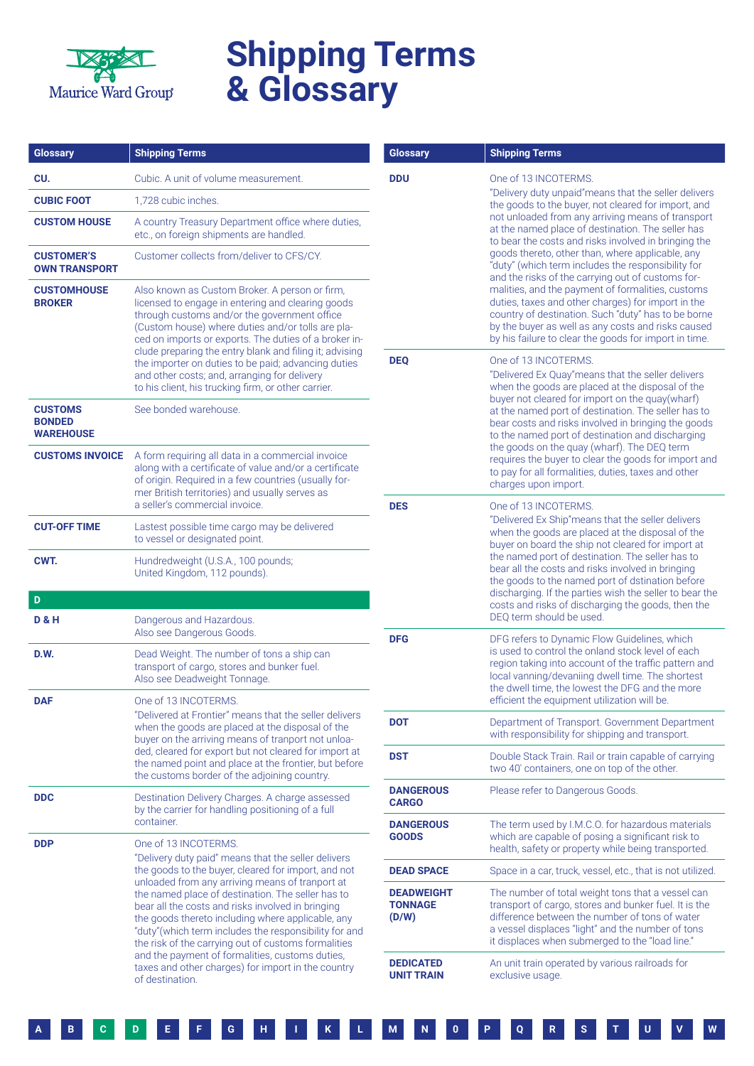<span id="page-5-0"></span>

| <b>Glossary</b>                                     | <b>Shipping Terms</b>                                                                                                                                                                                                                                                                                                              | Glossary                                     | <b>Shipping Terms</b>                                                                                                                                                                                                                                                                         |  |
|-----------------------------------------------------|------------------------------------------------------------------------------------------------------------------------------------------------------------------------------------------------------------------------------------------------------------------------------------------------------------------------------------|----------------------------------------------|-----------------------------------------------------------------------------------------------------------------------------------------------------------------------------------------------------------------------------------------------------------------------------------------------|--|
| CU.                                                 | Cubic. A unit of volume measurement.                                                                                                                                                                                                                                                                                               | <b>DDU</b>                                   | One of 13 INCOTERMS.                                                                                                                                                                                                                                                                          |  |
| <b>CUBIC FOOT</b>                                   | 1,728 cubic inches.                                                                                                                                                                                                                                                                                                                |                                              | "Delivery duty unpaid" means that the seller delivers<br>the goods to the buyer, not cleared for import, and                                                                                                                                                                                  |  |
| <b>CUSTOM HOUSE</b>                                 | A country Treasury Department office where duties,<br>etc., on foreign shipments are handled.                                                                                                                                                                                                                                      |                                              | not unloaded from any arriving means of transport<br>at the named place of destination. The seller has<br>to bear the costs and risks involved in bringing the                                                                                                                                |  |
| <b>CUSTOMER'S</b><br><b>OWN TRANSPORT</b>           | Customer collects from/deliver to CFS/CY.                                                                                                                                                                                                                                                                                          |                                              | goods thereto, other than, where applicable, any<br>"duty" (which term includes the responsibility for<br>and the risks of the carrying out of customs for-                                                                                                                                   |  |
| <b>CUSTOMHOUSE</b><br><b>BROKER</b>                 | Also known as Custom Broker. A person or firm,<br>licensed to engage in entering and clearing goods<br>through customs and/or the government office<br>(Custom house) where duties and/or tolls are pla-<br>ced on imports or exports. The duties of a broker in-<br>clude preparing the entry blank and filing it; advising       |                                              | malities, and the payment of formalities, customs<br>duties, taxes and other charges) for import in the<br>country of destination. Such "duty" has to be borne<br>by the buyer as well as any costs and risks caused<br>by his failure to clear the goods for import in time.                 |  |
|                                                     | the importer on duties to be paid; advancing duties<br>and other costs; and, arranging for delivery<br>to his client, his trucking firm, or other carrier.                                                                                                                                                                         | <b>DEQ</b>                                   | One of 13 INCOTERMS.<br>"Delivered Ex Quay" means that the seller delivers<br>when the goods are placed at the disposal of the                                                                                                                                                                |  |
| <b>CUSTOMS</b><br><b>BONDED</b><br><b>WAREHOUSE</b> | See bonded warehouse.                                                                                                                                                                                                                                                                                                              |                                              | buyer not cleared for import on the quay(wharf)<br>at the named port of destination. The seller has to<br>bear costs and risks involved in bringing the goods<br>to the named port of destination and discharging<br>the goods on the quay (wharf). The DEQ term                              |  |
| <b>CUSTOMS INVOICE</b>                              | A form requiring all data in a commercial invoice<br>along with a certificate of value and/or a certificate<br>of origin. Required in a few countries (usually for-<br>mer British territories) and usually serves as                                                                                                              |                                              | requires the buyer to clear the goods for import and<br>to pay for all formalities, duties, taxes and other<br>charges upon import.                                                                                                                                                           |  |
|                                                     | a seller's commercial invoice.                                                                                                                                                                                                                                                                                                     | <b>DES</b>                                   | One of 13 INCOTERMS.<br>"Delivered Ex Ship" means that the seller delivers                                                                                                                                                                                                                    |  |
| <b>CUT-OFF TIME</b>                                 | Lastest possible time cargo may be delivered<br>to vessel or designated point.                                                                                                                                                                                                                                                     |                                              | when the goods are placed at the disposal of the<br>buyer on board the ship not cleared for import at                                                                                                                                                                                         |  |
| CWT.                                                | Hundredweight (U.S.A., 100 pounds;<br>United Kingdom, 112 pounds).                                                                                                                                                                                                                                                                 |                                              | the named port of destination. The seller has to<br>bear all the costs and risks involved in bringing<br>the goods to the named port of dstination before                                                                                                                                     |  |
| $\mathbf D$                                         |                                                                                                                                                                                                                                                                                                                                    |                                              | discharging. If the parties wish the seller to bear the<br>costs and risks of discharging the goods, then the                                                                                                                                                                                 |  |
| <b>D&amp;H</b>                                      | Dangerous and Hazardous.<br>Also see Dangerous Goods.                                                                                                                                                                                                                                                                              |                                              | DEQ term should be used.<br>DFG refers to Dynamic Flow Guidelines, which<br>is used to control the onland stock level of each<br>region taking into account of the traffic pattern and<br>local vanning/devaniing dwell time. The shortest<br>the dwell time, the lowest the DFG and the more |  |
| D.W.                                                | Dead Weight. The number of tons a ship can<br>transport of cargo, stores and bunker fuel.<br>Also see Deadweight Tonnage.                                                                                                                                                                                                          | <b>DFG</b>                                   |                                                                                                                                                                                                                                                                                               |  |
| <b>DAF</b>                                          | One of 13 INCOTERMS.                                                                                                                                                                                                                                                                                                               |                                              | efficient the equipment utilization will be.                                                                                                                                                                                                                                                  |  |
|                                                     | "Delivered at Frontier" means that the seller delivers<br>when the goods are placed at the disposal of the<br>buyer on the arriving means of tranport not unloa-<br>ded, cleared for export but not cleared for import at<br>the named point and place at the frontier, but before<br>the customs border of the adjoining country. | <b>DOT</b>                                   | Department of Transport. Government Department<br>with responsibility for shipping and transport.                                                                                                                                                                                             |  |
|                                                     |                                                                                                                                                                                                                                                                                                                                    | <b>DST</b>                                   | Double Stack Train. Rail or train capable of carrying<br>two 40' containers, one on top of the other.                                                                                                                                                                                         |  |
| <b>DDC</b>                                          | Destination Delivery Charges. A charge assessed<br>by the carrier for handling positioning of a full                                                                                                                                                                                                                               | <b>DANGEROUS</b><br><b>CARGO</b>             | Please refer to Dangerous Goods.                                                                                                                                                                                                                                                              |  |
| <b>DDP</b>                                          | container.<br>One of 13 INCOTERMS.                                                                                                                                                                                                                                                                                                 | <b>DANGEROUS</b><br><b>GOODS</b>             | The term used by I.M.C.O. for hazardous materials<br>which are capable of posing a significant risk to<br>health, safety or property while being transported.                                                                                                                                 |  |
|                                                     | "Delivery duty paid" means that the seller delivers<br>the goods to the buyer, cleared for import, and not                                                                                                                                                                                                                         | <b>DEAD SPACE</b>                            | Space in a car, truck, vessel, etc., that is not utilized.                                                                                                                                                                                                                                    |  |
|                                                     | unloaded from any arriving means of tranport at<br>the named place of destination. The seller has to<br>bear all the costs and risks involved in bringing<br>the goods thereto including where applicable, any<br>"duty" (which term includes the responsibility for and<br>the risk of the carrying out of customs formalities    | <b>DEADWEIGHT</b><br><b>TONNAGE</b><br>(D/W) | The number of total weight tons that a vessel can<br>transport of cargo, stores and bunker fuel. It is the<br>difference between the number of tons of water<br>a vessel displaces "light" and the number of tons<br>it displaces when submerged to the "load line."                          |  |
|                                                     | and the payment of formalities, customs duties,<br>taxes and other charges) for import in the country<br>of destination.                                                                                                                                                                                                           | <b>DEDICATED</b><br><b>UNIT TRAIN</b>        | An unit train operated by various railroads for<br>exclusive usage.                                                                                                                                                                                                                           |  |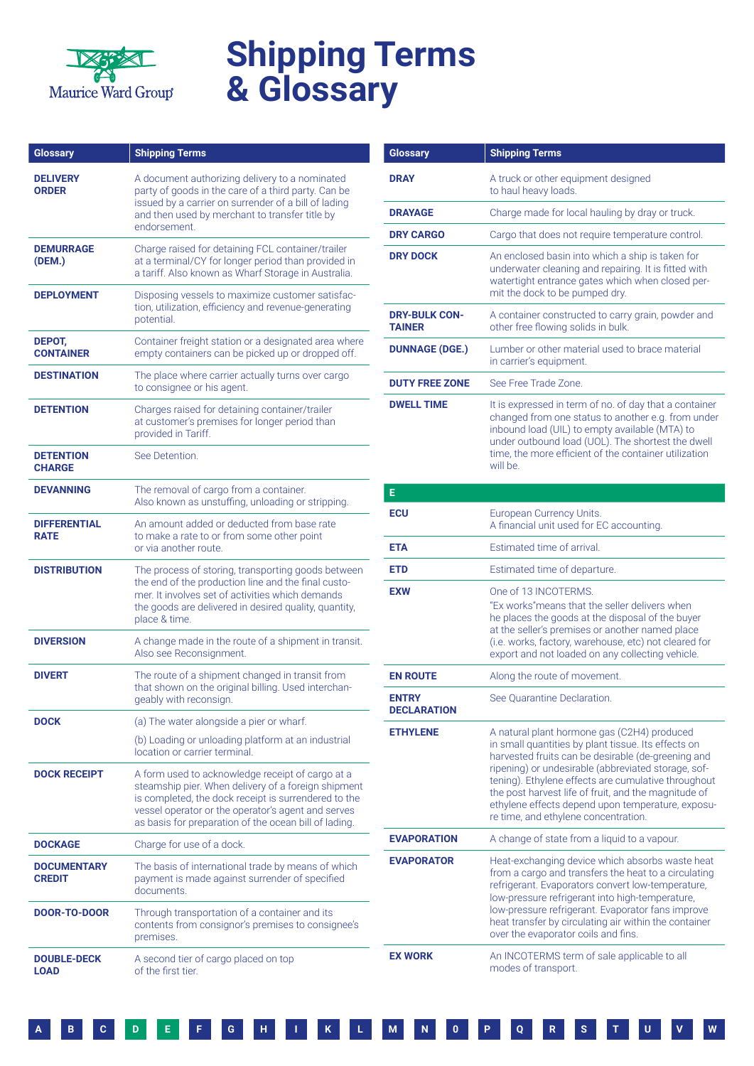<span id="page-6-0"></span>

| <b>Glossary</b>                     | <b>Shipping Terms</b>                                                                                                                                                                                                                                                          | <b>Glossary</b>                       | <b>Shipping Terms</b>                                                                              |
|-------------------------------------|--------------------------------------------------------------------------------------------------------------------------------------------------------------------------------------------------------------------------------------------------------------------------------|---------------------------------------|----------------------------------------------------------------------------------------------------|
| <b>DELIVERY</b><br><b>ORDER</b>     | A document authorizing delivery to a nominated<br>party of goods in the care of a third party. Can be<br>issued by a carrier on surrender of a bill of lading                                                                                                                  | <b>DRAY</b>                           | A truck or other<br>to haul heavy loa                                                              |
|                                     | and then used by merchant to transfer title by                                                                                                                                                                                                                                 | <b>DRAYAGE</b>                        | Charge made fo                                                                                     |
|                                     | endorsement.                                                                                                                                                                                                                                                                   | <b>DRY CARGO</b>                      | Cargo that does                                                                                    |
| <b>DEMURRAGE</b><br>(DEM.)          | Charge raised for detaining FCL container/trailer<br>at a terminal/CY for longer period than provided in<br>a tariff. Also known as Wharf Storage in Australia.                                                                                                                | <b>DRY DOCK</b>                       | An enclosed bas<br>underwater clea<br>watertight entra                                             |
| <b>DEPLOYMENT</b>                   | Disposing vessels to maximize customer satisfac-<br>tion, utilization, efficiency and revenue-generating<br>potential.                                                                                                                                                         | <b>DRY-BULK CON-</b><br><b>TAINER</b> | mit the dock to <b>b</b><br>A container cons<br>other free flowin                                  |
| DEPOT,<br><b>CONTAINER</b>          | Container freight station or a designated area where<br>empty containers can be picked up or dropped off.                                                                                                                                                                      | <b>DUNNAGE (DGE.)</b>                 | Lumber or other<br>in carrier's equip                                                              |
| <b>DESTINATION</b>                  | The place where carrier actually turns over cargo<br>to consignee or his agent.                                                                                                                                                                                                | <b>DUTY FREE ZONE</b>                 | See Free Trade 2                                                                                   |
| <b>DETENTION</b>                    | Charges raised for detaining container/trailer<br>at customer's premises for longer period than<br>provided in Tariff.                                                                                                                                                         | <b>DWELL TIME</b>                     | It is expressed in<br>changed from o<br>inbound load (U<br>under outbound                          |
| <b>DETENTION</b><br><b>CHARGE</b>   | See Detention.                                                                                                                                                                                                                                                                 |                                       | time, the more e<br>will be.                                                                       |
| <b>DEVANNING</b>                    | The removal of cargo from a container.<br>Also known as unstuffing, unloading or stripping.                                                                                                                                                                                    | E                                     |                                                                                                    |
| <b>DIFFERENTIAL</b><br><b>RATE</b>  | An amount added or deducted from base rate<br>to make a rate to or from some other point                                                                                                                                                                                       | <b>ECU</b>                            | European Currer<br>A financial unit u                                                              |
|                                     | or via another route.                                                                                                                                                                                                                                                          | <b>ETA</b>                            | <b>Estimated time</b>                                                                              |
| <b>DISTRIBUTION</b>                 | The process of storing, transporting goods between<br>the end of the production line and the final custo-                                                                                                                                                                      | <b>ETD</b>                            | <b>Estimated time</b>                                                                              |
|                                     | mer. It involves set of activities which demands<br>the goods are delivered in desired quality, quantity,<br>place & time.                                                                                                                                                     |                                       | One of 13 INCO<br>"Ex works"mean<br>he places the go<br>at the seller's pre                        |
| <b>DIVERSION</b>                    | A change made in the route of a shipment in transit.<br>Also see Reconsignment.                                                                                                                                                                                                |                                       | (i.e. works, facto<br>export and not lo                                                            |
| <b>DIVERT</b>                       | The route of a shipment changed in transit from                                                                                                                                                                                                                                | <b>EN ROUTE</b>                       | Along the route                                                                                    |
|                                     | that shown on the original billing. Used interchan-<br>geably with reconsign.                                                                                                                                                                                                  | <b>ENTRY</b><br><b>DECLARATION</b>    | See Quarantine                                                                                     |
| <b>DOCK</b>                         | (a) The water alongside a pier or wharf.<br>(b) Loading or unloading platform at an industrial<br>location or carrier terminal.                                                                                                                                                | <b>ETHYLENE</b>                       | A natural plant h<br>in small quantiti<br>harvested fruits                                         |
| <b>DOCK RECEIPT</b>                 | A form used to acknowledge receipt of cargo at a<br>steamship pier. When delivery of a foreign shipment<br>is completed, the dock receipt is surrendered to the<br>vessel operator or the operator's agent and serves<br>as basis for preparation of the ocean bill of lading. |                                       | ripening) or und<br>tening). Ethylene<br>the post harvest<br>ethylene effects<br>re time, and ethy |
| <b>DOCKAGE</b>                      | Charge for use of a dock.                                                                                                                                                                                                                                                      | <b>EVAPORATION</b>                    | A change of stat                                                                                   |
| <b>DOCUMENTARY</b><br><b>CREDIT</b> | The basis of international trade by means of which<br>payment is made against surrender of specified<br>documents.                                                                                                                                                             | <b>EVAPORATOR</b>                     | Heat-exchangin<br>from a cargo an<br>refrigerant. Evap<br>low-pressure ref                         |
| <b>DOOR-TO-DOOR</b>                 | Through transportation of a container and its<br>contents from consignor's premises to consignee's<br>premises.                                                                                                                                                                |                                       | low-pressure ref<br>heat transfer by<br>over the evapora                                           |
| <b>DOUBLE-DECK</b><br><b>LOAD</b>   | A second tier of cargo placed on top<br>of the first tier.                                                                                                                                                                                                                     | <b>EX WORK</b>                        | An INCOTERMS<br>modes of transp                                                                    |

| <b>Glossary</b>                       | <b>Shipping Terms</b>                                                                                                                                                                                                                                                                                                                                                                                                       |
|---------------------------------------|-----------------------------------------------------------------------------------------------------------------------------------------------------------------------------------------------------------------------------------------------------------------------------------------------------------------------------------------------------------------------------------------------------------------------------|
| <b>DRAY</b>                           |                                                                                                                                                                                                                                                                                                                                                                                                                             |
|                                       | A truck or other equipment designed<br>to haul heavy loads.                                                                                                                                                                                                                                                                                                                                                                 |
| <b>DRAYAGE</b>                        | Charge made for local hauling by dray or truck.                                                                                                                                                                                                                                                                                                                                                                             |
| <b>DRY CARGO</b>                      | Cargo that does not require temperature control.                                                                                                                                                                                                                                                                                                                                                                            |
| <b>DRY DOCK</b>                       | An enclosed basin into which a ship is taken for<br>underwater cleaning and repairing. It is fitted with<br>watertight entrance gates which when closed per-<br>mit the dock to be pumped dry.                                                                                                                                                                                                                              |
| <b>DRY-BULK CON-</b><br><b>TAINER</b> | A container constructed to carry grain, powder and<br>other free flowing solids in bulk.                                                                                                                                                                                                                                                                                                                                    |
| <b>DUNNAGE (DGE.)</b>                 | Lumber or other material used to brace material<br>in carrier's equipment.                                                                                                                                                                                                                                                                                                                                                  |
| <b>DUTY FREE ZONE</b>                 | See Free Trade Zone.                                                                                                                                                                                                                                                                                                                                                                                                        |
| <b>DWELL TIME</b>                     | It is expressed in term of no. of day that a container<br>changed from one status to another e.g. from under<br>inbound load (UIL) to empty available (MTA) to<br>under outbound load (UOL). The shortest the dwell<br>time, the more efficient of the container utilization<br>will he                                                                                                                                     |
| E                                     |                                                                                                                                                                                                                                                                                                                                                                                                                             |
| <b>ECU</b>                            | European Currency Units.<br>A financial unit used for EC accounting.                                                                                                                                                                                                                                                                                                                                                        |
| <b>ETA</b>                            | Estimated time of arrival.                                                                                                                                                                                                                                                                                                                                                                                                  |
| <b>ETD</b>                            | Estimated time of departure.                                                                                                                                                                                                                                                                                                                                                                                                |
| <b>EXW</b>                            | One of 13 INCOTERMS.<br>"Ex works" means that the seller delivers when<br>he places the goods at the disposal of the buyer<br>at the seller's premises or another named place<br>(i.e. works, factory, warehouse, etc) not cleared for<br>export and not loaded on any collecting vehicle.                                                                                                                                  |
| <b>EN ROUTE</b>                       | Along the route of movement.                                                                                                                                                                                                                                                                                                                                                                                                |
| <b>ENTRY</b><br><b>DECLARATION</b>    | See Quarantine Declaration.                                                                                                                                                                                                                                                                                                                                                                                                 |
| <b>ETHYLENE</b>                       | A natural plant hormone gas (C2H4) produced<br>in small quantities by plant tissue. Its effects on<br>harvested fruits can be desirable (de-greening and<br>ripening) or undesirable (abbreviated storage, sof-<br>tening). Ethylene effects are cumulative throughout<br>the post harvest life of fruit, and the magnitude of<br>ethylene effects depend upon temperature, exposu-<br>re time, and ethylene concentration. |
| <b>EVAPORATION</b>                    | A change of state from a liquid to a vapour.                                                                                                                                                                                                                                                                                                                                                                                |
| <b>EVAPORATOR</b>                     | Heat-exchanging device which absorbs waste heat<br>from a cargo and transfers the heat to a circulating<br>refrigerant. Evaporators convert low-temperature,<br>low-pressure refrigerant into high-temperature,<br>low-pressure refrigerant. Evaporator fans improve<br>heat transfer by circulating air within the container<br>over the evaporator coils and fins.                                                        |
| <b>EX WORK</b>                        | An INCOTERMS term of sale applicable to all<br>modes of transport.                                                                                                                                                                                                                                                                                                                                                          |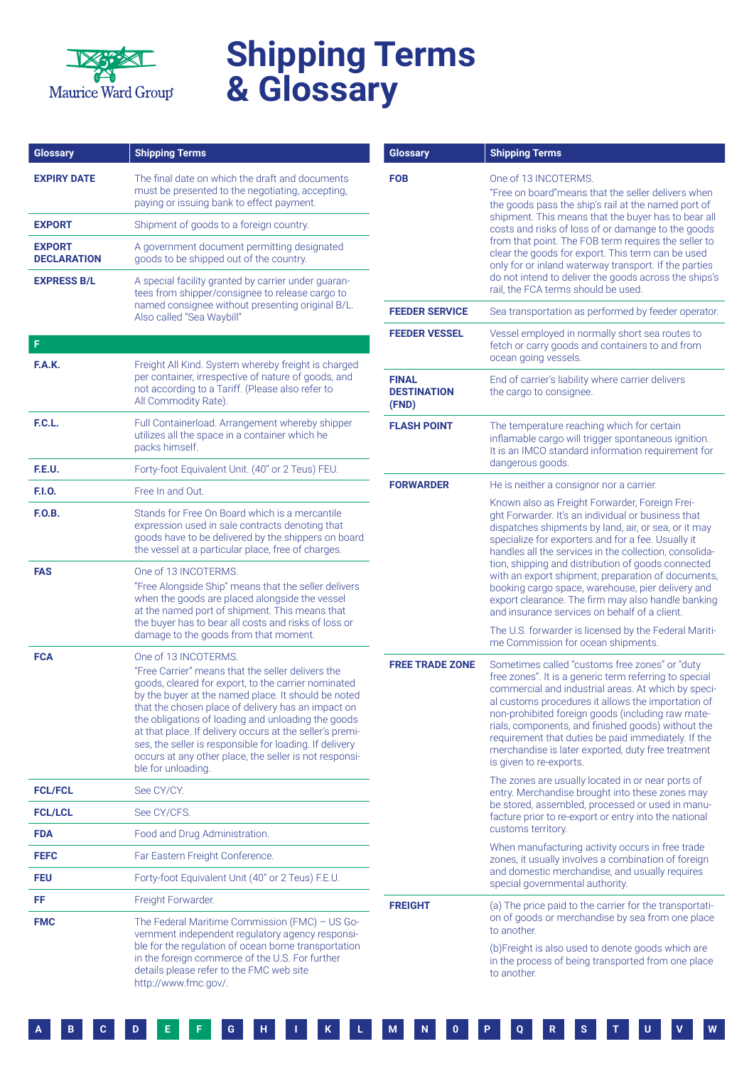<span id="page-7-0"></span>

| <b>Glossary</b>                     | <b>Shipping Terms</b>                                                                                                                                                                                                                                                                                                                                                                                                                                                                                      | <b>Glossary</b>                             | <b>Shipping Terms</b>                                                                                                                                                         |
|-------------------------------------|------------------------------------------------------------------------------------------------------------------------------------------------------------------------------------------------------------------------------------------------------------------------------------------------------------------------------------------------------------------------------------------------------------------------------------------------------------------------------------------------------------|---------------------------------------------|-------------------------------------------------------------------------------------------------------------------------------------------------------------------------------|
| <b>EXPIRY DATE</b>                  | The final date on which the draft and documents<br>must be presented to the negotiating, accepting,<br>paying or issuing bank to effect payment.                                                                                                                                                                                                                                                                                                                                                           | <b>FOB</b>                                  | One of 13 INCO<br>"Free on board"r<br>the goods pass                                                                                                                          |
| <b>EXPORT</b>                       | Shipment of goods to a foreign country.                                                                                                                                                                                                                                                                                                                                                                                                                                                                    |                                             | shipment. This r<br>costs and risks                                                                                                                                           |
| <b>EXPORT</b><br><b>DECLARATION</b> | A government document permitting designated<br>goods to be shipped out of the country.                                                                                                                                                                                                                                                                                                                                                                                                                     |                                             | from that point.<br>clear the goods<br>only for or inland                                                                                                                     |
| <b>EXPRESS B/L</b>                  | A special facility granted by carrier under guaran-<br>tees from shipper/consignee to release cargo to                                                                                                                                                                                                                                                                                                                                                                                                     |                                             | do not intend to<br>rail, the FCA terr                                                                                                                                        |
|                                     | named consignee without presenting original B/L.<br>Also called "Sea Waybill"                                                                                                                                                                                                                                                                                                                                                                                                                              | <b>FEEDER SERVICE</b>                       | Sea transportati                                                                                                                                                              |
| F                                   |                                                                                                                                                                                                                                                                                                                                                                                                                                                                                                            | <b>FEEDER VESSEL</b>                        | Vessel employer<br>fetch or carry go<br>ocean going ves                                                                                                                       |
| F.A.K.                              | Freight All Kind. System whereby freight is charged<br>per container, irrespective of nature of goods, and<br>not according to a Tariff. (Please also refer to<br>All Commodity Rate).                                                                                                                                                                                                                                                                                                                     | <b>FINAL</b><br><b>DESTINATION</b><br>(FND) | End of carrier's I<br>the cargo to con                                                                                                                                        |
| F.C.L.                              | Full Containerload. Arrangement whereby shipper<br>utilizes all the space in a container which he<br>packs himself.                                                                                                                                                                                                                                                                                                                                                                                        | <b>FLASH POINT</b>                          | The temperature<br>inflamable cargo<br>It is an IMCO sta                                                                                                                      |
| F.E.U.                              | Forty-foot Equivalent Unit. (40" or 2 Teus) FEU.                                                                                                                                                                                                                                                                                                                                                                                                                                                           |                                             | dangerous good                                                                                                                                                                |
| <b>F.I.O.</b>                       | Free In and Out.                                                                                                                                                                                                                                                                                                                                                                                                                                                                                           | <b>FORWARDER</b>                            | He is neither a c                                                                                                                                                             |
| <b>F.O.B.</b>                       | Stands for Free On Board which is a mercantile<br>expression used in sale contracts denoting that<br>goods have to be delivered by the shippers on board<br>the vessel at a particular place, free of charges.                                                                                                                                                                                                                                                                                             |                                             | Known also as F<br>ght Forwarder. It<br>dispatches ship<br>specialize for ex<br>handles all the s                                                                             |
| <b>FAS</b>                          | One of 13 INCOTERMS.<br>"Free Alongside Ship" means that the seller delivers<br>when the goods are placed alongside the vessel<br>at the named port of shipment. This means that                                                                                                                                                                                                                                                                                                                           |                                             | tion, shipping ar<br>with an export s<br>booking cargo s<br>export clearance<br>and insurance s                                                                               |
|                                     | the buyer has to bear all costs and risks of loss or<br>damage to the goods from that moment.                                                                                                                                                                                                                                                                                                                                                                                                              |                                             | The U.S. forward<br>me Commission                                                                                                                                             |
| <b>FCA</b>                          | One of 13 INCOTERMS.<br>"Free Carrier" means that the seller delivers the<br>goods, cleared for export, to the carrier nominated<br>by the buyer at the named place. It should be noted<br>that the chosen place of delivery has an impact on<br>the obligations of loading and unloading the goods<br>at that place. If delivery occurs at the seller's premi-<br>ses, the seller is responsible for loading. If delivery<br>occurs at any other place, the seller is not responsi-<br>ble for unloading. | <b>FREE TRADE ZONE</b>                      | Sometimes calle<br>free zones". It is<br>commercial and<br>al customs proc<br>non-prohibited f<br>rials, componen<br>requirement that<br>merchandise is<br>is given to re-exp |
| <b>FCL/FCL</b>                      | See CY/CY.                                                                                                                                                                                                                                                                                                                                                                                                                                                                                                 |                                             | The zones are u<br>entry. Merchand                                                                                                                                            |
| <b>FCL/LCL</b>                      | See CY/CFS.                                                                                                                                                                                                                                                                                                                                                                                                                                                                                                |                                             | be stored, asser<br>facture prior to r                                                                                                                                        |
| <b>FDA</b>                          | Food and Drug Administration.                                                                                                                                                                                                                                                                                                                                                                                                                                                                              |                                             | customs territor                                                                                                                                                              |
| <b>FEFC</b>                         | Far Eastern Freight Conference.                                                                                                                                                                                                                                                                                                                                                                                                                                                                            |                                             | When manufact<br>zones, it usually                                                                                                                                            |
| <b>FEU</b>                          | Forty-foot Equivalent Unit (40" or 2 Teus) F.E.U.                                                                                                                                                                                                                                                                                                                                                                                                                                                          |                                             | and domestic m<br>special governm                                                                                                                                             |
| FF                                  | Freight Forwarder.                                                                                                                                                                                                                                                                                                                                                                                                                                                                                         | <b>FREIGHT</b>                              | (a) The price pai                                                                                                                                                             |
| <b>FMC</b>                          | The Federal Maritime Commission (FMC) - US Go-<br>vernment independent regulatory agency responsi-<br>ble for the regulation of ocean borne transportation                                                                                                                                                                                                                                                                                                                                                 |                                             | on of goods or r<br>to another.<br>(b)Freight is also                                                                                                                         |
|                                     | in the foreign commerce of the U.S. For further<br>details please refer to the FMC web site<br>http://www.fmc.gov/.                                                                                                                                                                                                                                                                                                                                                                                        |                                             | in the process of<br>to another.                                                                                                                                              |

| <b>Glossary</b>                             | <b>Shipping Terms</b>                                                                                                                                                                                                                                                                                                                                                                                                                                                                                                                                                                                         |
|---------------------------------------------|---------------------------------------------------------------------------------------------------------------------------------------------------------------------------------------------------------------------------------------------------------------------------------------------------------------------------------------------------------------------------------------------------------------------------------------------------------------------------------------------------------------------------------------------------------------------------------------------------------------|
|                                             |                                                                                                                                                                                                                                                                                                                                                                                                                                                                                                                                                                                                               |
| <b>FOB</b>                                  | One of 13 INCOTERMS.<br>"Free on board"means that the seller delivers when<br>the goods pass the ship's rail at the named port of<br>shipment. This means that the buyer has to bear all<br>costs and risks of loss of or damange to the goods<br>from that point. The FOB term requires the seller to<br>clear the goods for export. This term can be used<br>only for or inland waterway transport. If the parties<br>do not intend to deliver the goods across the ships's<br>rail, the FCA terms should be used.                                                                                          |
| <b>FEEDER SERVICE</b>                       | Sea transportation as performed by feeder operator.                                                                                                                                                                                                                                                                                                                                                                                                                                                                                                                                                           |
| <b>FEEDER VESSEL</b>                        | Vessel employed in normally short sea routes to<br>fetch or carry goods and containers to and from<br>ocean going vessels.                                                                                                                                                                                                                                                                                                                                                                                                                                                                                    |
| <b>FINAL</b><br><b>DESTINATION</b><br>(FND) | End of carrier's liability where carrier delivers<br>the cargo to consignee.                                                                                                                                                                                                                                                                                                                                                                                                                                                                                                                                  |
| <b>FLASH POINT</b>                          | The temperature reaching which for certain<br>inflamable cargo will trigger spontaneous ignition.<br>It is an IMCO standard information requirement for<br>dangerous goods.                                                                                                                                                                                                                                                                                                                                                                                                                                   |
| <b>FORWARDER</b>                            | He is neither a consignor nor a carrier.                                                                                                                                                                                                                                                                                                                                                                                                                                                                                                                                                                      |
|                                             | Known also as Freight Forwarder, Foreign Frei-<br>ght Forwarder. It's an individual or business that<br>dispatches shipments by land, air, or sea, or it may<br>specialize for exporters and for a fee. Usually it<br>handles all the services in the collection, consolida-<br>tion, shipping and distribution of goods connected<br>with an export shipment; preparation of documents,<br>booking cargo space, warehouse, pier delivery and<br>export clearance. The firm may also handle banking<br>and insurance services on behalf of a client.<br>The U.S. forwarder is licensed by the Federal Mariti- |
|                                             | me Commission for ocean shipments.                                                                                                                                                                                                                                                                                                                                                                                                                                                                                                                                                                            |
| <b>FREE TRADE ZONE</b>                      | Sometimes called "customs free zones" or "duty<br>free zones". It is a generic term referring to special<br>commercial and industrial areas. At which by speci-<br>al customs procedures it allows the importation of<br>non-prohibited foreign goods (including raw mate-<br>rials, components, and finished goods) without the<br>requirement that duties be paid immediately. If the<br>merchandise is later exported, duty free treatment<br>is given to re-exports.                                                                                                                                      |
|                                             | The zones are usually located in or near ports of<br>entry. Merchandise brought into these zones may<br>be stored, assembled, processed or used in manu-<br>facture prior to re-export or entry into the national<br>customs territory.                                                                                                                                                                                                                                                                                                                                                                       |
|                                             | When manufacturing activity occurs in free trade<br>zones, it usually involves a combination of foreign<br>and domestic merchandise, and usually requires<br>special governmental authority.                                                                                                                                                                                                                                                                                                                                                                                                                  |
| <b>FREIGHT</b>                              | (a) The price paid to the carrier for the transportati-<br>on of goods or merchandise by sea from one place<br>to another.                                                                                                                                                                                                                                                                                                                                                                                                                                                                                    |
|                                             | (b)Freight is also used to denote goods which are<br>in the process of being transported from one place<br>to another.                                                                                                                                                                                                                                                                                                                                                                                                                                                                                        |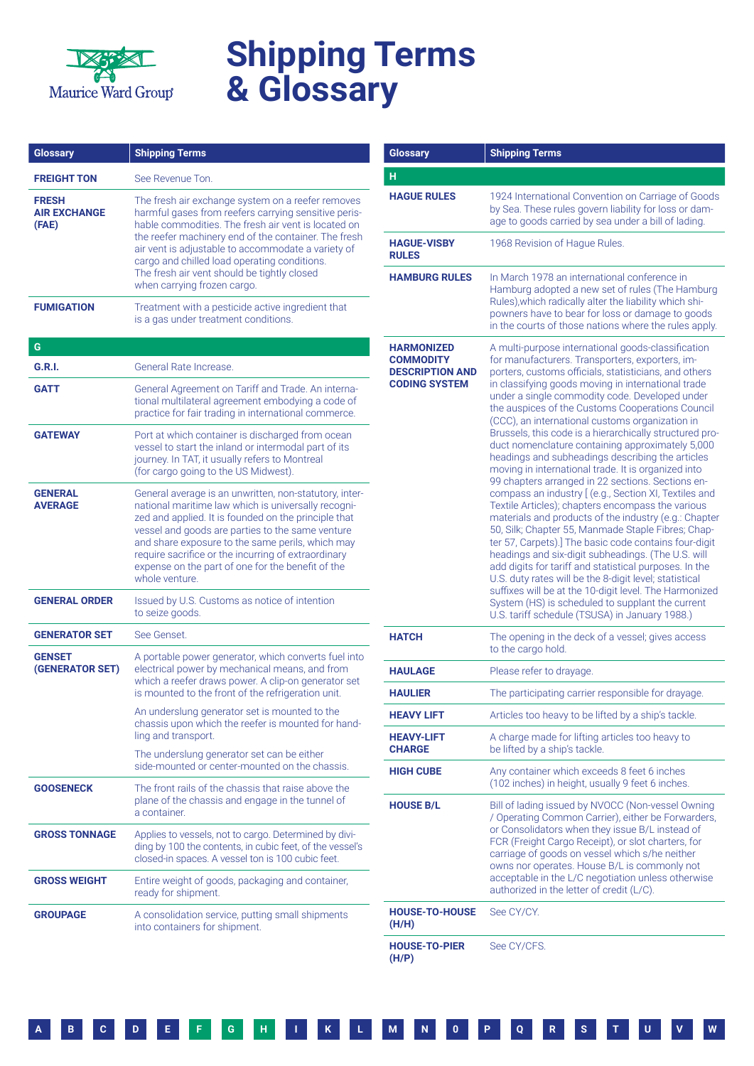<span id="page-8-0"></span>

| <b>Glossary</b>                              | <b>Shipping Terms</b>                                                                                                                                                                                                                                                                                                                                                                                       | <b>Glossary</b>                                                                                                                                                                                                                                                      | <b>Shipping Terms</b>                                                          |
|----------------------------------------------|-------------------------------------------------------------------------------------------------------------------------------------------------------------------------------------------------------------------------------------------------------------------------------------------------------------------------------------------------------------------------------------------------------------|----------------------------------------------------------------------------------------------------------------------------------------------------------------------------------------------------------------------------------------------------------------------|--------------------------------------------------------------------------------|
| <b>FREIGHT TON</b>                           | See Revenue Ton.                                                                                                                                                                                                                                                                                                                                                                                            | H                                                                                                                                                                                                                                                                    |                                                                                |
| <b>FRESH</b><br><b>AIR EXCHANGE</b><br>(FAE) | The fresh air exchange system on a reefer removes<br>harmful gases from reefers carrying sensitive peris-<br>hable commodities. The fresh air vent is located on                                                                                                                                                                                                                                            | <b>HAGUE RULES</b>                                                                                                                                                                                                                                                   | 1924 Internatior<br>by Sea. These ru<br>age to goods ca                        |
|                                              | the reefer machinery end of the container. The fresh<br>air vent is adjustable to accommodate a variety of<br>cargo and chilled load operating conditions.                                                                                                                                                                                                                                                  | <b>HAGUE-VISBY</b><br><b>RULES</b>                                                                                                                                                                                                                                   | 1968 Revision o                                                                |
|                                              | The fresh air vent should be tightly closed<br>when carrying frozen cargo.                                                                                                                                                                                                                                                                                                                                  | <b>HAMBURG RULES</b>                                                                                                                                                                                                                                                 | In March 1978 a<br>Hamburg adopt                                               |
| <b>FUMIGATION</b>                            | Treatment with a pesticide active ingredient that<br>is a gas under treatment conditions.                                                                                                                                                                                                                                                                                                                   |                                                                                                                                                                                                                                                                      | Rules), which rad<br>powners have to<br>in the courts of t                     |
| ${\mathsf G}$                                |                                                                                                                                                                                                                                                                                                                                                                                                             | <b>HARMONIZED</b>                                                                                                                                                                                                                                                    | A multi-purpose                                                                |
| <b>G.R.I.</b>                                | <b>COMMODITY</b><br>General Rate Increase.<br><b>DESCRIPTION AND</b>                                                                                                                                                                                                                                                                                                                                        |                                                                                                                                                                                                                                                                      | for manufacture<br>porters, custom                                             |
| <b>GATT</b>                                  | General Agreement on Tariff and Trade. An interna-<br>tional multilateral agreement embodying a code of<br>practice for fair trading in international commerce.                                                                                                                                                                                                                                             | <b>CODING SYSTEM</b>                                                                                                                                                                                                                                                 | in classifying go<br>under a single co<br>the auspices of<br>(CCC), an interna |
| <b>GATEWAY</b>                               | Port at which container is discharged from ocean<br>vessel to start the inland or intermodal part of its<br>journey. In TAT, it usually refers to Montreal<br>(for cargo going to the US Midwest).                                                                                                                                                                                                          | Brussels, this co<br>duct nomenclati<br>headings and su<br>moving in intern<br>99 chapters arra<br>compass an ind<br>Textile Articles);<br>materials and pr<br>50, Silk; Chapter<br>ter 57, Carpets).<br>headings and si:<br>add digits for tar<br>U.S. duty rates v |                                                                                |
| <b>GENERAL</b><br><b>AVERAGE</b>             | General average is an unwritten, non-statutory, inter-<br>national maritime law which is universally recogni-<br>zed and applied. It is founded on the principle that<br>vessel and goods are parties to the same venture<br>and share exposure to the same perils, which may<br>require sacrifice or the incurring of extraordinary<br>expense on the part of one for the benefit of the<br>whole venture. |                                                                                                                                                                                                                                                                      |                                                                                |
| <b>GENERAL ORDER</b>                         | Issued by U.S. Customs as notice of intention<br>to seize goods.                                                                                                                                                                                                                                                                                                                                            |                                                                                                                                                                                                                                                                      | suffixes will be a<br>System (HS) is s<br>U.S. tariff sched                    |
| <b>GENERATOR SET</b>                         | See Genset.                                                                                                                                                                                                                                                                                                                                                                                                 | <b>HATCH</b>                                                                                                                                                                                                                                                         | The opening in t<br>to the cargo hold                                          |
| <b>GENSET</b><br>(GENERATOR SET)             | A portable power generator, which converts fuel into<br>electrical power by mechanical means, and from                                                                                                                                                                                                                                                                                                      | <b>HAULAGE</b>                                                                                                                                                                                                                                                       | Please refer to d                                                              |
|                                              | which a reefer draws power. A clip-on generator set<br>is mounted to the front of the refrigeration unit.                                                                                                                                                                                                                                                                                                   | <b>HAULIER</b>                                                                                                                                                                                                                                                       | The participating                                                              |
|                                              | An underslung generator set is mounted to the<br>chassis upon which the reefer is mounted for hand-                                                                                                                                                                                                                                                                                                         | <b>HEAVY LIFT</b>                                                                                                                                                                                                                                                    | Articles too hea                                                               |
|                                              | ling and transport.<br>The underslung generator set can be either                                                                                                                                                                                                                                                                                                                                           | <b>HEAVY-LIFT</b><br><b>CHARGE</b>                                                                                                                                                                                                                                   | A charge made t<br>be lifted by a shi                                          |
|                                              | side-mounted or center-mounted on the chassis.                                                                                                                                                                                                                                                                                                                                                              | <b>HIGH CUBE</b>                                                                                                                                                                                                                                                     | Any container w                                                                |
| <b>GOOSENECK</b>                             | The front rails of the chassis that raise above the<br>plane of the chassis and engage in the tunnel of<br>a container.                                                                                                                                                                                                                                                                                     | <b>HOUSE B/L</b>                                                                                                                                                                                                                                                     | (102 inches) in h<br>Bill of lading issu<br>/ Operating Com                    |
| <b>GROSS TONNAGE</b>                         | Applies to vessels, not to cargo. Determined by divi-<br>ding by 100 the contents, in cubic feet, of the vessel's<br>closed-in spaces. A vessel ton is 100 cubic feet.                                                                                                                                                                                                                                      |                                                                                                                                                                                                                                                                      | or Consolidators<br>FCR (Freight Car<br>carriage of good<br>owns nor operat    |
| <b>GROSS WEIGHT</b>                          | Entire weight of goods, packaging and container,<br>ready for shipment.                                                                                                                                                                                                                                                                                                                                     |                                                                                                                                                                                                                                                                      | acceptable in th<br>authorized in the                                          |
| <b>GROUPAGE</b>                              | A consolidation service, putting small shipments<br>into containers for shipment.                                                                                                                                                                                                                                                                                                                           | <b>HOUSE-TO-HOUSE</b><br>(H/H)                                                                                                                                                                                                                                       | See CY/CY.                                                                     |

| <b>Glossary</b>                                                                         | <b>Shipping Terms</b>                                                                                                                                                                                                                                                                                                                                                                                                                                                                                                                                                                                                                                                                                                                                                                                                                                                                                                                                                                                                                                                                                                                                                                                                                                                                        |
|-----------------------------------------------------------------------------------------|----------------------------------------------------------------------------------------------------------------------------------------------------------------------------------------------------------------------------------------------------------------------------------------------------------------------------------------------------------------------------------------------------------------------------------------------------------------------------------------------------------------------------------------------------------------------------------------------------------------------------------------------------------------------------------------------------------------------------------------------------------------------------------------------------------------------------------------------------------------------------------------------------------------------------------------------------------------------------------------------------------------------------------------------------------------------------------------------------------------------------------------------------------------------------------------------------------------------------------------------------------------------------------------------|
| н                                                                                       |                                                                                                                                                                                                                                                                                                                                                                                                                                                                                                                                                                                                                                                                                                                                                                                                                                                                                                                                                                                                                                                                                                                                                                                                                                                                                              |
| <b>HAGUE RULES</b>                                                                      | 1924 International Convention on Carriage of Goods<br>by Sea. These rules govern liability for loss or dam-<br>age to goods carried by sea under a bill of lading.                                                                                                                                                                                                                                                                                                                                                                                                                                                                                                                                                                                                                                                                                                                                                                                                                                                                                                                                                                                                                                                                                                                           |
| <b>HAGUE-VISBY</b><br><b>RULES</b>                                                      | 1968 Revision of Hague Rules.                                                                                                                                                                                                                                                                                                                                                                                                                                                                                                                                                                                                                                                                                                                                                                                                                                                                                                                                                                                                                                                                                                                                                                                                                                                                |
| <b>HAMBURG RULES</b>                                                                    | In March 1978 an international conference in<br>Hamburg adopted a new set of rules (The Hamburg<br>Rules), which radically alter the liability which shi-<br>powners have to bear for loss or damage to goods<br>in the courts of those nations where the rules apply.                                                                                                                                                                                                                                                                                                                                                                                                                                                                                                                                                                                                                                                                                                                                                                                                                                                                                                                                                                                                                       |
| <b>HARMONIZED</b><br><b>COMMODITY</b><br><b>DESCRIPTION AND</b><br><b>CODING SYSTEM</b> | A multi-purpose international goods-classification<br>for manufacturers. Transporters, exporters, im-<br>porters, customs officials, statisticians, and others<br>in classifying goods moving in international trade<br>under a single commodity code. Developed under<br>the auspices of the Customs Cooperations Council<br>(CCC), an international customs organization in<br>Brussels, this code is a hierarchically structured pro-<br>duct nomenclature containing approximately 5,000<br>headings and subheadings describing the articles<br>moving in international trade. It is organized into<br>99 chapters arranged in 22 sections. Sections en-<br>compass an industry [ (e.g., Section XI, Textiles and<br>Textile Articles); chapters encompass the various<br>materials and products of the industry (e.g.: Chapter<br>50, Silk; Chapter 55, Manmade Staple Fibres; Chap-<br>ter 57, Carpets).] The basic code contains four-digit<br>headings and six-digit subheadings. (The U.S. will<br>add digits for tariff and statistical purposes. In the<br>U.S. duty rates will be the 8-digit level; statistical<br>suffixes will be at the 10-digit level. The Harmonized<br>System (HS) is scheduled to supplant the current<br>U.S. tariff schedule (TSUSA) in January 1988.) |
| <b>HATCH</b>                                                                            | The opening in the deck of a vessel; gives access<br>to the cargo hold.                                                                                                                                                                                                                                                                                                                                                                                                                                                                                                                                                                                                                                                                                                                                                                                                                                                                                                                                                                                                                                                                                                                                                                                                                      |
| <b>HAULAGE</b>                                                                          | Please refer to drayage.                                                                                                                                                                                                                                                                                                                                                                                                                                                                                                                                                                                                                                                                                                                                                                                                                                                                                                                                                                                                                                                                                                                                                                                                                                                                     |
| <b>HAULIER</b>                                                                          | The participating carrier responsible for drayage.                                                                                                                                                                                                                                                                                                                                                                                                                                                                                                                                                                                                                                                                                                                                                                                                                                                                                                                                                                                                                                                                                                                                                                                                                                           |
| <b>HEAVY LIFT</b>                                                                       | Articles too heavy to be lifted by a ship's tackle.                                                                                                                                                                                                                                                                                                                                                                                                                                                                                                                                                                                                                                                                                                                                                                                                                                                                                                                                                                                                                                                                                                                                                                                                                                          |
| <b>HEAVY-LIFT</b><br><b>CHARGE</b>                                                      | A charge made for lifting articles too heavy to<br>be lifted by a ship's tackle.                                                                                                                                                                                                                                                                                                                                                                                                                                                                                                                                                                                                                                                                                                                                                                                                                                                                                                                                                                                                                                                                                                                                                                                                             |
| <b>HIGH CUBE</b>                                                                        | Any container which exceeds 8 feet 6 inches<br>(102 inches) in height, usually 9 feet 6 inches.                                                                                                                                                                                                                                                                                                                                                                                                                                                                                                                                                                                                                                                                                                                                                                                                                                                                                                                                                                                                                                                                                                                                                                                              |
| <b>HOUSE B/L</b>                                                                        | Bill of lading issued by NVOCC (Non-vessel Owning<br>/ Operating Common Carrier), either be Forwarders,<br>or Consolidators when they issue B/L instead of<br>FCR (Freight Cargo Receipt), or slot charters, for<br>carriage of goods on vessel which s/he neither<br>owns nor operates. House B/L is commonly not<br>acceptable in the L/C negotiation unless otherwise<br>authorized in the letter of credit (L/C).                                                                                                                                                                                                                                                                                                                                                                                                                                                                                                                                                                                                                                                                                                                                                                                                                                                                        |
| <b>HOUSE-TO-HOUSE</b><br>(H/H)                                                          | See CY/CY.                                                                                                                                                                                                                                                                                                                                                                                                                                                                                                                                                                                                                                                                                                                                                                                                                                                                                                                                                                                                                                                                                                                                                                                                                                                                                   |
| <b>HOUSE-TO-PIER</b><br>(H/P)                                                           | See CY/CFS.                                                                                                                                                                                                                                                                                                                                                                                                                                                                                                                                                                                                                                                                                                                                                                                                                                                                                                                                                                                                                                                                                                                                                                                                                                                                                  |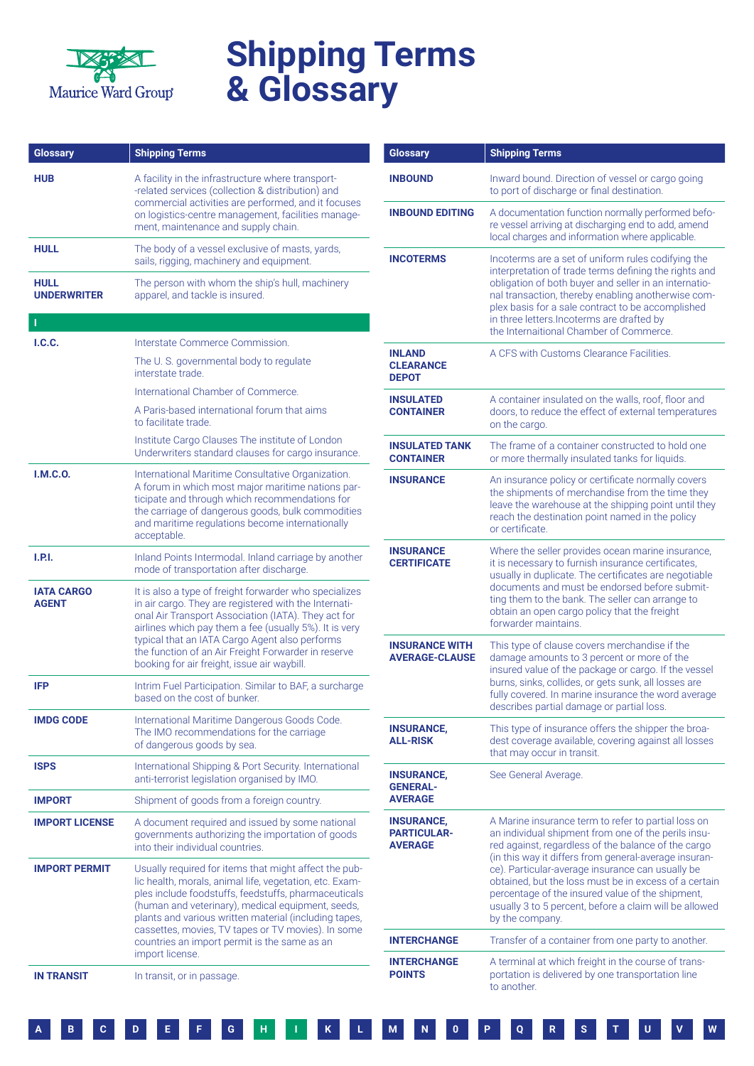<span id="page-9-0"></span>

| <b>Glossary</b>                   | <b>Shipping Terms</b>                                                                                                                                                                                                                                                                  | <b>Glossary</b>                                                                                                                                                                                                                                                                                                                                            | <b>Shipping Terms</b>                                                                                 |
|-----------------------------------|----------------------------------------------------------------------------------------------------------------------------------------------------------------------------------------------------------------------------------------------------------------------------------------|------------------------------------------------------------------------------------------------------------------------------------------------------------------------------------------------------------------------------------------------------------------------------------------------------------------------------------------------------------|-------------------------------------------------------------------------------------------------------|
| <b>HUB</b>                        | A facility in the infrastructure where transport-<br>-related services (collection & distribution) and<br>commercial activities are performed, and it focuses                                                                                                                          | <b>INBOUND</b>                                                                                                                                                                                                                                                                                                                                             | Inward bound. D<br>to port of discha                                                                  |
|                                   | on logistics-centre management, facilities manage-<br>ment, maintenance and supply chain.                                                                                                                                                                                              |                                                                                                                                                                                                                                                                                                                                                            | A documentation<br>re vessel arrivinc<br>local charges an                                             |
| <b>HULL</b>                       | The body of a vessel exclusive of masts, yards,<br>sails, rigging, machinery and equipment.                                                                                                                                                                                            | <b>INCOTERMS</b>                                                                                                                                                                                                                                                                                                                                           | Incoterms are a<br>interpretation of                                                                  |
| HULL<br><b>UNDERWRITER</b><br>Т   | The person with whom the ship's hull, machinery<br>apparel, and tackle is insured.                                                                                                                                                                                                     |                                                                                                                                                                                                                                                                                                                                                            | obligation of bot<br>nal transaction.<br>plex basis for a<br>in three letters.Ir<br>the Internaitiona |
| I.C.C.                            | Interstate Commerce Commission.                                                                                                                                                                                                                                                        |                                                                                                                                                                                                                                                                                                                                                            |                                                                                                       |
|                                   | The U.S. governmental body to regulate<br>interstate trade.                                                                                                                                                                                                                            | <b>INLAND</b><br><b>CLEARANCE</b><br><b>DEPOT</b>                                                                                                                                                                                                                                                                                                          | A CFS with Cust                                                                                       |
|                                   | International Chamber of Commerce.                                                                                                                                                                                                                                                     |                                                                                                                                                                                                                                                                                                                                                            |                                                                                                       |
|                                   | A Paris-based international forum that aims<br>to facilitate trade.                                                                                                                                                                                                                    | <b>INSULATED</b><br><b>CONTAINER</b>                                                                                                                                                                                                                                                                                                                       | A container insu<br>doors, to reduce<br>on the cargo.                                                 |
|                                   | Institute Cargo Clauses The institute of London<br>Underwriters standard clauses for cargo insurance.                                                                                                                                                                                  | <b>INSULATED TANK</b><br><b>CONTAINER</b>                                                                                                                                                                                                                                                                                                                  | The frame of a c<br>or more thermal                                                                   |
| <b>I.M.C.O.</b>                   | International Maritime Consultative Organization.<br>A forum in which most major maritime nations par-<br>ticipate and through which recommendations for<br>the carriage of dangerous goods, bulk commodities<br>and maritime regulations become internationally<br>acceptable.        | <b>INSURANCE</b>                                                                                                                                                                                                                                                                                                                                           | An insurance po<br>the shipments o<br>leave the wareh<br>reach the destin<br>or certificate.          |
| I.P.I.                            | Inland Points Intermodal. Inland carriage by another<br>mode of transportation after discharge.                                                                                                                                                                                        | Where the seller<br><b>INSURANCE</b><br><b>CERTIFICATE</b><br>it is necessary to<br>usually in duplic<br>documents and<br>ting them to the<br>obtain an open o<br>forwarder maint<br><b>INSURANCE WITH</b><br>This type of clau<br><b>AVERAGE-CLAUSE</b><br>damage amoun<br>insured value of<br>burns, sinks, col<br>fully covered. In<br>describes partia |                                                                                                       |
| <b>IATA CARGO</b><br><b>AGENT</b> | It is also a type of freight forwarder who specializes<br>in air cargo. They are registered with the Internati-<br>onal Air Transport Association (IATA). They act for<br>airlines which pay them a fee (usually 5%). It is very                                                       |                                                                                                                                                                                                                                                                                                                                                            |                                                                                                       |
|                                   | typical that an IATA Cargo Agent also performs<br>the function of an Air Freight Forwarder in reserve<br>booking for air freight, issue air waybill.                                                                                                                                   |                                                                                                                                                                                                                                                                                                                                                            |                                                                                                       |
| <b>IFP</b>                        | Intrim Fuel Participation. Similar to BAF, a surcharge<br>based on the cost of bunker.                                                                                                                                                                                                 |                                                                                                                                                                                                                                                                                                                                                            |                                                                                                       |
| <b>IMDG CODE</b>                  | International Maritime Dangerous Goods Code.<br>The IMO recommendations for the carriage<br>of dangerous goods by sea.                                                                                                                                                                 | <b>INSURANCE,</b><br><b>ALL-RISK</b>                                                                                                                                                                                                                                                                                                                       | This type of insu<br>dest coverage at<br>that may occur i                                             |
| <b>ISPS</b>                       | International Shipping & Port Security. International<br>anti-terrorist legislation organised by IMO.                                                                                                                                                                                  | <b>INSURANCE,</b><br><b>GENERAL-</b>                                                                                                                                                                                                                                                                                                                       | See General Ave                                                                                       |
| <b>IMPORT</b>                     | Shipment of goods from a foreign country.                                                                                                                                                                                                                                              | <b>AVERAGE</b>                                                                                                                                                                                                                                                                                                                                             |                                                                                                       |
| <b>IMPORT LICENSE</b>             | A document required and issued by some national<br>governments authorizing the importation of goods<br>into their individual countries.                                                                                                                                                | <b>INSURANCE,</b><br>A Marine insural<br><b>PARTICULAR-</b><br>an individual shi<br><b>AVERAGE</b><br>red against, rega<br>(in this way it dif                                                                                                                                                                                                             |                                                                                                       |
| <b>IMPORT PERMIT</b>              | Usually required for items that might affect the pub-<br>lic health, morals, animal life, vegetation, etc. Exam-<br>ples include foodstuffs, feedstuffs, pharmaceuticals<br>(human and veterinary), medical equipment, seeds,<br>plants and various written material (including tapes, |                                                                                                                                                                                                                                                                                                                                                            | ce). Particular-ay<br>obtained, but the<br>percentage of th<br>usually 3 to 5 pe<br>by the company    |
|                                   | cassettes, movies, TV tapes or TV movies). In some<br>countries an import permit is the same as an                                                                                                                                                                                     | <b>INTERCHANGE</b>                                                                                                                                                                                                                                                                                                                                         | Transfer of a cor                                                                                     |
| <b>IN TRANSIT</b>                 | import license.<br>In transit, or in passage.                                                                                                                                                                                                                                          | <b>INTERCHANGE</b><br><b>POINTS</b>                                                                                                                                                                                                                                                                                                                        | A terminal at wh<br>portation is deliv<br>to another.                                                 |

| <b>Glossary</b>                                           | <b>Shipping Terms</b>                                                                                                                                                                                                                                                                                                                                                                                                                                                    |
|-----------------------------------------------------------|--------------------------------------------------------------------------------------------------------------------------------------------------------------------------------------------------------------------------------------------------------------------------------------------------------------------------------------------------------------------------------------------------------------------------------------------------------------------------|
| <b>INBOUND</b>                                            | Inward bound. Direction of vessel or cargo going<br>to port of discharge or final destination.                                                                                                                                                                                                                                                                                                                                                                           |
| <b>INBOUND EDITING</b>                                    | A documentation function normally performed befo-<br>re vessel arriving at discharging end to add, amend<br>local charges and information where applicable.                                                                                                                                                                                                                                                                                                              |
| <b>INCOTERMS</b>                                          | Incoterms are a set of uniform rules codifying the<br>interpretation of trade terms defining the rights and<br>obligation of both buyer and seller in an internatio-<br>nal transaction, thereby enabling anotherwise com-<br>plex basis for a sale contract to be accomplished<br>in three letters. Incoterms are drafted by<br>the Internaitional Chamber of Commerce.                                                                                                 |
| <b>INLAND</b><br><b>CLEARANCE</b><br><b>DEPOT</b>         | A CFS with Customs Clearance Facilities.                                                                                                                                                                                                                                                                                                                                                                                                                                 |
| <b>INSULATED</b><br><b>CONTAINER</b>                      | A container insulated on the walls, roof, floor and<br>doors, to reduce the effect of external temperatures<br>on the cargo.                                                                                                                                                                                                                                                                                                                                             |
| <b>INSULATED TANK</b><br><b>CONTAINER</b>                 | The frame of a container constructed to hold one<br>or more thermally insulated tanks for liquids.                                                                                                                                                                                                                                                                                                                                                                       |
| <b>INSURANCE</b>                                          | An insurance policy or certificate normally covers<br>the shipments of merchandise from the time they<br>leave the warehouse at the shipping point until they<br>reach the destination point named in the policy<br>or certificate.                                                                                                                                                                                                                                      |
| <b>INSURANCE</b><br><b>CERTIFICATE</b>                    | Where the seller provides ocean marine insurance,<br>it is necessary to furnish insurance certificates,<br>usually in duplicate. The certificates are negotiable<br>documents and must be endorsed before submit-<br>ting them to the bank. The seller can arrange to<br>obtain an open cargo policy that the freight<br>forwarder maintains.                                                                                                                            |
| <b>INSURANCE WITH</b><br><b>AVERAGE-CLAUSE</b>            | This type of clause covers merchandise if the<br>damage amounts to 3 percent or more of the<br>insured value of the package or cargo. If the vessel<br>burns, sinks, collides, or gets sunk, all losses are<br>fully covered. In marine insurance the word average<br>describes partial damage or partial loss.                                                                                                                                                          |
| <b>INSURANCE,</b><br><b>ALL-RISK</b>                      | This type of insurance offers the shipper the broa-<br>dest coverage available, covering against all losses<br>that may occur in transit.                                                                                                                                                                                                                                                                                                                                |
| <b>INSURANCE,</b><br><b>GENERAL-</b><br><b>AVERAGE</b>    | See General Average.                                                                                                                                                                                                                                                                                                                                                                                                                                                     |
| <b>INSURANCE,</b><br><b>PARTICULAR-</b><br><b>AVERAGE</b> | A Marine insurance term to refer to partial loss on<br>an individual shipment from one of the perils insu-<br>red against, regardless of the balance of the cargo<br>(in this way it differs from general-average insuran-<br>ce). Particular-average insurance can usually be<br>obtained, but the loss must be in excess of a certain<br>percentage of the insured value of the shipment,<br>usually 3 to 5 percent, before a claim will be allowed<br>by the company. |
| <b>INTERCHANGE</b>                                        | Transfer of a container from one party to another.                                                                                                                                                                                                                                                                                                                                                                                                                       |
| <b>INTERCHANGE</b><br><b>POINTS</b>                       | A terminal at which freight in the course of trans-<br>portation is delivered by one transportation line<br>to another.                                                                                                                                                                                                                                                                                                                                                  |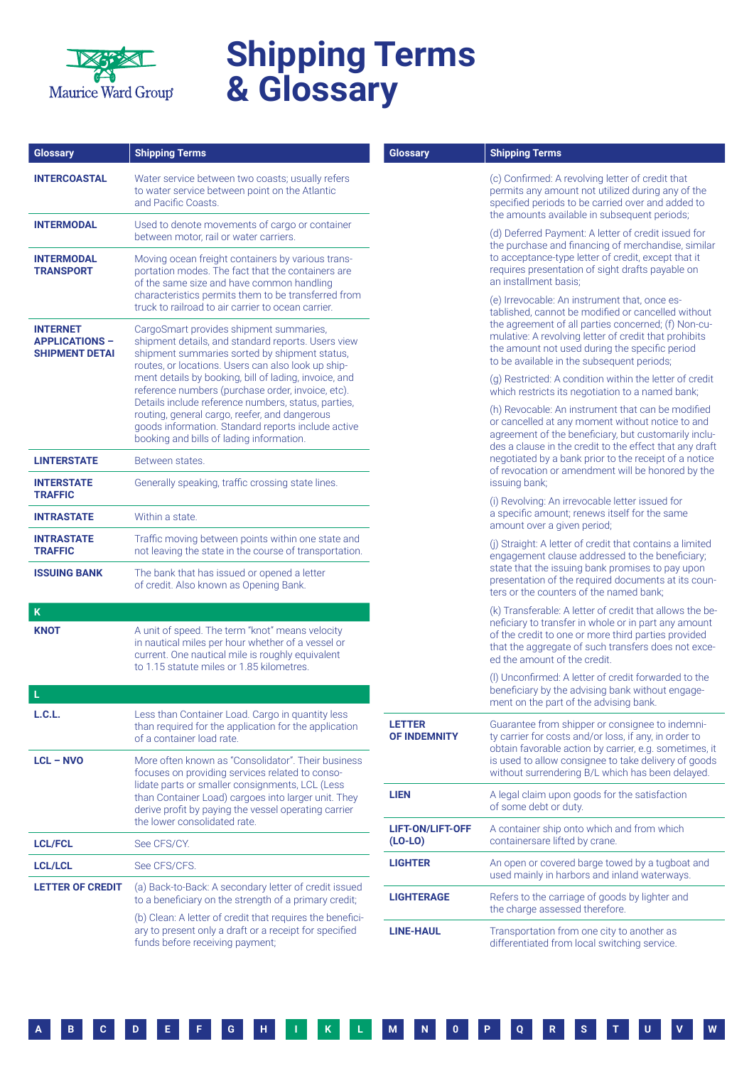<span id="page-10-0"></span>

| <b>Glossary</b>                                                   | <b>Shipping Terms</b>                                                                                                                                                                                      | <b>Glossary</b>                      | <b>Shipping Terms</b>                                                                                                                                                                                                    |  |
|-------------------------------------------------------------------|------------------------------------------------------------------------------------------------------------------------------------------------------------------------------------------------------------|--------------------------------------|--------------------------------------------------------------------------------------------------------------------------------------------------------------------------------------------------------------------------|--|
| <b>INTERCOASTAL</b>                                               | Water service between two coasts; usually refers<br>to water service between point on the Atlantic<br>and Pacific Coasts.                                                                                  |                                      | (c) Confirmed: A revolving letter of credit that<br>permits any amount not utilized during any of the<br>specified periods to be carried over and added to<br>the amounts available in subsequent periods;               |  |
| <b>INTERMODAL</b>                                                 | Used to denote movements of cargo or container<br>between motor, rail or water carriers.                                                                                                                   |                                      | (d) Deferred Payment: A letter of credit issued for<br>the purchase and financing of merchandise, similar                                                                                                                |  |
| <b>INTERMODAL</b><br><b>TRANSPORT</b>                             | Moving ocean freight containers by various trans-<br>portation modes. The fact that the containers are<br>of the same size and have common handling<br>characteristics permits them to be transferred from |                                      | to acceptance-type letter of credit, except that it<br>requires presentation of sight drafts payable on<br>an installment basis;                                                                                         |  |
|                                                                   | truck to railroad to air carrier to ocean carrier.                                                                                                                                                         |                                      | (e) Irrevocable: An instrument that, once es-<br>tablished, cannot be modified or cancelled without                                                                                                                      |  |
| <b>INTERNET</b><br><b>APPLICATIONS -</b><br><b>SHIPMENT DETAI</b> | CargoSmart provides shipment summaries,<br>shipment details, and standard reports. Users view<br>shipment summaries sorted by shipment status,<br>routes, or locations. Users can also look up ship-       |                                      | the agreement of all parties concerned; (f) Non-cu-<br>mulative: A revolving letter of credit that prohibits<br>the amount not used during the specific period<br>to be available in the subsequent periods;             |  |
|                                                                   | ment details by booking, bill of lading, invoice, and<br>reference numbers (purchase order, invoice, etc).                                                                                                 |                                      | (g) Restricted: A condition within the letter of credit<br>which restricts its negotiation to a named bank;                                                                                                              |  |
|                                                                   | Details include reference numbers, status, parties,<br>routing, general cargo, reefer, and dangerous<br>goods information. Standard reports include active<br>booking and bills of lading information.     |                                      | (h) Revocable: An instrument that can be modified<br>or cancelled at any moment without notice to and<br>agreement of the beneficiary, but customarily inclu-<br>des a clause in the credit to the effect that any draft |  |
| <b>LINTERSTATE</b>                                                | Between states.                                                                                                                                                                                            |                                      | negotiated by a bank prior to the receipt of a notice<br>of revocation or amendment will be honored by the                                                                                                               |  |
| <b>INTERSTATE</b><br><b>TRAFFIC</b>                               | Generally speaking, traffic crossing state lines.                                                                                                                                                          |                                      | issuing bank;                                                                                                                                                                                                            |  |
| <b>INTRASTATE</b>                                                 | Within a state.                                                                                                                                                                                            |                                      | (i) Revolving: An irrevocable letter issued for<br>a specific amount; renews itself for the same<br>amount over a given period;                                                                                          |  |
| <b>INTRASTATE</b><br><b>TRAFFIC</b>                               | Traffic moving between points within one state and<br>not leaving the state in the course of transportation.                                                                                               |                                      | (j) Straight: A letter of credit that contains a limited<br>engagement clause addressed to the beneficiary;                                                                                                              |  |
| <b>ISSUING BANK</b>                                               | The bank that has issued or opened a letter<br>of credit. Also known as Opening Bank.                                                                                                                      |                                      | state that the issuing bank promises to pay upon<br>presentation of the required documents at its coun-<br>ters or the counters of the named bank;                                                                       |  |
| $\mathsf K$                                                       |                                                                                                                                                                                                            |                                      | (k) Transferable: A letter of credit that allows the be-<br>neficiary to transfer in whole or in part any amount                                                                                                         |  |
| <b>KNOT</b>                                                       | A unit of speed. The term "knot" means velocity<br>in nautical miles per hour whether of a vessel or<br>current. One nautical mile is roughly equivalent<br>to 1.15 statute miles or 1.85 kilometres.      |                                      | of the credit to one or more third parties provided<br>that the aggregate of such transfers does not exce-<br>ed the amount of the credit.                                                                               |  |
|                                                                   |                                                                                                                                                                                                            |                                      | (I) Unconfirmed: A letter of credit forwarded to the<br>beneficiary by the advising bank without engage-<br>ment on the part of the advising bank.                                                                       |  |
| L.C.L.                                                            | Less than Container Load. Cargo in quantity less<br>than required for the application for the application<br>of a container load rate.                                                                     | <b>LETTER</b><br><b>OF INDEMNITY</b> | Guarantee from shipper or consignee to indemni-<br>ty carrier for costs and/or loss, if any, in order to<br>obtain favorable action by carrier, e.g. sometimes, it                                                       |  |
| $LCL - NVO$                                                       | More often known as "Consolidator". Their business<br>focuses on providing services related to conso-                                                                                                      |                                      | is used to allow consignee to take delivery of goods<br>without surrendering B/L which has been delayed.                                                                                                                 |  |
|                                                                   | lidate parts or smaller consignments, LCL (Less<br>than Container Load) cargoes into larger unit. They<br>derive profit by paying the vessel operating carrier                                             | <b>LIEN</b>                          | A legal claim upon goods for the satisfaction<br>of some debt or duty.                                                                                                                                                   |  |
| <b>LCL/FCL</b>                                                    | the lower consolidated rate.<br>See CFS/CY.                                                                                                                                                                | <b>LIFT-ON/LIFT-OFF</b><br>$(LO-LO)$ | A container ship onto which and from which<br>containersare lifted by crane.                                                                                                                                             |  |
| <b>LCL/LCL</b>                                                    | See CFS/CFS.                                                                                                                                                                                               | <b>LIGHTER</b>                       | An open or covered barge towed by a tugboat and<br>used mainly in harbors and inland waterways.                                                                                                                          |  |
| <b>LETTER OF CREDIT</b>                                           | (a) Back-to-Back: A secondary letter of credit issued<br>to a beneficiary on the strength of a primary credit;                                                                                             | <b>LIGHTERAGE</b>                    | Refers to the carriage of goods by lighter and<br>the charge assessed therefore.                                                                                                                                         |  |
|                                                                   | (b) Clean: A letter of credit that requires the benefici-<br>ary to present only a draft or a receipt for specified<br>funds before receiving payment;                                                     | <b>LINE-HAUL</b>                     | Transportation from one city to another as<br>differentiated from local switching service.                                                                                                                               |  |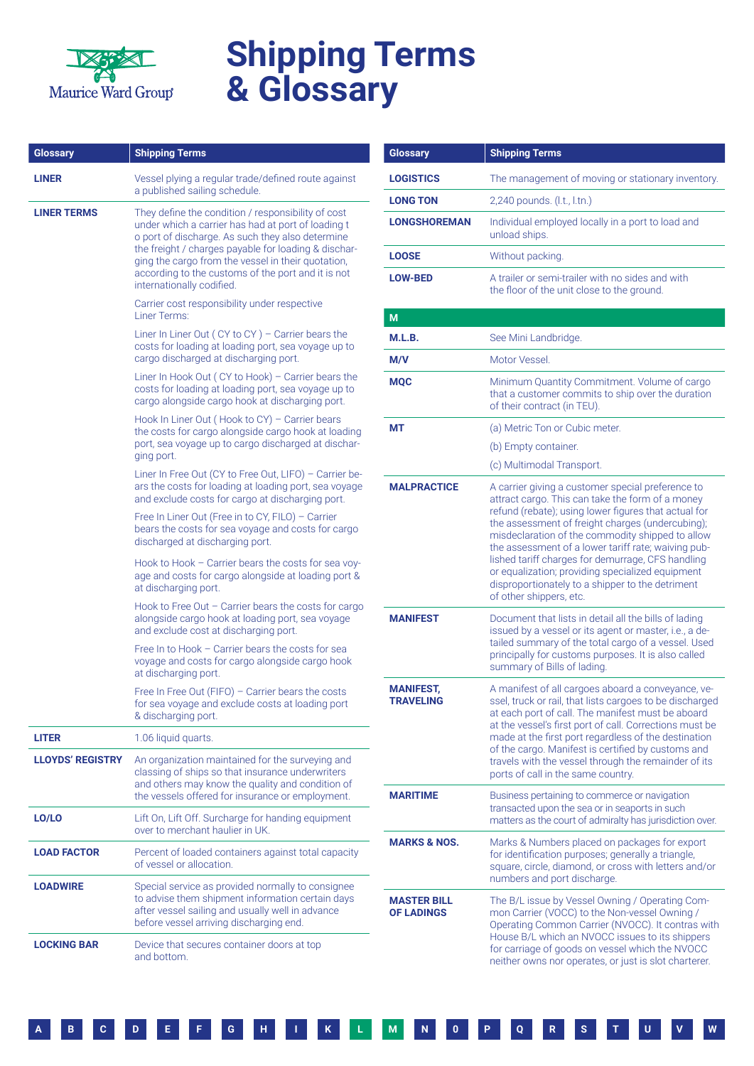<span id="page-11-0"></span>

[A](#page-0-0) BI[C](#page-2-0) [D](#page-5-0)[E](#page-6-0) F[I](#page-9-0)GHII[K](#page-10-0) LIMI[N](#page-12-0) OPQ[R](#page-15-0)ISI[T](#page-17-0) [U](#page-18-0)IVIW

| <b>Shipping Terms</b><br><b>Glossary</b> |                                                                                                                                                                                                                                                         | <b>Glossary</b>                         | <b>Shipping Terms</b>                                                                                                                                                                                 |  |
|------------------------------------------|---------------------------------------------------------------------------------------------------------------------------------------------------------------------------------------------------------------------------------------------------------|-----------------------------------------|-------------------------------------------------------------------------------------------------------------------------------------------------------------------------------------------------------|--|
| <b>LINER</b>                             | Vessel plying a regular trade/defined route against<br>a published sailing schedule.                                                                                                                                                                    | <b>LOGISTICS</b>                        | The managemer                                                                                                                                                                                         |  |
|                                          |                                                                                                                                                                                                                                                         | <b>LONG TON</b>                         | 2,240 pounds. (I                                                                                                                                                                                      |  |
| <b>LINER TERMS</b>                       | They define the condition / responsibility of cost<br>under which a carrier has had at port of loading t<br>o port of discharge. As such they also determine                                                                                            | <b>LONGSHOREMAN</b>                     | Individual emplo<br>unload ships.                                                                                                                                                                     |  |
|                                          | the freight / charges payable for loading & dischar-<br>ging the cargo from the vessel in their quotation,                                                                                                                                              | <b>LOOSE</b>                            | Without packing                                                                                                                                                                                       |  |
|                                          | according to the customs of the port and it is not<br>internationally codified.                                                                                                                                                                         | <b>LOW-BED</b>                          | A trailer or semi-<br>the floor of the u                                                                                                                                                              |  |
|                                          | Carrier cost responsibility under respective<br>Liner Terms:                                                                                                                                                                                            | M                                       |                                                                                                                                                                                                       |  |
|                                          | Liner In Liner Out ( $CY$ to $CY$ ) – Carrier bears the                                                                                                                                                                                                 | M.L.B.                                  | See Mini Landbr                                                                                                                                                                                       |  |
|                                          | costs for loading at loading port, sea voyage up to<br>cargo discharged at discharging port.                                                                                                                                                            | M/V                                     | Motor Vessel.                                                                                                                                                                                         |  |
|                                          | Liner In Hook Out ( $CY$ to Hook) - Carrier bears the<br>costs for loading at loading port, sea voyage up to<br>cargo alongside cargo hook at discharging port.                                                                                         | <b>MQC</b>                              | Minimum Quant<br>that a customer<br>of their contract                                                                                                                                                 |  |
|                                          | Hook In Liner Out (Hook to CY) - Carrier bears<br>МT<br>the costs for cargo alongside cargo hook at loading<br>port, sea voyage up to cargo discharged at dischar-<br>ging port.                                                                        |                                         | (a) Metric Ton of<br>(b) Empty conta                                                                                                                                                                  |  |
|                                          | Liner In Free Out (CY to Free Out, LIFO) - Carrier be-                                                                                                                                                                                                  |                                         | (c) Multimodal T                                                                                                                                                                                      |  |
|                                          | ars the costs for loading at loading port, sea voyage<br>and exclude costs for cargo at discharging port.<br>Free In Liner Out (Free in to CY, FILO) - Carrier<br>bears the costs for sea voyage and costs for cargo<br>discharged at discharging port. | <b>MALPRACTICE</b>                      | A carrier giving a<br>attract cargo. Th<br>refund (rebate);<br>the assessment<br>misdeclaration o<br>the assessment<br>lished tariff char<br>or equalization;<br>disproportionate<br>of other shipper |  |
|                                          | Hook to Hook - Carrier bears the costs for sea voy-<br>age and costs for cargo alongside at loading port &<br>at discharging port.                                                                                                                      |                                         |                                                                                                                                                                                                       |  |
|                                          | Hook to Free Out $-$ Carrier bears the costs for cargo<br>alongside cargo hook at loading port, sea voyage<br>and exclude cost at discharging port.                                                                                                     | <b>MANIFEST</b>                         | Document that I<br>issued by a vess                                                                                                                                                                   |  |
|                                          | Free In to Hook - Carrier bears the costs for sea<br>voyage and costs for cargo alongside cargo hook<br>at discharging port.                                                                                                                            |                                         | tailed summary<br>principally for cu<br>summary of Bills                                                                                                                                              |  |
|                                          | Free In Free Out (FIFO) - Carrier bears the costs<br>for sea voyage and exclude costs at loading port<br>& discharging port.                                                                                                                            | <b>MANIFEST,</b><br><b>TRAVELING</b>    | A manifest of all<br>ssel, truck or rail<br>at each port of c<br>at the vessel's fill                                                                                                                 |  |
| <b>LITER</b>                             | 1.06 liquid quarts.                                                                                                                                                                                                                                     | made at the first                       |                                                                                                                                                                                                       |  |
| <b>LLOYDS' REGISTRY</b>                  | An organization maintained for the surveying and<br>classing of ships so that insurance underwriters<br>and others may know the quality and condition of                                                                                                |                                         | of the cargo. Ma<br>travels with the<br>ports of call in th                                                                                                                                           |  |
|                                          | the vessels offered for insurance or employment.                                                                                                                                                                                                        | <b>MARITIME</b>                         | <b>Business pertain</b>                                                                                                                                                                               |  |
| LO/LO                                    | Lift On, Lift Off. Surcharge for handing equipment<br>over to merchant haulier in UK.                                                                                                                                                                   | transacted upon<br>matters as the co    |                                                                                                                                                                                                       |  |
| <b>LOAD FACTOR</b>                       | Percent of loaded containers against total capacity<br>of vessel or allocation.                                                                                                                                                                         | <b>MARKS &amp; NOS.</b>                 | Marks & Numbe<br>for identification<br>square, circle, di<br>numbers and po                                                                                                                           |  |
| <b>LOADWIRE</b>                          | Special service as provided normally to consignee<br>to advise them shipment information certain days<br>after vessel sailing and usually well in advance<br>before vessel arriving discharging end.                                                    | <b>MASTER BILL</b><br><b>OF LADINGS</b> | The B/L issue by<br>mon Carrier (VO<br><b>Operating Comr</b>                                                                                                                                          |  |
| <b>LOCKING BAR</b>                       | Device that secures container doors at top<br>and bottom.                                                                                                                                                                                               |                                         | House B/L whic<br>for carriage of g<br>neither owns no                                                                                                                                                |  |

| <b>Glossary</b>                         | <b>Shipping Terms</b>                                                                                                                                                                                                                                                                                                                                                                                                                                                                                                |
|-----------------------------------------|----------------------------------------------------------------------------------------------------------------------------------------------------------------------------------------------------------------------------------------------------------------------------------------------------------------------------------------------------------------------------------------------------------------------------------------------------------------------------------------------------------------------|
| <b>LOGISTICS</b>                        | The management of moving or stationary inventory.                                                                                                                                                                                                                                                                                                                                                                                                                                                                    |
| <b>LONG TON</b>                         | 2,240 pounds. (I.t., I.tn.)                                                                                                                                                                                                                                                                                                                                                                                                                                                                                          |
| <b>LONGSHOREMAN</b>                     | Individual employed locally in a port to load and<br>unload ships.                                                                                                                                                                                                                                                                                                                                                                                                                                                   |
| <b>LOOSE</b>                            | Without packing.                                                                                                                                                                                                                                                                                                                                                                                                                                                                                                     |
| <b>LOW-BED</b>                          | A trailer or semi-trailer with no sides and with<br>the floor of the unit close to the ground.                                                                                                                                                                                                                                                                                                                                                                                                                       |
| M                                       |                                                                                                                                                                                                                                                                                                                                                                                                                                                                                                                      |
| M.L.B.                                  | See Mini Landbridge.                                                                                                                                                                                                                                                                                                                                                                                                                                                                                                 |
| M/V                                     | Motor Vessel.                                                                                                                                                                                                                                                                                                                                                                                                                                                                                                        |
| <b>MQC</b>                              | Minimum Quantity Commitment. Volume of cargo<br>that a customer commits to ship over the duration<br>of their contract (in TEU).                                                                                                                                                                                                                                                                                                                                                                                     |
| MT                                      | (a) Metric Ton or Cubic meter.                                                                                                                                                                                                                                                                                                                                                                                                                                                                                       |
|                                         | (b) Empty container.                                                                                                                                                                                                                                                                                                                                                                                                                                                                                                 |
|                                         | (c) Multimodal Transport.                                                                                                                                                                                                                                                                                                                                                                                                                                                                                            |
| <b>MALPRACTICE</b>                      | A carrier giving a customer special preference to<br>attract cargo. This can take the form of a money<br>refund (rebate); using lower figures that actual for<br>the assessment of freight charges (undercubing);<br>misdeclaration of the commodity shipped to allow<br>the assessment of a lower tariff rate; waiving pub-<br>lished tariff charges for demurrage, CFS handling<br>or equalization; providing specialized equipment<br>disproportionately to a shipper to the detriment<br>of other shippers, etc. |
| <b>MANIFEST</b>                         | Document that lists in detail all the bills of lading<br>issued by a vessel or its agent or master, i.e., a de-<br>tailed summary of the total cargo of a vessel. Used<br>principally for customs purposes. It is also called<br>summary of Bills of lading.                                                                                                                                                                                                                                                         |
| <b>MANIFEST,</b><br><b>TRAVELING</b>    | A manifest of all cargoes aboard a conveyance, ve-<br>ssel, truck or rail, that lists cargoes to be discharged<br>at each port of call. The manifest must be aboard<br>at the vessel's first port of call. Corrections must be<br>made at the first port regardless of the destination<br>of the cargo. Manifest is certified by customs and<br>travels with the vessel through the remainder of its<br>ports of call in the same country.                                                                           |
| <b>MARITIME</b>                         | Business pertaining to commerce or navigation<br>transacted upon the sea or in seaports in such<br>matters as the court of admiralty has jurisdiction over.                                                                                                                                                                                                                                                                                                                                                          |
| <b>MARKS &amp; NOS.</b>                 | Marks & Numbers placed on packages for export<br>for identification purposes; generally a triangle,<br>square, circle, diamond, or cross with letters and/or<br>numbers and port discharge.                                                                                                                                                                                                                                                                                                                          |
| <b>MASTER BILL</b><br><b>OF LADINGS</b> | The B/L issue by Vessel Owning / Operating Com-<br>mon Carrier (VOCC) to the Non-vessel Owning /<br>Operating Common Carrier (NVOCC). It contras with<br>House B/L which an NVOCC issues to its shippers<br>for carriage of goods on vessel which the NVOCC                                                                                                                                                                                                                                                          |

neither owns nor operates, or just is slot charterer.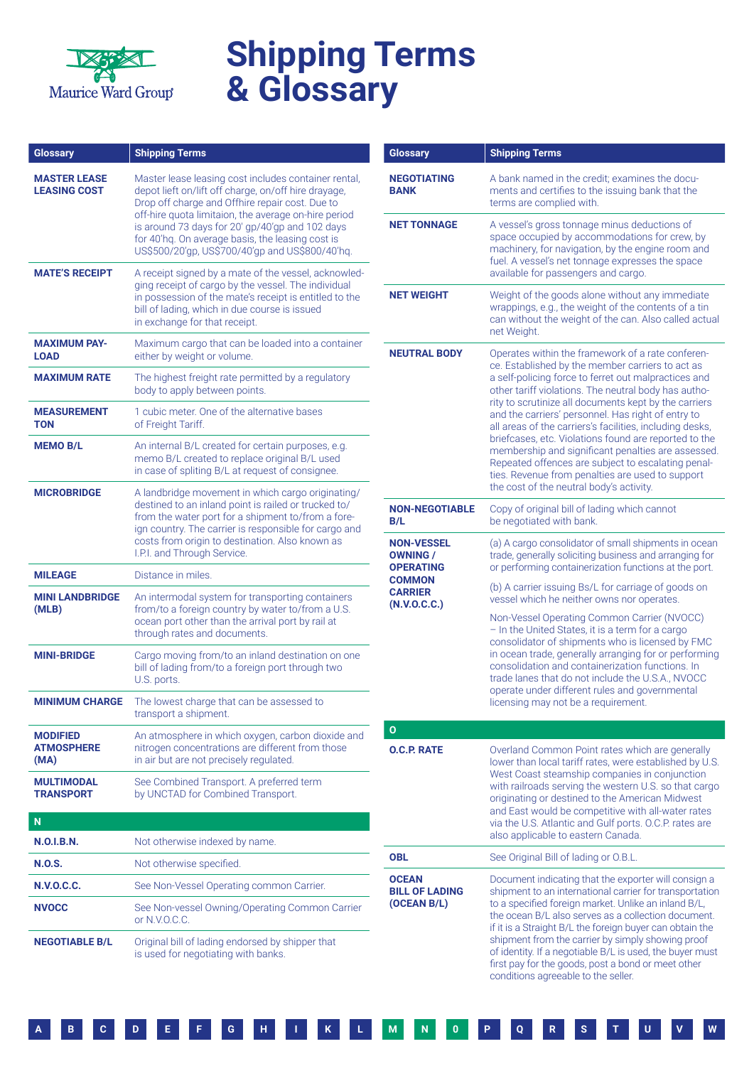<span id="page-12-0"></span>

| <b>Glossary</b>                              | <b>Shipping Terms</b>                                                                                                                                                                                                    | <b>Glossary</b>                                                                                                                                                             | <b>Shipping Terms</b>                                                        |
|----------------------------------------------|--------------------------------------------------------------------------------------------------------------------------------------------------------------------------------------------------------------------------|-----------------------------------------------------------------------------------------------------------------------------------------------------------------------------|------------------------------------------------------------------------------|
| <b>MASTER LEASE</b><br><b>LEASING COST</b>   | Master lease leasing cost includes container rental,<br>depot lieft on/lift off charge, on/off hire drayage,<br>Drop off charge and Offhire repair cost. Due to<br>off-hire quota limitaion, the average on-hire period  | <b>NEGOTIATING</b><br><b>BANK</b>                                                                                                                                           | A bank named ir<br>ments and certit<br>terms are comp                        |
|                                              | is around 73 days for 20' gp/40'gp and 102 days<br>for 40'hq. On average basis, the leasing cost is<br>US\$500/20'gp, US\$700/40'gp and US\$800/40'hq.                                                                   | <b>NET TONNAGE</b>                                                                                                                                                          | A vessel's gross<br>space occupied<br>machinery, for n<br>fuel. A vessel's r |
| <b>MATE'S RECEIPT</b>                        | A receipt signed by a mate of the vessel, acknowled-<br>ging receipt of cargo by the vessel. The individual                                                                                                              |                                                                                                                                                                             | available for pas                                                            |
|                                              | in possession of the mate's receipt is entitled to the<br>bill of lading, which in due course is issued<br>in exchange for that receipt.                                                                                 | <b>NET WEIGHT</b>                                                                                                                                                           | Weight of the go<br>wrappings, e.g.,<br>can without the<br>net Weight.       |
| <b>MAXIMUM PAY-</b><br><b>LOAD</b>           | Maximum cargo that can be loaded into a container<br>either by weight or volume.                                                                                                                                         | <b>NEUTRAL BODY</b>                                                                                                                                                         | Operates within<br>ce. Established I                                         |
| <b>MAXIMUM RATE</b>                          | The highest freight rate permitted by a regulatory<br>body to apply between points.                                                                                                                                      |                                                                                                                                                                             | a self-policing fo<br>other tariff violat                                    |
| <b>MEASUREMENT</b><br><b>TON</b>             | 1 cubic meter. One of the alternative bases<br>of Freight Tariff.                                                                                                                                                        |                                                                                                                                                                             | rity to scrutinize<br>and the carriers'<br>all areas of the o                |
| <b>MEMO B/L</b>                              | An internal B/L created for certain purposes, e.g.<br>memo B/L created to replace original B/L used<br>in case of spliting B/L at request of consignee.                                                                  | briefcases. etc. \<br>membership and<br>Repeated offend<br>ties. Revenue fro                                                                                                |                                                                              |
| <b>MICROBRIDGE</b>                           | A landbridge movement in which cargo originating/<br>destined to an inland point is railed or trucked to/<br>from the water port for a shipment to/from a fore-<br>ign country. The carrier is responsible for cargo and | <b>NON-NEGOTIABLE</b><br>B/L                                                                                                                                                | the cost of the n<br>Copy of original<br>be negotiated w                     |
|                                              | costs from origin to destination. Also known as<br>I.P.I. and Through Service.                                                                                                                                           | <b>NON-VESSEL</b><br>(a) A cargo cons<br><b>OWNING /</b><br>trade, generally s<br>or performing co<br><b>OPERATING</b>                                                      |                                                                              |
| <b>MILEAGE</b>                               | Distance in miles.                                                                                                                                                                                                       | <b>COMMON</b>                                                                                                                                                               | (b) A carrier issu                                                           |
| <b>MINI LANDBRIDGE</b><br>(MLB)              | An intermodal system for transporting containers<br>from/to a foreign country by water to/from a U.S.<br>ocean port other than the arrival port by rail at<br>through rates and documents.                               | <b>CARRIER</b><br>vessel which he<br>(N.V. O.C.C.)<br>Non-Vessel Ope<br>- In the United S<br>consolidator of s<br>in ocean trade, o<br>consolidation ar<br>trade lanes that |                                                                              |
| <b>MINI-BRIDGE</b>                           | Cargo moving from/to an inland destination on one<br>bill of lading from/to a foreign port through two<br>U.S. ports.                                                                                                    |                                                                                                                                                                             |                                                                              |
| <b>MINIMUM CHARGE</b>                        | The lowest charge that can be assessed to<br>transport a shipment.                                                                                                                                                       |                                                                                                                                                                             | operate under di<br>licensing may no                                         |
| <b>MODIFIED</b><br><b>ATMOSPHERE</b><br>(MA) | An atmosphere in which oxygen, carbon dioxide and<br>nitrogen concentrations are different from those<br>in air but are not precisely regulated.                                                                         | $\mathbf 0$<br><b>O.C.P. RATE</b>                                                                                                                                           | Overland Comm<br>lower than local                                            |
| <b>MULTIMODAL</b><br><b>TRANSPORT</b>        | See Combined Transport. A preferred term<br>by UNCTAD for Combined Transport.                                                                                                                                            |                                                                                                                                                                             | West Coast stea<br>with railroads se<br>originating or de<br>and East would  |
| N                                            |                                                                                                                                                                                                                          |                                                                                                                                                                             | via the U.S. Atlar                                                           |
| <b>N.O.I.B.N.</b>                            | Not otherwise indexed by name.                                                                                                                                                                                           | <b>OBL</b>                                                                                                                                                                  | also applicable t                                                            |
| <b>N.O.S.</b>                                | Not otherwise specified.                                                                                                                                                                                                 |                                                                                                                                                                             | See Original Bill                                                            |
| <b>N.V.O.C.C.</b>                            | See Non-Vessel Operating common Carrier.                                                                                                                                                                                 | <b>OCEAN</b><br><b>BILL OF LADING</b>                                                                                                                                       | Document indica<br>shipment to an ii                                         |
| <b>NVOCC</b>                                 | See Non-vessel Owning/Operating Common Carrier<br>or N.V.O.C.C.                                                                                                                                                          | (OCEAN B/L)                                                                                                                                                                 | to a specified for<br>the ocean B/L al<br>if it is a Straight I              |
| <b>NEGOTIABLE B/L</b>                        | Original bill of lading endorsed by shipper that<br>is used for negotiating with banks.                                                                                                                                  | shipment from t<br>of identity. If a ne                                                                                                                                     |                                                                              |

| <b>Glossary</b>                                                                                              | <b>Shipping Terms</b>                                                                                                                                                                                                                                                                                                                                                                                                                                                                                                                                                                                                                                                                          |
|--------------------------------------------------------------------------------------------------------------|------------------------------------------------------------------------------------------------------------------------------------------------------------------------------------------------------------------------------------------------------------------------------------------------------------------------------------------------------------------------------------------------------------------------------------------------------------------------------------------------------------------------------------------------------------------------------------------------------------------------------------------------------------------------------------------------|
| <b>NEGOTIATING</b><br><b>BANK</b>                                                                            | A bank named in the credit; examines the docu-<br>ments and certifies to the issuing bank that the<br>terms are complied with.                                                                                                                                                                                                                                                                                                                                                                                                                                                                                                                                                                 |
| <b>NET TONNAGE</b>                                                                                           | A vessel's gross tonnage minus deductions of<br>space occupied by accommodations for crew, by<br>machinery, for navigation, by the engine room and<br>fuel. A vessel's net tonnage expresses the space<br>available for passengers and cargo.                                                                                                                                                                                                                                                                                                                                                                                                                                                  |
| <b>NET WEIGHT</b>                                                                                            | Weight of the goods alone without any immediate<br>wrappings, e.g., the weight of the contents of a tin<br>can without the weight of the can. Also called actual<br>net Weight.                                                                                                                                                                                                                                                                                                                                                                                                                                                                                                                |
| <b>NEUTRAL BODY</b>                                                                                          | Operates within the framework of a rate conferen-<br>ce. Established by the member carriers to act as<br>a self-policing force to ferret out malpractices and<br>other tariff violations. The neutral body has autho-<br>rity to scrutinize all documents kept by the carriers<br>and the carriers' personnel. Has right of entry to<br>all areas of the carriers's facilities, including desks,<br>briefcases, etc. Violations found are reported to the<br>membership and significant penalties are assessed.<br>Repeated offences are subject to escalating penal-<br>ties. Revenue from penalties are used to support<br>the cost of the neutral body's activity.                          |
| <b>NON-NEGOTIABLE</b><br>B/L                                                                                 | Copy of original bill of lading which cannot<br>be negotiated with bank.                                                                                                                                                                                                                                                                                                                                                                                                                                                                                                                                                                                                                       |
| <b>NON-VESSEL</b><br><b>OWNING /</b><br><b>OPERATING</b><br><b>COMMON</b><br><b>CARRIER</b><br>(N.V. O.C.C.) | (a) A cargo consolidator of small shipments in ocean<br>trade, generally soliciting business and arranging for<br>or performing containerization functions at the port.<br>(b) A carrier issuing Bs/L for carriage of goods on<br>vessel which he neither owns nor operates.<br>Non-Vessel Operating Common Carrier (NVOCC)<br>- In the United States, it is a term for a cargo<br>consolidator of shipments who is licensed by FMC<br>in ocean trade, generally arranging for or performing<br>consolidation and containerization functions. In<br>trade lanes that do not include the U.S.A., NVOCC<br>operate under different rules and governmental<br>licensing may not be a requirement. |
| O                                                                                                            |                                                                                                                                                                                                                                                                                                                                                                                                                                                                                                                                                                                                                                                                                                |
| <b>O.C.P. RATE</b>                                                                                           | Overland Common Point rates which are generally<br>lower than local tariff rates, were established by U.S.<br>West Coast steamship companies in conjunction<br>with railroads serving the western U.S. so that cargo<br>originating or destined to the American Midwest<br>and East would be competitive with all-water rates<br>via the U.S. Atlantic and Gulf ports. O.C.P. rates are<br>also applicable to eastern Canada.                                                                                                                                                                                                                                                                  |
| <b>OBL</b>                                                                                                   | See Original Bill of lading or O.B.L.                                                                                                                                                                                                                                                                                                                                                                                                                                                                                                                                                                                                                                                          |
| <b>OCEAN</b><br><b>BILL OF LADING</b><br>(OCEAN B/L)                                                         | Document indicating that the exporter will consign a<br>shipment to an international carrier for transportation<br>to a specified foreign market. Unlike an inland B/L,<br>the ocean B/L also serves as a collection document.<br>if it is a Straight B/L the foreign buyer can obtain the<br>shipment from the carrier by simply showing proof<br>of identity. If a negotiable B/L is used, the buyer must<br>first pay for the goods, post a bond or meet other<br>conditions agreeable to the seller.                                                                                                                                                                                       |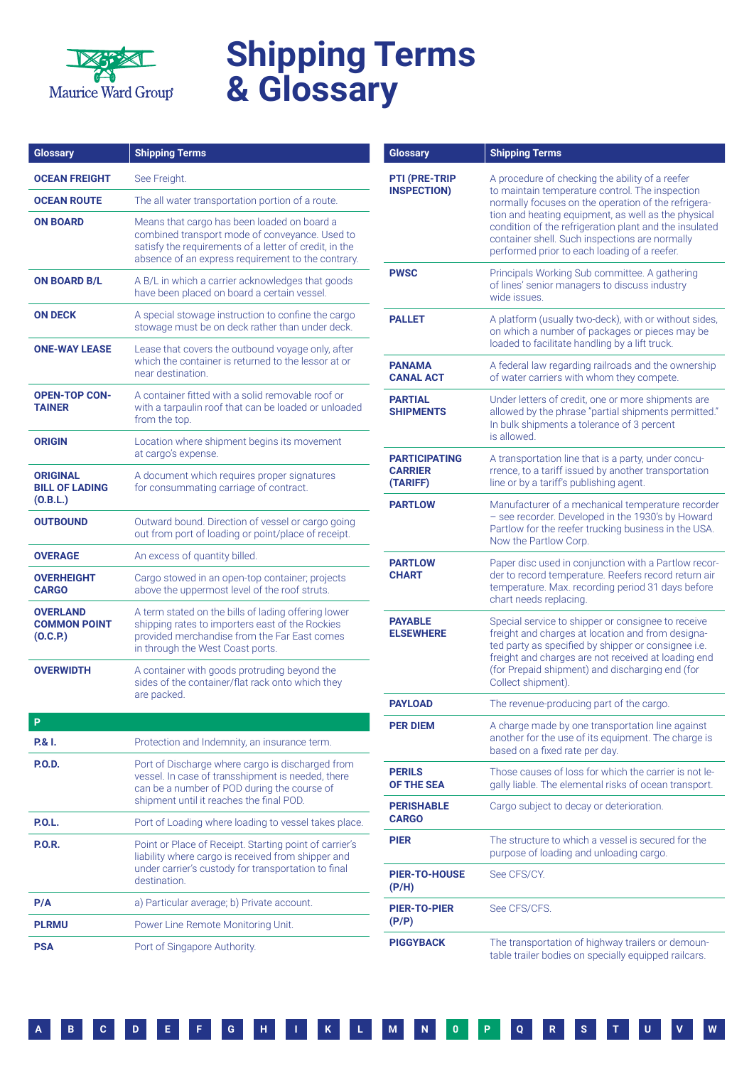<span id="page-13-0"></span>

| <b>Glossary</b>                                    | <b>Shipping Terms</b>                                                                                                                                                                                         | <b>Glossary</b>                    | <b>Shipping Terms</b>                                                         |  |
|----------------------------------------------------|---------------------------------------------------------------------------------------------------------------------------------------------------------------------------------------------------------------|------------------------------------|-------------------------------------------------------------------------------|--|
| <b>OCEAN FREIGHT</b>                               | See Freight.                                                                                                                                                                                                  | <b>PTI (PRE-TRIP</b>               | A procedure of o                                                              |  |
| <b>OCEAN ROUTE</b>                                 | The all water transportation portion of a route.                                                                                                                                                              | <b>INSPECTION)</b>                 | to maintain tem<br>normally focuse                                            |  |
| <b>ON BOARD</b>                                    | Means that cargo has been loaded on board a<br>combined transport mode of conveyance. Used to<br>satisfy the requirements of a letter of credit, in the<br>absence of an express requirement to the contrary. |                                    | tion and heating<br>condition of the<br>container shell.<br>performed prior   |  |
| <b>ON BOARD B/L</b>                                | <b>PWSC</b><br>A B/L in which a carrier acknowledges that goods<br>have been placed on board a certain vessel.                                                                                                |                                    | <b>Principals Worki</b><br>of lines' senior n<br>wide issues.                 |  |
| <b>ON DECK</b>                                     | A special stowage instruction to confine the cargo<br>stowage must be on deck rather than under deck.                                                                                                         | <b>PALLET</b>                      | A platform (usua<br>on which a num                                            |  |
| <b>ONE-WAY LEASE</b>                               | Lease that covers the outbound voyage only, after<br>which the container is returned to the lessor at or<br>near destination.                                                                                 | <b>PANAMA</b><br><b>CANAL ACT</b>  | loaded to facilita<br>A federal law red<br>of water carriers                  |  |
| <b>OPEN-TOP CON-</b><br><b>TAINER</b>              | A container fitted with a solid removable roof or<br><b>PARTIAL</b><br>with a tarpaulin roof that can be loaded or unloaded<br><b>SHIPMENTS</b><br>from the top.                                              |                                    | Under letters of<br>allowed by the p<br>In bulk shipmen                       |  |
| <b>ORIGIN</b>                                      | Location where shipment begins its movement<br>at cargo's expense.                                                                                                                                            | <b>PARTICIPATING</b>               | is allowed.<br>A transportation                                               |  |
| <b>ORIGINAL</b><br><b>BILL OF LADING</b>           | <b>CARRIER</b><br>A document which requires proper signatures<br>(TARIFF)<br>for consummating carriage of contract.                                                                                           |                                    | rrence, to a tariff<br>line or by a tariff                                    |  |
| (O.B.L.)<br><b>OUTBOUND</b>                        | <b>PARTLOW</b><br>Outward bound. Direction of vessel or cargo going<br>out from port of loading or point/place of receipt.                                                                                    |                                    | Manufacturer of<br>- see recorder. I<br>Partlow for the r<br>Now the Partlow  |  |
| <b>OVERAGE</b>                                     | An excess of quantity billed.<br><b>PARTLOW</b>                                                                                                                                                               |                                    | Paper disc used                                                               |  |
| <b>OVERHEIGHT</b><br><b>CARGO</b>                  | <b>CHART</b><br>Cargo stowed in an open-top container; projects<br>above the uppermost level of the roof struts.                                                                                              |                                    | der to record ter<br>temperature. Ma<br>chart needs repl                      |  |
| <b>OVERLAND</b><br><b>COMMON POINT</b><br>(O.C.P.) | A term stated on the bills of lading offering lower<br>shipping rates to importers east of the Rockies<br>provided merchandise from the Far East comes<br>in through the West Coast ports.                    |                                    | Special service t<br>freight and char<br>ted party as spe<br>freight and chan |  |
| <b>OVERWIDTH</b>                                   | A container with goods protruding beyond the<br>sides of the container/flat rack onto which they<br>are packed.                                                                                               |                                    | (for Prepaid ship<br>Collect shipmen                                          |  |
|                                                    |                                                                                                                                                                                                               | <b>PAYLOAD</b>                     | The revenue-pro                                                               |  |
| $\boldsymbol{\mathsf{P}}$<br>P.& I.                | Protection and Indemnity, an insurance term.                                                                                                                                                                  | <b>PER DIEM</b>                    | A charge made I<br>another for the u                                          |  |
| <b>P.O.D.</b>                                      |                                                                                                                                                                                                               |                                    | based on a fixed                                                              |  |
|                                                    | Port of Discharge where cargo is discharged from<br>vessel. In case of transshipment is needed, there<br>can be a number of POD during the course of                                                          | <b>PERILS</b><br><b>OF THE SEA</b> | Those causes of<br>gally liable. The                                          |  |
| <b>P.O.L.</b>                                      | shipment until it reaches the final POD.<br>Port of Loading where loading to vessel takes place.                                                                                                              | <b>PERISHABLE</b><br><b>CARGO</b>  | Cargo subject to                                                              |  |
| <b>P.O.R.</b>                                      | Point or Place of Receipt. Starting point of carrier's<br>liability where cargo is received from shipper and                                                                                                  | <b>PIER</b>                        | The structure to<br>purpose of loadi                                          |  |
|                                                    | under carrier's custody for transportation to final<br>destination.                                                                                                                                           | <b>PIER-TO-HOUSE</b><br>(P/H)      | See CFS/CY.                                                                   |  |
| P/A                                                | a) Particular average; b) Private account.                                                                                                                                                                    | <b>PIER-TO-PIER</b>                | See CFS/CFS.                                                                  |  |
| <b>PLRMU</b>                                       | Power Line Remote Monitoring Unit.                                                                                                                                                                            | (P/P)                              |                                                                               |  |
| <b>PSA</b><br>Port of Singapore Authority.         |                                                                                                                                                                                                               | <b>PIGGYBACK</b>                   | The transportati<br>toblo troilor bodi                                        |  |

| <b>Glossary</b>                                    | <b>Shipping Terms</b>                                                                                                                                                                                                                                                                                                                                                        |
|----------------------------------------------------|------------------------------------------------------------------------------------------------------------------------------------------------------------------------------------------------------------------------------------------------------------------------------------------------------------------------------------------------------------------------------|
| <b>PTI (PRE-TRIP</b><br><b>INSPECTION)</b>         | A procedure of checking the ability of a reefer<br>to maintain temperature control. The inspection<br>normally focuses on the operation of the refrigera-<br>tion and heating equipment, as well as the physical<br>condition of the refrigeration plant and the insulated<br>container shell. Such inspections are normally<br>performed prior to each loading of a reefer. |
| <b>PWSC</b>                                        | Principals Working Sub committee. A gathering<br>of lines' senior managers to discuss industry<br>wide issues                                                                                                                                                                                                                                                                |
| <b>PALLET</b>                                      | A platform (usually two-deck), with or without sides,<br>on which a number of packages or pieces may be<br>loaded to facilitate handling by a lift truck.                                                                                                                                                                                                                    |
| <b>PANAMA</b><br><b>CANAL ACT</b>                  | A federal law regarding railroads and the ownership<br>of water carriers with whom they compete.                                                                                                                                                                                                                                                                             |
| <b>PARTIAL</b><br><b>SHIPMENTS</b>                 | Under letters of credit, one or more shipments are<br>allowed by the phrase "partial shipments permitted."<br>In bulk shipments a tolerance of 3 percent<br>hewolls zi                                                                                                                                                                                                       |
| <b>PARTICIPATING</b><br><b>CARRIER</b><br>(TARIFF) | A transportation line that is a party, under concu-<br>rrence, to a tariff issued by another transportation<br>line or by a tariff's publishing agent.                                                                                                                                                                                                                       |
| <b>PARTLOW</b>                                     | Manufacturer of a mechanical temperature recorder<br>- see recorder. Developed in the 1930's by Howard<br>Partlow for the reefer trucking business in the USA.<br>Now the Partlow Corp.                                                                                                                                                                                      |
| <b>PARTLOW</b><br><b>CHART</b>                     | Paper disc used in conjunction with a Partlow recor-<br>der to record temperature. Reefers record return air<br>temperature. Max. recording period 31 days before<br>chart needs replacing.                                                                                                                                                                                  |
| <b>PAYABLE</b><br><b>ELSEWHERE</b>                 | Special service to shipper or consignee to receive<br>freight and charges at location and from designa-<br>ted party as specified by shipper or consignee i.e.<br>freight and charges are not received at loading end<br>(for Prepaid shipment) and discharging end (for<br>Collect shipment).                                                                               |
| <b>PAYLOAD</b>                                     | The revenue-producing part of the cargo.                                                                                                                                                                                                                                                                                                                                     |
| <b>PER DIEM</b>                                    | A charge made by one transportation line against<br>another for the use of its equipment. The charge is<br>based on a fixed rate per day.                                                                                                                                                                                                                                    |
| <b>PERILS</b><br><b>OF THE SEA</b>                 | Those causes of loss for which the carrier is not le-<br>gally liable. The elemental risks of ocean transport.                                                                                                                                                                                                                                                               |
| <b>PERISHABLE</b><br><b>CARGO</b>                  | Cargo subject to decay or deterioration.                                                                                                                                                                                                                                                                                                                                     |
| <b>PIER</b>                                        | The structure to which a vessel is secured for the<br>purpose of loading and unloading cargo.                                                                                                                                                                                                                                                                                |
| <b>PIER-TO-HOUSE</b><br>(P/H)                      | See CFS/CY.                                                                                                                                                                                                                                                                                                                                                                  |
| <b>PIER-TO-PIER</b><br>(P/P)                       | See CFS/CFS.                                                                                                                                                                                                                                                                                                                                                                 |
| <b>PIGGYBACK</b>                                   | The transportation of highway trailers or demoun-<br>table trailer bodies on specially equipped railcars.                                                                                                                                                                                                                                                                    |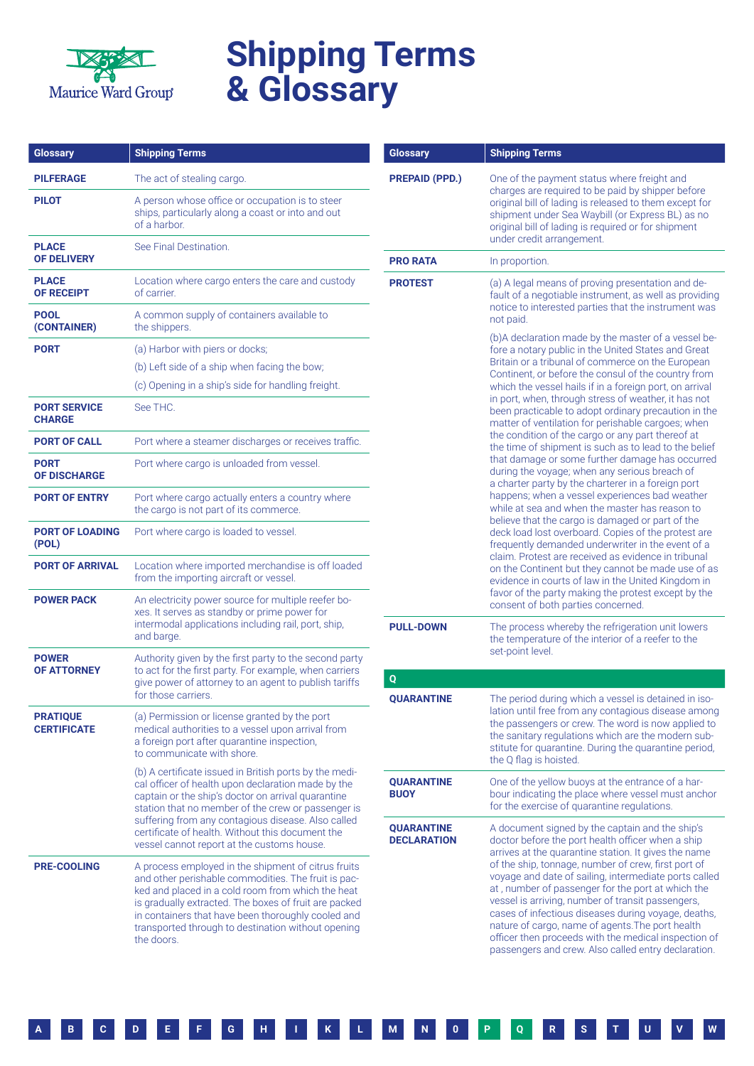<span id="page-14-0"></span>

| <b>Glossary</b>                       | <b>Shipping Terms</b>                                                                                                                                                                                                                                                                                                                                                                                                                                                                                                                                 | <b>Glossary</b>                  | <b>Shipping Terms</b>                                                                                                                                                                                                      |  |
|---------------------------------------|-------------------------------------------------------------------------------------------------------------------------------------------------------------------------------------------------------------------------------------------------------------------------------------------------------------------------------------------------------------------------------------------------------------------------------------------------------------------------------------------------------------------------------------------------------|----------------------------------|----------------------------------------------------------------------------------------------------------------------------------------------------------------------------------------------------------------------------|--|
| <b>PILFERAGE</b>                      | The act of stealing cargo.                                                                                                                                                                                                                                                                                                                                                                                                                                                                                                                            | <b>PREPAID (PPD.)</b>            | One of the paym                                                                                                                                                                                                            |  |
| PILOT                                 | A person whose office or occupation is to steer<br>ships, particularly along a coast or into and out<br>of a harbor.                                                                                                                                                                                                                                                                                                                                                                                                                                  |                                  | charges are requ<br>original bill of lad<br>shipment under<br>original bill of lad                                                                                                                                         |  |
| <b>PLACE</b><br><b>OF DELIVERY</b>    | See Final Destination.                                                                                                                                                                                                                                                                                                                                                                                                                                                                                                                                | <b>PRO RATA</b>                  | under credit arra<br>In proportion.                                                                                                                                                                                        |  |
| <b>PLACE</b><br><b>OF RECEIPT</b>     | Location where cargo enters the care and custody<br><b>PROTEST</b><br>of carrier.                                                                                                                                                                                                                                                                                                                                                                                                                                                                     |                                  | (a) A legal mean<br>fault of a negotia                                                                                                                                                                                     |  |
| <b>POOL</b><br>(CONTAINER)            | A common supply of containers available to<br>the shippers.                                                                                                                                                                                                                                                                                                                                                                                                                                                                                           |                                  | notice to interes<br>not paid.                                                                                                                                                                                             |  |
| <b>PORT</b>                           | (a) Harbor with piers or docks;<br>(b) Left side of a ship when facing the bow;<br>(c) Opening in a ship's side for handling freight.                                                                                                                                                                                                                                                                                                                                                                                                                 |                                  | (b)A declaration<br>fore a notary pul<br>Britain or a tribu<br>Continent, or be<br>which the vesse                                                                                                                         |  |
| <b>PORT SERVICE</b><br><b>CHARGE</b>  | See THC.                                                                                                                                                                                                                                                                                                                                                                                                                                                                                                                                              |                                  | in port, when, th<br>been practicable<br>matter of ventila<br>the condition of<br>the time of ship                                                                                                                         |  |
| <b>PORT OF CALL</b>                   | Port where a steamer discharges or receives traffic.                                                                                                                                                                                                                                                                                                                                                                                                                                                                                                  |                                  |                                                                                                                                                                                                                            |  |
| PORT<br><b>OF DISCHARGE</b>           | Port where cargo is unloaded from vessel.                                                                                                                                                                                                                                                                                                                                                                                                                                                                                                             |                                  | that damage or<br>during the voyag<br>a charter party b                                                                                                                                                                    |  |
| <b>PORT OF ENTRY</b>                  | Port where cargo actually enters a country where<br>the cargo is not part of its commerce.<br>Port where cargo is loaded to vessel.                                                                                                                                                                                                                                                                                                                                                                                                                   |                                  | happens; when a<br>while at sea and<br>believe that the<br>deck load lost o<br>frequently dema<br>claim. Protest ar                                                                                                        |  |
| <b>PORT OF LOADING</b><br>(POL)       |                                                                                                                                                                                                                                                                                                                                                                                                                                                                                                                                                       |                                  |                                                                                                                                                                                                                            |  |
| <b>PORT OF ARRIVAL</b>                | Location where imported merchandise is off loaded<br>from the importing aircraft or vessel.                                                                                                                                                                                                                                                                                                                                                                                                                                                           |                                  |                                                                                                                                                                                                                            |  |
| <b>POWER PACK</b>                     | An electricity power source for multiple reefer bo-<br>xes. It serves as standby or prime power for<br>intermodal applications including rail, port, ship,<br><b>PULL-DOWN</b><br>and barge.                                                                                                                                                                                                                                                                                                                                                          |                                  | favor of the part<br>consent of both<br>The process wh<br>the temperature                                                                                                                                                  |  |
| <b>POWER</b><br><b>OF ATTORNEY</b>    | Authority given by the first party to the second party<br>to act for the first party. For example, when carriers<br>give power of attorney to an agent to publish tariffs<br>for those carriers.                                                                                                                                                                                                                                                                                                                                                      | Q                                | set-point level.                                                                                                                                                                                                           |  |
| <b>PRATIQUE</b><br><b>CERTIFICATE</b> | <b>QUARANTINE</b><br>(a) Permission or license granted by the port<br>medical authorities to a vessel upon arrival from<br>a foreign port after quarantine inspection,<br>to communicate with shore.                                                                                                                                                                                                                                                                                                                                                  |                                  | The period durin<br>lation until free f<br>the passengers<br>the sanitary regu<br>stitute for quara<br>the Q flag is hois                                                                                                  |  |
|                                       | (b) A certificate issued in British ports by the medi-<br>cal officer of health upon declaration made by the<br>captain or the ship's doctor on arrival quarantine<br>station that no member of the crew or passenger is                                                                                                                                                                                                                                                                                                                              | <b>OUARANTINE</b><br><b>BUOY</b> | One of the yelloy<br>bour indicating t<br>for the exercise                                                                                                                                                                 |  |
| <b>PRE-COOLING</b>                    | suffering from any contagious disease. Also called<br><b>QUARANTINE</b><br>certificate of health. Without this document the<br><b>DECLARATION</b><br>vessel cannot report at the customs house.<br>A process employed in the shipment of citrus fruits<br>and other perishable commodities. The fruit is pac-<br>ked and placed in a cold room from which the heat<br>is gradually extracted. The boxes of fruit are packed<br>in containers that have been thoroughly cooled and<br>transported through to destination without opening<br>the doors. |                                  | A document sigi<br>doctor before th<br>arrives at the qu<br>of the ship, tonn<br>voyage and date<br>at, number of pa<br>vessel is arrivind<br>cases of infectio<br>nature of cargo,<br>officer then proc<br>passengers and |  |

| <b>Glossary</b>                         | <b>Shipping Terms</b>                                                                                                                                                                                                                                                                                                                                                                                                                                                                                                                                                                                                                                                                                                                                                                                                                                                                                                                                                                                                                                                                                                                                                                                        |
|-----------------------------------------|--------------------------------------------------------------------------------------------------------------------------------------------------------------------------------------------------------------------------------------------------------------------------------------------------------------------------------------------------------------------------------------------------------------------------------------------------------------------------------------------------------------------------------------------------------------------------------------------------------------------------------------------------------------------------------------------------------------------------------------------------------------------------------------------------------------------------------------------------------------------------------------------------------------------------------------------------------------------------------------------------------------------------------------------------------------------------------------------------------------------------------------------------------------------------------------------------------------|
| <b>PREPAID (PPD.)</b>                   | One of the payment status where freight and<br>charges are required to be paid by shipper before<br>original bill of lading is released to them except for<br>shipment under Sea Waybill (or Express BL) as no<br>original bill of lading is required or for shipment<br>under credit arrangement.                                                                                                                                                                                                                                                                                                                                                                                                                                                                                                                                                                                                                                                                                                                                                                                                                                                                                                           |
| <b>PRO RATA</b>                         | In proportion.                                                                                                                                                                                                                                                                                                                                                                                                                                                                                                                                                                                                                                                                                                                                                                                                                                                                                                                                                                                                                                                                                                                                                                                               |
| <b>PROTEST</b>                          | (a) A legal means of proving presentation and de-<br>fault of a negotiable instrument, as well as providing<br>notice to interested parties that the instrument was<br>not paid.<br>(b)A declaration made by the master of a vessel be-                                                                                                                                                                                                                                                                                                                                                                                                                                                                                                                                                                                                                                                                                                                                                                                                                                                                                                                                                                      |
|                                         | fore a notary public in the United States and Great<br>Britain or a tribunal of commerce on the European<br>Continent, or before the consul of the country from<br>which the vessel hails if in a foreign port, on arrival<br>in port, when, through stress of weather, it has not<br>been practicable to adopt ordinary precaution in the<br>matter of ventilation for perishable cargoes; when<br>the condition of the cargo or any part thereof at<br>the time of shipment is such as to lead to the belief<br>that damage or some further damage has occurred<br>during the voyage; when any serious breach of<br>a charter party by the charterer in a foreign port<br>happens; when a vessel experiences bad weather<br>while at sea and when the master has reason to<br>believe that the cargo is damaged or part of the<br>deck load lost overboard. Copies of the protest are<br>frequently demanded underwriter in the event of a<br>claim. Protest are received as evidence in tribunal<br>on the Continent but they cannot be made use of as<br>evidence in courts of law in the United Kingdom in<br>favor of the party making the protest except by the<br>consent of both parties concerned. |
| <b>PULL-DOWN</b>                        | The process whereby the refrigeration unit lowers<br>the temperature of the interior of a reefer to the<br>set-point level.                                                                                                                                                                                                                                                                                                                                                                                                                                                                                                                                                                                                                                                                                                                                                                                                                                                                                                                                                                                                                                                                                  |
| Q                                       |                                                                                                                                                                                                                                                                                                                                                                                                                                                                                                                                                                                                                                                                                                                                                                                                                                                                                                                                                                                                                                                                                                                                                                                                              |
| <b>QUARANTINE</b>                       | The period during which a vessel is detained in iso-<br>lation until free from any contagious disease among<br>the passengers or crew. The word is now applied to<br>the sanitary regulations which are the modern sub-<br>stitute for quarantine. During the quarantine period,<br>the Q flag is hoisted.                                                                                                                                                                                                                                                                                                                                                                                                                                                                                                                                                                                                                                                                                                                                                                                                                                                                                                   |
| <b>QUARANTINE</b><br><b>BUOY</b>        | One of the yellow buoys at the entrance of a har-<br>bour indicating the place where vessel must anchor<br>for the exercise of quarantine regulations.                                                                                                                                                                                                                                                                                                                                                                                                                                                                                                                                                                                                                                                                                                                                                                                                                                                                                                                                                                                                                                                       |
| <b>QUARANTINE</b><br><b>DECLARATION</b> | A document signed by the captain and the ship's<br>doctor before the port health officer when a ship<br>arrives at the quarantine station. It gives the name<br>of the ship, tonnage, number of crew, first port of<br>voyage and date of sailing, intermediate ports called<br>at, number of passenger for the port at which the<br>vessel is arriving, number of transit passengers,<br>cases of infectious diseases during voyage, deaths,<br>nature of cargo, name of agents. The port health<br>officer then proceeds with the medical inspection of<br>passengers and crew. Also called entry declaration.                                                                                                                                                                                                                                                                                                                                                                                                                                                                                                                                                                                             |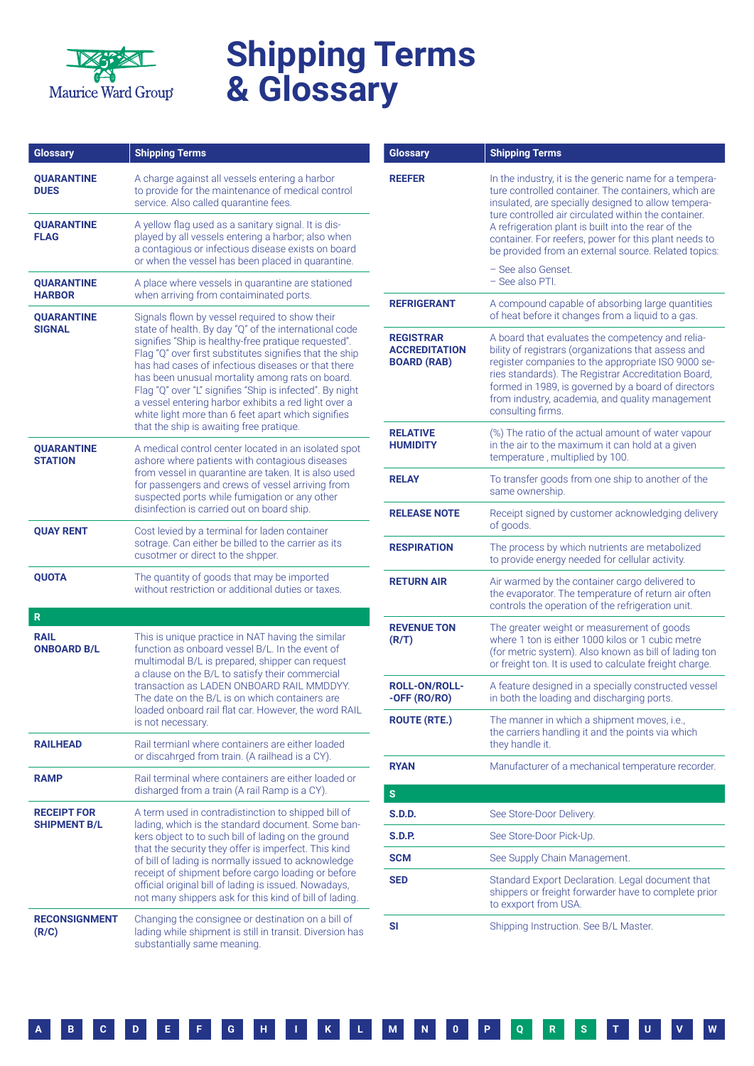<span id="page-15-0"></span>

| <b>Glossary</b>                        | <b>Shipping Terms</b>                                                                                                                                                                                                                                                                                                                                                                                                                                                                                   | <b>Glossary</b>                                                | <b>Shipping Terms</b>                                                                                                                                                                                                                                                                                                                                                                                                                                                                                                                                                                        |  |
|----------------------------------------|---------------------------------------------------------------------------------------------------------------------------------------------------------------------------------------------------------------------------------------------------------------------------------------------------------------------------------------------------------------------------------------------------------------------------------------------------------------------------------------------------------|----------------------------------------------------------------|----------------------------------------------------------------------------------------------------------------------------------------------------------------------------------------------------------------------------------------------------------------------------------------------------------------------------------------------------------------------------------------------------------------------------------------------------------------------------------------------------------------------------------------------------------------------------------------------|--|
| <b>OUARANTINE</b><br><b>DUES</b>       | A charge against all vessels entering a harbor<br><b>REEFER</b><br>to provide for the maintenance of medical control<br>service. Also called quarantine fees.<br>A yellow flag used as a sanitary signal. It is dis-<br>played by all vessels entering a harbor; also when<br>a contagious or infectious disease exists on board<br>or when the vessel has been placed in quarantine.                                                                                                                   |                                                                | In the industry, if<br>ture controlled o<br>insulated, are sp                                                                                                                                                                                                                                                                                                                                                                                                                                                                                                                                |  |
| <b>QUARANTINE</b><br><b>FLAG</b>       |                                                                                                                                                                                                                                                                                                                                                                                                                                                                                                         |                                                                | A refrigeration p<br>container. For re<br>be provided fron                                                                                                                                                                                                                                                                                                                                                                                                                                                                                                                                   |  |
| <b>QUARANTINE</b><br><b>HARBOR</b>     | A place where vessels in quarantine are stationed<br>when arriving from contaiminated ports.                                                                                                                                                                                                                                                                                                                                                                                                            |                                                                | - See also PTI.                                                                                                                                                                                                                                                                                                                                                                                                                                                                                                                                                                              |  |
| <b>QUARANTINE</b>                      | Signals flown by vessel required to show their                                                                                                                                                                                                                                                                                                                                                                                                                                                          | <b>REFRIGERANT</b>                                             | of heat before it                                                                                                                                                                                                                                                                                                                                                                                                                                                                                                                                                                            |  |
| <b>SIGNAL</b>                          | state of health. By day "Q" of the international code<br>signifies "Ship is healthy-free pratique requested".<br>Flag "Q" over first substitutes signifies that the ship<br>has had cases of infectious diseases or that there<br>has been unusual mortality among rats on board.<br>Flag "Q" over "L" signifies "Ship is infected". By night<br>a vessel entering harbor exhibits a red light over a<br>white light more than 6 feet apart which signifies<br>that the ship is awaiting free pratique. | <b>REGISTRAR</b><br><b>ACCREDITATION</b><br><b>BOARD (RAB)</b> | A board that eva<br>bility of registrar<br>register compar<br>ries standards).<br>formed in 1989,<br>from industry, a<br>consulting firms                                                                                                                                                                                                                                                                                                                                                                                                                                                    |  |
| <b>QUARANTINE</b><br><b>STATION</b>    | A medical control center located in an isolated spot<br>ashore where patients with contagious diseases                                                                                                                                                                                                                                                                                                                                                                                                  | <b>RELATIVE</b><br><b>HUMIDITY</b>                             | ture controlled a<br>- See also Gens<br>A compound ca<br>(%) The ratio of t<br>in the air to the r<br>temperature, m<br>To transfer good<br>same ownership<br>Receipt signed b<br>of goods.<br>The process by<br>to provide energ<br>Air warmed by tl<br>the evaporator.<br>controls the ope<br>The greater weid<br>where 1 ton is ei<br>(for metric syste<br>or freight ton. It<br>A feature design<br>in both the loadi<br>The manner in y<br>the carriers hand<br>they handle it.<br>Manufacturer of<br>See Store-Door I<br>See Store-Door I<br>See Supply Chai<br><b>Standard Export</b> |  |
|                                        | from vessel in quarantine are taken. It is also used<br>for passengers and crews of vessel arriving from<br>suspected ports while fumigation or any other                                                                                                                                                                                                                                                                                                                                               | <b>RELAY</b>                                                   |                                                                                                                                                                                                                                                                                                                                                                                                                                                                                                                                                                                              |  |
| <b>QUAY RENT</b>                       | disinfection is carried out on board ship.<br>Cost levied by a terminal for laden container                                                                                                                                                                                                                                                                                                                                                                                                             | <b>RELEASE NOTE</b>                                            |                                                                                                                                                                                                                                                                                                                                                                                                                                                                                                                                                                                              |  |
|                                        | sotrage. Can either be billed to the carrier as its<br>cusotmer or direct to the shpper.                                                                                                                                                                                                                                                                                                                                                                                                                | <b>RESPIRATION</b>                                             |                                                                                                                                                                                                                                                                                                                                                                                                                                                                                                                                                                                              |  |
| <b>QUOTA</b>                           | The quantity of goods that may be imported<br>without restriction or additional duties or taxes.                                                                                                                                                                                                                                                                                                                                                                                                        | <b>RETURN AIR</b>                                              |                                                                                                                                                                                                                                                                                                                                                                                                                                                                                                                                                                                              |  |
| R<br><b>RAIL</b><br><b>ONBOARD B/L</b> | This is unique practice in NAT having the similar<br>function as onboard vessel B/L. In the event of<br>multimodal B/L is prepared, shipper can request<br>a clause on the B/L to satisfy their commercial                                                                                                                                                                                                                                                                                              | <b>REVENUE TON</b><br>(R/T)                                    |                                                                                                                                                                                                                                                                                                                                                                                                                                                                                                                                                                                              |  |
|                                        | transaction as LADEN ONBOARD RAIL MMDDYY.<br>The date on the B/L is on which containers are                                                                                                                                                                                                                                                                                                                                                                                                             | <b>ROLL-ON/ROLL-</b><br>$-OFF (RO/RO)$                         |                                                                                                                                                                                                                                                                                                                                                                                                                                                                                                                                                                                              |  |
| <b>RAILHEAD</b>                        | loaded onboard rail flat car. However, the word RAIL<br>is not necessary.<br>Rail termianl where containers are either loaded                                                                                                                                                                                                                                                                                                                                                                           | <b>ROUTE (RTE.)</b>                                            |                                                                                                                                                                                                                                                                                                                                                                                                                                                                                                                                                                                              |  |
|                                        | or discahrged from train. (A railhead is a CY).                                                                                                                                                                                                                                                                                                                                                                                                                                                         | <b>RYAN</b>                                                    |                                                                                                                                                                                                                                                                                                                                                                                                                                                                                                                                                                                              |  |
| <b>RAMP</b>                            | Rail terminal where containers are either loaded or<br>disharged from a train (A rail Ramp is a CY).                                                                                                                                                                                                                                                                                                                                                                                                    | $\mathbf{s}$                                                   |                                                                                                                                                                                                                                                                                                                                                                                                                                                                                                                                                                                              |  |
| <b>RECEIPT FOR</b>                     | A term used in contradistinction to shipped bill of                                                                                                                                                                                                                                                                                                                                                                                                                                                     | <b>S.D.D.</b>                                                  |                                                                                                                                                                                                                                                                                                                                                                                                                                                                                                                                                                                              |  |
| <b>SHIPMENT B/L</b>                    | lading, which is the standard document. Some ban-<br>kers object to to such bill of lading on the ground                                                                                                                                                                                                                                                                                                                                                                                                | <b>S.D.P.</b>                                                  |                                                                                                                                                                                                                                                                                                                                                                                                                                                                                                                                                                                              |  |
|                                        | that the security they offer is imperfect. This kind<br>of bill of lading is normally issued to acknowledge                                                                                                                                                                                                                                                                                                                                                                                             | <b>SCM</b>                                                     |                                                                                                                                                                                                                                                                                                                                                                                                                                                                                                                                                                                              |  |
|                                        | receipt of shipment before cargo loading or before<br>official original bill of lading is issued. Nowadays,<br>not many shippers ask for this kind of bill of lading.                                                                                                                                                                                                                                                                                                                                   | <b>SED</b>                                                     | shippers or freig<br>to exxport from                                                                                                                                                                                                                                                                                                                                                                                                                                                                                                                                                         |  |
| <b>RECONSIGNMENT</b><br>(R/C)          | Changing the consignee or destination on a bill of<br>lading while shipment is still in transit. Diversion has<br>substantially same meaning.                                                                                                                                                                                                                                                                                                                                                           | <b>SI</b>                                                      | Shipping Instruc                                                                                                                                                                                                                                                                                                                                                                                                                                                                                                                                                                             |  |

| <b>Glossary</b>                                                | <b>Shipping Terms</b>                                                                                                                                                                                                                                                                                                                                                                                                                          |
|----------------------------------------------------------------|------------------------------------------------------------------------------------------------------------------------------------------------------------------------------------------------------------------------------------------------------------------------------------------------------------------------------------------------------------------------------------------------------------------------------------------------|
| <b>REEFER</b>                                                  | In the industry, it is the generic name for a tempera-<br>ture controlled container. The containers, which are<br>insulated, are specially designed to allow tempera-<br>ture controlled air circulated within the container.<br>A refrigeration plant is built into the rear of the<br>container. For reefers, power for this plant needs to<br>be provided from an external source. Related topics:<br>- See also Genset.<br>- See also PTI. |
| <b>REFRIGERANT</b>                                             | A compound capable of absorbing large quantities<br>of heat before it changes from a liquid to a gas.                                                                                                                                                                                                                                                                                                                                          |
| <b>REGISTRAR</b><br><b>ACCREDITATION</b><br><b>BOARD (RAB)</b> | A board that evaluates the competency and relia-<br>bility of registrars (organizations that assess and<br>register companies to the appropriate ISO 9000 se-<br>ries standards). The Registrar Accreditation Board,<br>formed in 1989, is governed by a board of directors<br>from industry, academia, and quality management<br>consulting firms.                                                                                            |
| <b>RELATIVE</b><br><b>HUMIDITY</b>                             | (%) The ratio of the actual amount of water vapour<br>in the air to the maximum it can hold at a given<br>temperature, multiplied by 100.                                                                                                                                                                                                                                                                                                      |
| <b>RELAY</b>                                                   | To transfer goods from one ship to another of the<br>same ownership.                                                                                                                                                                                                                                                                                                                                                                           |
| <b>RELEASE NOTE</b>                                            | Receipt signed by customer acknowledging delivery<br>of goods.                                                                                                                                                                                                                                                                                                                                                                                 |
| <b>RESPIRATION</b>                                             | The process by which nutrients are metabolized<br>to provide energy needed for cellular activity.                                                                                                                                                                                                                                                                                                                                              |
| <b>RETURN AIR</b>                                              | Air warmed by the container cargo delivered to<br>the evaporator. The temperature of return air often<br>controls the operation of the refrigeration unit.                                                                                                                                                                                                                                                                                     |
| <b>REVENUE TON</b><br>(R/T)                                    | The greater weight or measurement of goods<br>where 1 ton is either 1000 kilos or 1 cubic metre<br>(for metric system). Also known as bill of lading ton<br>or freight ton. It is used to calculate freight charge.                                                                                                                                                                                                                            |
| <b>ROLL-ON/ROLL-</b><br>$-OFF (RO/RO)$                         | A feature designed in a specially constructed vessel<br>in both the loading and discharging ports.                                                                                                                                                                                                                                                                                                                                             |
| <b>ROUTE (RTE.)</b>                                            | The manner in which a shipment moves, i.e.,<br>the carriers handling it and the points via which<br>they handle it.                                                                                                                                                                                                                                                                                                                            |
| <b>RYAN</b>                                                    | Manufacturer of a mechanical temperature recorder.                                                                                                                                                                                                                                                                                                                                                                                             |
| s                                                              |                                                                                                                                                                                                                                                                                                                                                                                                                                                |
| <b>S.D.D.</b>                                                  | See Store-Door Delivery.                                                                                                                                                                                                                                                                                                                                                                                                                       |
| S.D.P.                                                         | See Store-Door Pick-Up.                                                                                                                                                                                                                                                                                                                                                                                                                        |
| <b>SCM</b>                                                     | See Supply Chain Management.                                                                                                                                                                                                                                                                                                                                                                                                                   |
| <b>SED</b>                                                     | Standard Export Declaration. Legal document that<br>shippers or freight forwarder have to complete prior<br>to exxport from USA.                                                                                                                                                                                                                                                                                                               |
| SI                                                             | Shipping Instruction. See B/L Master.                                                                                                                                                                                                                                                                                                                                                                                                          |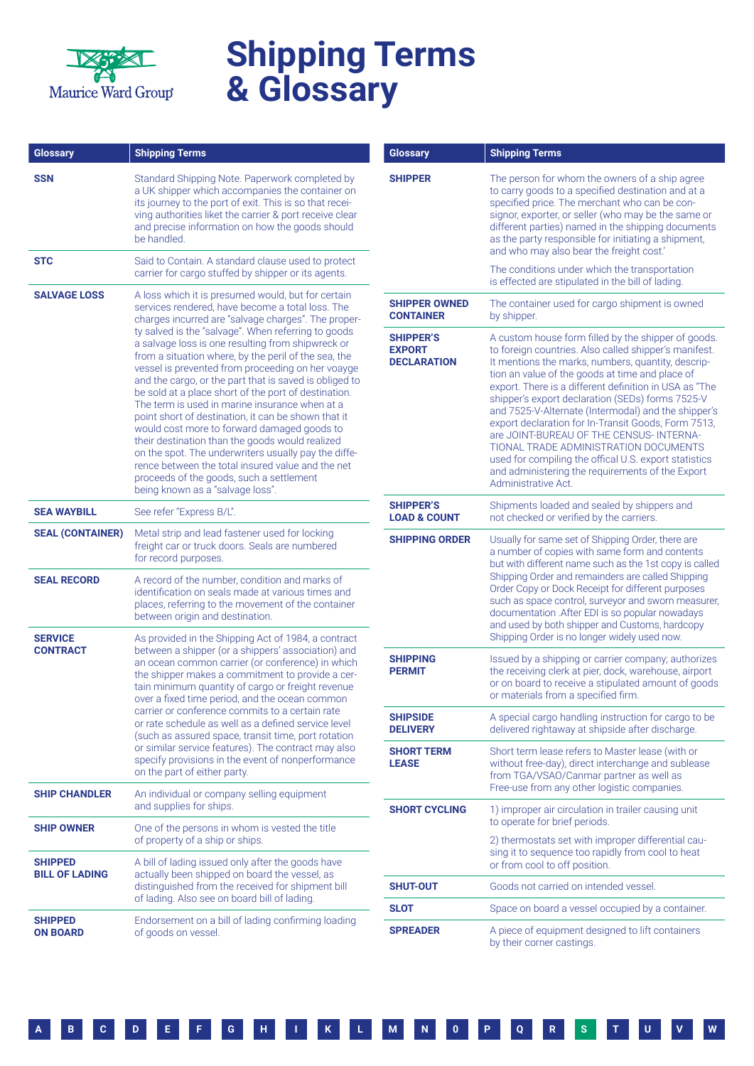

| <b>Glossary</b>                               | <b>Shipping Terms</b>                                                                                                                                                                                                                                                                                                                                                                                                                                                                                                                                                                                                                                                                                                                           | <b>Glossary</b>                             | <b>Shipping Terms</b>                                                                                                                                                                                                                                                                                                                                                                                                                                                                                                                                                                                                                                                      |  |
|-----------------------------------------------|-------------------------------------------------------------------------------------------------------------------------------------------------------------------------------------------------------------------------------------------------------------------------------------------------------------------------------------------------------------------------------------------------------------------------------------------------------------------------------------------------------------------------------------------------------------------------------------------------------------------------------------------------------------------------------------------------------------------------------------------------|---------------------------------------------|----------------------------------------------------------------------------------------------------------------------------------------------------------------------------------------------------------------------------------------------------------------------------------------------------------------------------------------------------------------------------------------------------------------------------------------------------------------------------------------------------------------------------------------------------------------------------------------------------------------------------------------------------------------------------|--|
| <b>SSN</b>                                    | Standard Shipping Note. Paperwork completed by<br>a UK shipper which accompanies the container on<br>its journey to the port of exit. This is so that recei-<br>ving authorities liket the carrier & port receive clear<br>and precise information on how the goods should<br>be handled.                                                                                                                                                                                                                                                                                                                                                                                                                                                       | <b>SHIPPER</b>                              | The person for whom the owners of a ship agree<br>to carry goods to a specified destination and at a<br>specified price. The merchant who can be con-<br>signor, exporter, or seller (who may be the same or<br>different parties) named in the shipping documents<br>as the party responsible for initiating a shipment,<br>and who may also bear the freight cost.'                                                                                                                                                                                                                                                                                                      |  |
| <b>STC</b>                                    | Said to Contain. A standard clause used to protect<br>carrier for cargo stuffed by shipper or its agents.                                                                                                                                                                                                                                                                                                                                                                                                                                                                                                                                                                                                                                       |                                             | The conditions under which the transportation<br>is effected are stipulated in the bill of lading.                                                                                                                                                                                                                                                                                                                                                                                                                                                                                                                                                                         |  |
| <b>SALVAGE LOSS</b>                           | A loss which it is presumed would, but for certain<br>services rendered, have become a total loss. The<br>charges incurred are "salvage charges". The proper-                                                                                                                                                                                                                                                                                                                                                                                                                                                                                                                                                                                   | <b>SHIPPER OWNED</b><br><b>CONTAINER</b>    | The container used for cargo shipment is owned<br>by shipper.                                                                                                                                                                                                                                                                                                                                                                                                                                                                                                                                                                                                              |  |
|                                               | ty salved is the "salvage". When referring to goods<br>a salvage loss is one resulting from shipwreck or<br>from a situation where, by the peril of the sea, the<br>vessel is prevented from proceeding on her voayge<br>and the cargo, or the part that is saved is obliged to<br>be sold at a place short of the port of destination.<br>The term is used in marine insurance when at a<br>point short of destination, it can be shown that it<br>would cost more to forward damaged goods to<br>their destination than the goods would realized<br>on the spot. The underwriters usually pay the diffe-<br>rence between the total insured value and the net<br>proceeds of the goods, such a settlement<br>being known as a "salvage loss". |                                             | A custom house form filled by the shipper of goods.<br>to foreign countries. Also called shipper's manifest.<br>It mentions the marks, numbers, quantity, descrip-<br>tion an value of the goods at time and place of<br>export. There is a different definition in USA as "The<br>shipper's export declaration (SEDs) forms 7525-V<br>and 7525-V-Alternate (Intermodal) and the shipper's<br>export declaration for In-Transit Goods, Form 7513,<br>are JOINT-BUREAU OF THE CENSUS- INTERNA-<br>TIONAL TRADE ADMINISTRATION DOCUMENTS<br>used for compiling the offical U.S. export statistics<br>and administering the requirements of the Export<br>Administrative Act. |  |
| <b>SEA WAYBILL</b>                            | See refer "Express B/L".                                                                                                                                                                                                                                                                                                                                                                                                                                                                                                                                                                                                                                                                                                                        | <b>SHIPPER'S</b><br><b>LOAD &amp; COUNT</b> | Shipments loaded and sealed by shippers and<br>not checked or verified by the carriers.                                                                                                                                                                                                                                                                                                                                                                                                                                                                                                                                                                                    |  |
| <b>SEAL (CONTAINER)</b><br><b>SEAL RECORD</b> | Metal strip and lead fastener used for locking<br>freight car or truck doors. Seals are numbered<br>for record purposes.<br>A record of the number, condition and marks of                                                                                                                                                                                                                                                                                                                                                                                                                                                                                                                                                                      | <b>SHIPPING ORDER</b>                       | Usually for same set of Shipping Order, there are<br>a number of copies with same form and contents<br>but with different name such as the 1st copy is called<br>Shipping Order and remainders are called Shipping<br>Order Copy or Dock Receipt for different purposes                                                                                                                                                                                                                                                                                                                                                                                                    |  |
| <b>SERVICE</b>                                | identification on seals made at various times and<br>places, referring to the movement of the container<br>between origin and destination.<br>As provided in the Shipping Act of 1984, a contract                                                                                                                                                                                                                                                                                                                                                                                                                                                                                                                                               |                                             | such as space control, surveyor and sworn measurer,<br>documentation .After EDI is so popular nowadays<br>and used by both shipper and Customs, hardcopy<br>Shipping Order is no longer widely used now.                                                                                                                                                                                                                                                                                                                                                                                                                                                                   |  |
| <b>CONTRACT</b>                               | between a shipper (or a shippers' association) and<br>an ocean common carrier (or conference) in which<br>the shipper makes a commitment to provide a cer-<br>tain minimum quantity of cargo or freight revenue<br>over a fixed time period, and the ocean common                                                                                                                                                                                                                                                                                                                                                                                                                                                                               | <b>SHIPPING</b><br><b>PERMIT</b>            | Issued by a shipping or carrier company; authorizes<br>the receiving clerk at pier, dock, warehouse, airport<br>or on board to receive a stipulated amount of goods<br>or materials from a specified firm.                                                                                                                                                                                                                                                                                                                                                                                                                                                                 |  |
|                                               | carrier or conference commits to a certain rate<br>or rate schedule as well as a defined service level<br>(such as assured space, transit time, port rotation                                                                                                                                                                                                                                                                                                                                                                                                                                                                                                                                                                                   | <b>SHIPSIDE</b><br><b>DELIVERY</b>          | A special cargo handling instruction for cargo to be<br>delivered rightaway at shipside after discharge.                                                                                                                                                                                                                                                                                                                                                                                                                                                                                                                                                                   |  |
|                                               | or similar service features). The contract may also<br>specify provisions in the event of nonperformance<br>on the part of either party.                                                                                                                                                                                                                                                                                                                                                                                                                                                                                                                                                                                                        | <b>SHORT TERM</b><br><b>LEASE</b>           | Short term lease refers to Master lease (with or<br>without free-day), direct interchange and sublease<br>from TGA/VSAO/Canmar partner as well as                                                                                                                                                                                                                                                                                                                                                                                                                                                                                                                          |  |
| <b>SHIP CHANDLER</b>                          | An individual or company selling equipment<br>and supplies for ships.                                                                                                                                                                                                                                                                                                                                                                                                                                                                                                                                                                                                                                                                           | <b>SHORT CYCLING</b>                        | Free-use from any other logistic companies.<br>1) improper air circulation in trailer causing unit                                                                                                                                                                                                                                                                                                                                                                                                                                                                                                                                                                         |  |
| <b>SHIP OWNER</b>                             | One of the persons in whom is vested the title<br>of property of a ship or ships.                                                                                                                                                                                                                                                                                                                                                                                                                                                                                                                                                                                                                                                               |                                             | to operate for brief periods.<br>2) thermostats set with improper differential cau-                                                                                                                                                                                                                                                                                                                                                                                                                                                                                                                                                                                        |  |
| <b>SHIPPED</b><br><b>BILL OF LADING</b>       | A bill of lading issued only after the goods have<br>actually been shipped on board the vessel, as                                                                                                                                                                                                                                                                                                                                                                                                                                                                                                                                                                                                                                              |                                             | sing it to sequence too rapidly from cool to heat<br>or from cool to off position.                                                                                                                                                                                                                                                                                                                                                                                                                                                                                                                                                                                         |  |
|                                               | distinguished from the received for shipment bill<br>of lading. Also see on board bill of lading.                                                                                                                                                                                                                                                                                                                                                                                                                                                                                                                                                                                                                                               | <b>SHUT-OUT</b>                             | Goods not carried on intended vessel.                                                                                                                                                                                                                                                                                                                                                                                                                                                                                                                                                                                                                                      |  |
| <b>SHIPPED</b>                                | Endorsement on a bill of lading confirming loading                                                                                                                                                                                                                                                                                                                                                                                                                                                                                                                                                                                                                                                                                              | <b>SLOT</b>                                 | Space on board a vessel occupied by a container.                                                                                                                                                                                                                                                                                                                                                                                                                                                                                                                                                                                                                           |  |
| <b>ON BOARD</b>                               | of goods on vessel.                                                                                                                                                                                                                                                                                                                                                                                                                                                                                                                                                                                                                                                                                                                             | <b>SPREADER</b>                             | A piece of equipment designed to lift containers<br>by their corner castings.                                                                                                                                                                                                                                                                                                                                                                                                                                                                                                                                                                                              |  |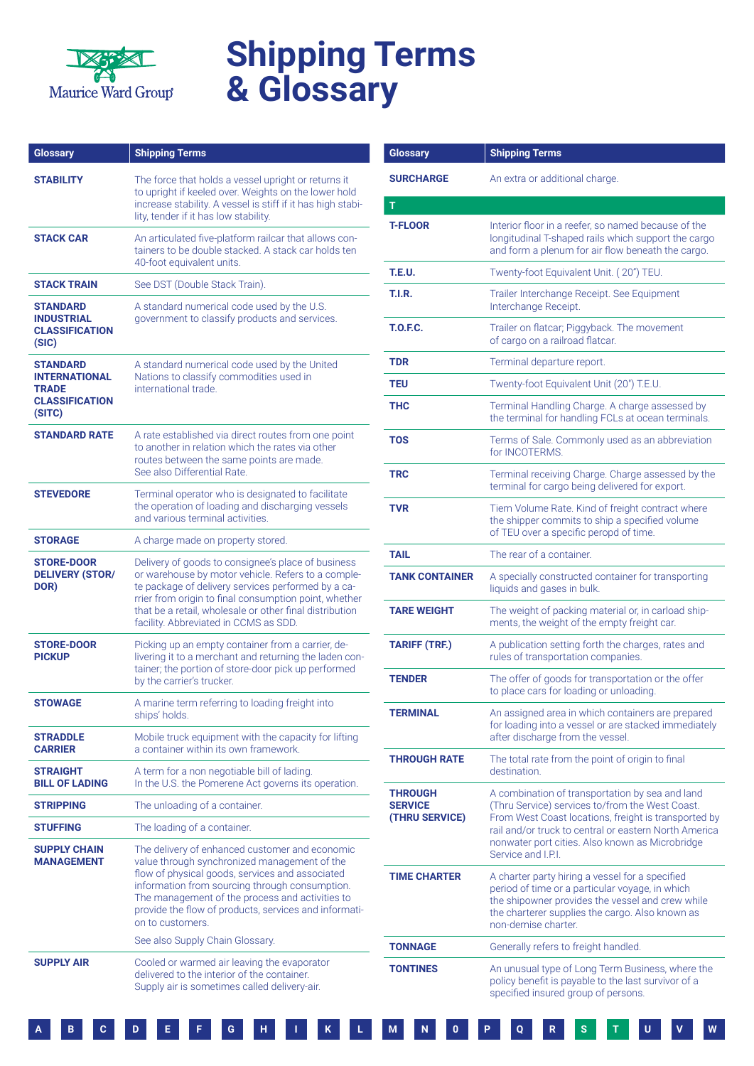<span id="page-17-0"></span>

| <b>Glossary</b>                                     | <b>Shipping Terms</b>                                                                                                                                                                                                             | <b>Glossary</b>                  | <b>Shipping Terms</b>                                                                           |
|-----------------------------------------------------|-----------------------------------------------------------------------------------------------------------------------------------------------------------------------------------------------------------------------------------|----------------------------------|-------------------------------------------------------------------------------------------------|
| <b>STABILITY</b>                                    | The force that holds a vessel upright or returns it<br>to upright if keeled over. Weights on the lower hold<br>increase stability. A vessel is stiff if it has high stabi-                                                        |                                  | An extra or addit                                                                               |
| <b>STACK CAR</b>                                    | lity, tender if it has low stability.<br>An articulated five-platform railcar that allows con-<br>tainers to be double stacked. A stack car holds ten                                                                             | <b>T-FLOOR</b>                   | Interior floor in a<br>longitudinal T-sh<br>and form a plen                                     |
|                                                     | 40-foot equivalent units.                                                                                                                                                                                                         |                                  | <b>Twenty-foot Equ</b>                                                                          |
| <b>STACK TRAIN</b><br><b>STANDARD</b>               | See DST (Double Stack Train).<br>A standard numerical code used by the U.S.                                                                                                                                                       | <b>T.I.R.</b>                    | <b>Trailer Interchan</b><br>Interchange Rec                                                     |
| <b>INDUSTRIAL</b><br><b>CLASSIFICATION</b><br>(SIC) | government to classify products and services.                                                                                                                                                                                     | <b>T.O.F.C.</b>                  | Trailer on flatcar<br>of cargo on a rai                                                         |
| <b>STANDARD</b>                                     | A standard numerical code used by the United                                                                                                                                                                                      | <b>TDR</b>                       | <b>Terminal depart</b>                                                                          |
| <b>INTERNATIONAL</b><br><b>TRADE</b>                | Nations to classify commodities used in<br>international trade.                                                                                                                                                                   | <b>TEU</b>                       | <b>Twenty-foot Equ</b>                                                                          |
| <b>CLASSIFICATION</b><br>(SITC)                     |                                                                                                                                                                                                                                   | <b>THC</b>                       | <b>Terminal Handli</b><br>the terminal for                                                      |
| <b>STANDARD RATE</b>                                | A rate established via direct routes from one point<br>to another in relation which the rates via other<br>routes between the same points are made.                                                                               | <b>TOS</b>                       | Terms of Sale, C<br>for INCOTERMS                                                               |
| <b>STEVEDORE</b>                                    | See also Differential Rate.<br>Terminal operator who is designated to facilitate                                                                                                                                                  | <b>TRC</b>                       | <b>Terminal receivil</b><br>terminal for card                                                   |
|                                                     | the operation of loading and discharging vessels<br><b>TVR</b><br>and various terminal activities.                                                                                                                                |                                  | <b>Tiem Volume Ra</b><br>the shipper com<br>of TEU over a sp                                    |
| <b>STORAGE</b>                                      | A charge made on property stored.<br><b>TAIL</b>                                                                                                                                                                                  |                                  | The rear of a cor                                                                               |
| <b>STORE-DOOR</b><br><b>DELIVERY (STOR/</b><br>DOR) | Delivery of goods to consignee's place of business<br>or warehouse by motor vehicle. Refers to a comple-<br>te package of delivery services performed by a ca-<br>rrier from origin to final consumption point, whether           | <b>TANK CONTAINER</b>            | A specially cons<br>liquids and gase                                                            |
|                                                     | that be a retail, wholesale or other final distribution<br>facility. Abbreviated in CCMS as SDD.                                                                                                                                  | <b>TARE WEIGHT</b>               | The weight of pa<br>ments, the weigl                                                            |
| <b>STORE-DOOR</b><br><b>PICKUP</b>                  | Picking up an empty container from a carrier, de-<br>livering it to a merchant and returning the laden con-<br>tainer; the portion of store-door pick up performed                                                                | <b>TARIFF (TRF.)</b>             | A publication se<br>rules of transpor                                                           |
|                                                     | by the carrier's trucker.                                                                                                                                                                                                         | <b>TENDER</b>                    | The offer of goo<br>to place cars for                                                           |
| <b>STOWAGE</b>                                      | A marine term referring to loading freight into<br><b>TERMINAL</b><br>ships' holds.                                                                                                                                               |                                  | An assigned are<br>for loading into a                                                           |
| <b>STRADDLE</b><br><b>CARRIER</b>                   | Mobile truck equipment with the capacity for lifting<br>a container within its own framework.                                                                                                                                     |                                  | after discharge t                                                                               |
| <b>STRAIGHT</b><br><b>BILL OF LADING</b>            | A term for a non negotiable bill of lading.<br>In the U.S. the Pomerene Act governs its operation.                                                                                                                                | <b>THROUGH RATE</b>              | The total rate fro<br>destination.                                                              |
| <b>STRIPPING</b>                                    | The unloading of a container.                                                                                                                                                                                                     | <b>THROUGH</b><br><b>SERVICE</b> | A combination o<br>(Thru Service) so                                                            |
| <b>STUFFING</b>                                     | The loading of a container.                                                                                                                                                                                                       | (THRU SERVICE)                   | From West Coas<br>rail and/or truck                                                             |
| <b>SUPPLY CHAIN</b><br><b>MANAGEMENT</b>            | The delivery of enhanced customer and economic<br>value through synchronized management of the                                                                                                                                    |                                  | nonwater port c<br>Service and I.P.I.                                                           |
|                                                     | flow of physical goods, services and associated<br>information from sourcing through consumption.<br>The management of the process and activities to<br>provide the flow of products, services and informati-<br>on to customers. | <b>TIME CHARTER</b>              | A charter party h<br>period of time of<br>the shipowner p<br>the charterer su<br>non-demise cha |
|                                                     | See also Supply Chain Glossary.                                                                                                                                                                                                   | <b>TONNAGE</b>                   | Generally refers                                                                                |
| <b>SUPPLY AIR</b>                                   | Cooled or warmed air leaving the evaporator<br>delivered to the interior of the container.<br>Supply air is sometimes called delivery-air.                                                                                        | <b>TONTINES</b>                  | An unusual type<br>policy benefit is<br>specified insure                                        |

| <b>Glossary</b>                                    | <b>Shipping Terms</b>                                                                                                                                                                                                                                                                     |
|----------------------------------------------------|-------------------------------------------------------------------------------------------------------------------------------------------------------------------------------------------------------------------------------------------------------------------------------------------|
| <b>SURCHARGE</b>                                   | An extra or additional charge.                                                                                                                                                                                                                                                            |
| T                                                  |                                                                                                                                                                                                                                                                                           |
| <b>T-FLOOR</b>                                     | Interior floor in a reefer, so named because of the<br>longitudinal T-shaped rails which support the cargo<br>and form a plenum for air flow beneath the cargo.                                                                                                                           |
| <b>T.E.U.</b>                                      | Twenty-foot Equivalent Unit. (20") TEU.                                                                                                                                                                                                                                                   |
| T.I.R.                                             | Trailer Interchange Receipt. See Equipment<br>Interchange Receipt.                                                                                                                                                                                                                        |
| <b>T.O.F.C.</b>                                    | Trailer on flatcar; Piggyback. The movement<br>of cargo on a railroad flatcar.                                                                                                                                                                                                            |
| <b>TDR</b>                                         | Terminal departure report.                                                                                                                                                                                                                                                                |
| <b>TEU</b>                                         | Twenty-foot Equivalent Unit (20") T.E.U.                                                                                                                                                                                                                                                  |
| <b>THC</b>                                         | Terminal Handling Charge. A charge assessed by<br>the terminal for handling FCLs at ocean terminals.                                                                                                                                                                                      |
| <b>TOS</b>                                         | Terms of Sale. Commonly used as an abbreviation<br>for INCOTERMS.                                                                                                                                                                                                                         |
| <b>TRC</b>                                         | Terminal receiving Charge. Charge assessed by the<br>terminal for cargo being delivered for export.                                                                                                                                                                                       |
| <b>TVR</b>                                         | Tiem Volume Rate. Kind of freight contract where<br>the shipper commits to ship a specified volume<br>of TEU over a specific peropd of time.                                                                                                                                              |
| <b>TAIL</b>                                        | The rear of a container.                                                                                                                                                                                                                                                                  |
| <b>TANK CONTAINER</b>                              | A specially constructed container for transporting<br>liquids and gases in bulk.                                                                                                                                                                                                          |
| <b>TARE WEIGHT</b>                                 | The weight of packing material or, in carload ship-<br>ments, the weight of the empty freight car.                                                                                                                                                                                        |
| <b>TARIFF (TRF.)</b>                               | A publication setting forth the charges, rates and<br>rules of transportation companies.                                                                                                                                                                                                  |
| <b>TENDER</b>                                      | The offer of goods for transportation or the offer<br>to place cars for loading or unloading.                                                                                                                                                                                             |
| <b>TERMINAL</b>                                    | An assigned area in which containers are prepared<br>for loading into a vessel or are stacked immediately<br>after discharge from the vessel.                                                                                                                                             |
| <b>THROUGH RATE</b>                                | The total rate from the point of origin to final<br>destination.                                                                                                                                                                                                                          |
| <b>THROUGH</b><br><b>SERVICE</b><br>(THRU SERVICE) | A combination of transportation by sea and land<br>(Thru Service) services to/from the West Coast.<br>From West Coast locations, freight is transported by<br>rail and/or truck to central or eastern North America<br>nonwater port cities. Also known as Microbridge<br>Service and LPL |
| <b>TIME CHARTER</b>                                | A charter party hiring a vessel for a specified<br>period of time or a particular voyage, in which<br>the shipowner provides the vessel and crew while<br>the charterer supplies the cargo. Also known as<br>non-demise charter.                                                          |
| <b>TONNAGE</b>                                     | Generally refers to freight handled.                                                                                                                                                                                                                                                      |
| <b>TONTINES</b>                                    | An unusual type of Long Term Business, where the<br>policy benefit is payable to the last survivor of a<br>specified insured group of persons.                                                                                                                                            |